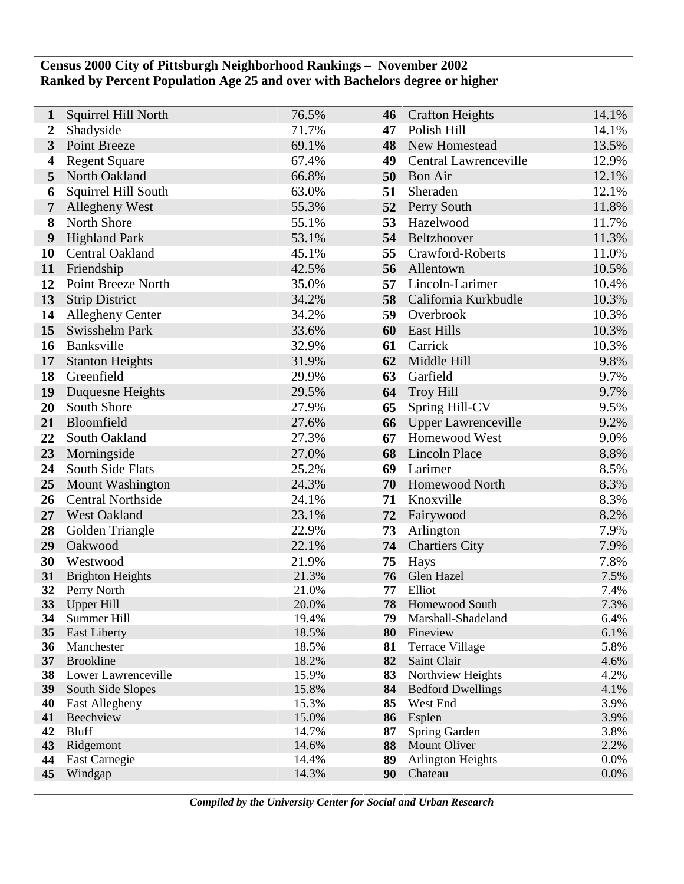## **Census 2000 City of Pittsburgh Neighborhood Rankings – November 2002 Ranked by Percent Population Age 25 and over with Bachelors degree or higher**

| $\mathbf{1}$            | Squirrel Hill North            | 76.5%          | 46       | <b>Crafton Heights</b>                | 14.1%        |
|-------------------------|--------------------------------|----------------|----------|---------------------------------------|--------------|
| $\overline{2}$          | Shadyside                      | 71.7%          | 47       | Polish Hill                           | 14.1%        |
| $\overline{\mathbf{3}}$ | Point Breeze                   | 69.1%          | 48       | New Homestead                         | 13.5%        |
| 4                       | <b>Regent Square</b>           | 67.4%          | 49       | Central Lawrenceville                 | 12.9%        |
| 5                       | North Oakland                  | 66.8%          | 50       | <b>Bon Air</b>                        | 12.1%        |
| 6                       | Squirrel Hill South            | 63.0%          | 51       | Sheraden                              | 12.1%        |
| $\overline{7}$          | Allegheny West                 | 55.3%          | 52       | Perry South                           | 11.8%        |
| 8                       | North Shore                    | 55.1%          | 53       | Hazelwood                             | 11.7%        |
| 9                       | <b>Highland Park</b>           | 53.1%          | 54       | Beltzhoover                           | 11.3%        |
| <b>10</b>               | Central Oakland                | 45.1%          | 55       | Crawford-Roberts                      | 11.0%        |
| 11                      | Friendship                     | 42.5%          | 56       | Allentown                             | 10.5%        |
| 12                      | Point Breeze North             | 35.0%          | 57       | Lincoln-Larimer                       | 10.4%        |
| 13                      | <b>Strip District</b>          | 34.2%          | 58       | California Kurkbudle                  | 10.3%        |
| 14                      | <b>Allegheny Center</b>        | 34.2%          | 59       | Overbrook                             | 10.3%        |
| 15                      | Swisshelm Park                 | 33.6%          | 60       | <b>East Hills</b>                     | 10.3%        |
| 16                      | Banksville                     | 32.9%          | 61       | Carrick                               | 10.3%        |
| 17                      | <b>Stanton Heights</b>         | 31.9%          | 62       | Middle Hill                           | 9.8%         |
| 18                      | Greenfield                     | 29.9%          | 63       | Garfield                              | 9.7%         |
| 19                      | Duquesne Heights               | 29.5%          | 64       | <b>Troy Hill</b>                      | 9.7%         |
| 20                      | South Shore                    | 27.9%          | 65       | Spring Hill-CV                        | 9.5%         |
| 21                      | Bloomfield                     | 27.6%          | 66       | Upper Lawrenceville                   | 9.2%         |
| 22                      | South Oakland                  | 27.3%          | 67       | Homewood West                         | 9.0%         |
| 23                      | Morningside                    | 27.0%          | 68       | <b>Lincoln Place</b>                  | 8.8%         |
| 24                      | South Side Flats               | 25.2%          | 69       | Larimer                               | 8.5%         |
| 25                      | <b>Mount Washington</b>        | 24.3%          | 70       | Homewood North                        | 8.3%         |
| 26                      | <b>Central Northside</b>       | 24.1%          | 71       | Knoxville                             | 8.3%         |
| 27                      | West Oakland                   | 23.1%          | 72       | Fairywood                             | 8.2%         |
| 28                      | Golden Triangle                | 22.9%          | 73       | Arlington                             | 7.9%         |
| 29                      | Oakwood                        | 22.1%          | 74       | <b>Chartiers City</b>                 | 7.9%         |
| 30                      | Westwood                       | 21.9%          | 75       | Hays                                  | 7.8%         |
| 31                      | <b>Brighton Heights</b>        | 21.3%          | 76       | Glen Hazel                            | 7.5%         |
| 32                      | Perry North                    | 21.0%          | 77       | Elliot                                | 7.4%         |
| 33                      | <b>Upper Hill</b>              | 20.0%          | 78       | Homewood South                        | 7.3%         |
| 34                      | Summer Hill                    | 19.4%          | 79       | Marshall-Shadeland                    | 6.4%         |
| 35                      | <b>East Liberty</b>            | 18.5%          | 80       | Fineview                              | 6.1%         |
| 36<br>37                | Manchester<br><b>Brookline</b> | 18.5%<br>18.2% | 81<br>82 | <b>Terrace Village</b><br>Saint Clair | 5.8%<br>4.6% |
| 38                      | Lower Lawrenceville            | 15.9%          | 83       | Northview Heights                     | 4.2%         |
| 39                      | South Side Slopes              | 15.8%          | 84       | <b>Bedford Dwellings</b>              | 4.1%         |
| 40                      | East Allegheny                 | 15.3%          | 85       | West End                              | 3.9%         |
| 41                      | Beechview                      | 15.0%          | 86       | Esplen                                | 3.9%         |
| 42                      | <b>Bluff</b>                   | 14.7%          | 87       | Spring Garden                         | 3.8%         |
| 43                      | Ridgemont                      | 14.6%          | 88       | Mount Oliver                          | 2.2%         |
| 44                      | East Carnegie                  | 14.4%          | 89       | <b>Arlington Heights</b>              | 0.0%         |
| 45                      | Windgap                        | 14.3%          | 90       | Chateau                               | 0.0%         |
|                         |                                |                |          |                                       |              |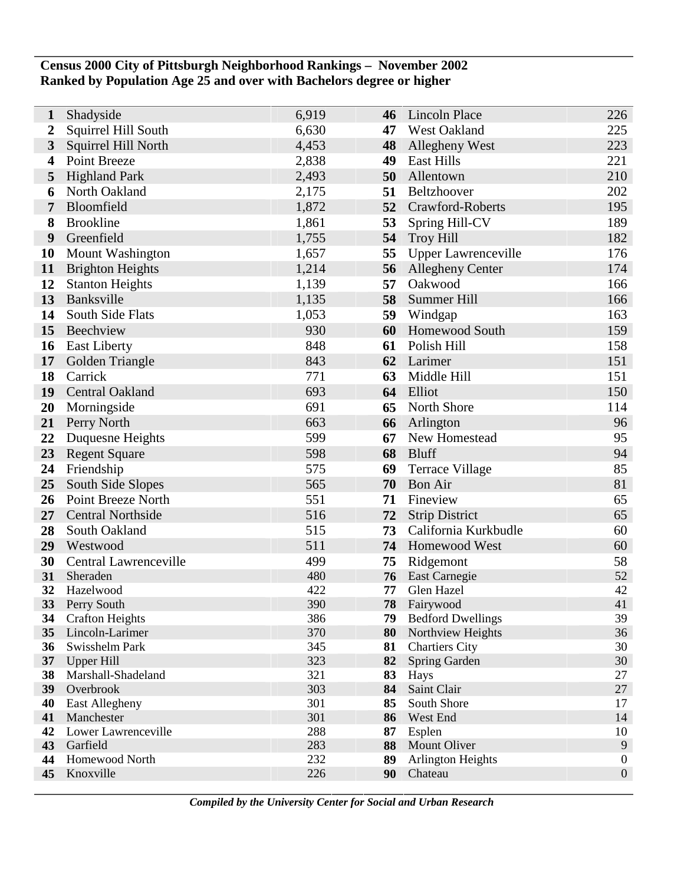## **Census 2000 City of Pittsburgh Neighborhood Rankings – November 2002 Ranked by Population Age 25 and over with Bachelors degree or higher**

| 1                | Shadyside                  | 6,919      | 46       | <b>Lincoln Place</b>                  | 226              |
|------------------|----------------------------|------------|----------|---------------------------------------|------------------|
| $\boldsymbol{2}$ | Squirrel Hill South        | 6,630      | 47       | West Oakland                          | 225              |
| $\mathbf{3}$     | Squirrel Hill North        | 4,453      | 48       | <b>Allegheny West</b>                 | 223              |
| 4                | Point Breeze               | 2,838      | 49       | <b>East Hills</b>                     | 221              |
| 5                | <b>Highland Park</b>       | 2,493      | 50       | Allentown                             | 210              |
| 6                | North Oakland              | 2,175      | 51       | Beltzhoover                           | 202              |
| 7                | Bloomfield                 | 1,872      | 52       | Crawford-Roberts                      | 195              |
| 8                | <b>Brookline</b>           | 1,861      | 53       | Spring Hill-CV                        | 189              |
| 9                | Greenfield                 | 1,755      | 54       | <b>Troy Hill</b>                      | 182              |
| 10               | Mount Washington           | 1,657      | 55       | <b>Upper Lawrenceville</b>            | 176              |
| 11               | <b>Brighton Heights</b>    | 1,214      | 56       | <b>Allegheny Center</b>               | 174              |
| 12               | <b>Stanton Heights</b>     | 1,139      | 57       | Oakwood                               | 166              |
| 13               | Banksville                 | 1,135      | 58       | Summer Hill                           | 166              |
| 14               | South Side Flats           | 1,053      | 59       | Windgap                               | 163              |
| 15               | Beechview                  | 930        | 60       | <b>Homewood South</b>                 | 159              |
| 16               | <b>East Liberty</b>        | 848        | 61       | Polish Hill                           | 158              |
| 17               | Golden Triangle            | 843        | 62       | Larimer                               | 151              |
| 18               | Carrick                    | 771        | 63       | Middle Hill                           | 151              |
| 19               | Central Oakland            | 693        | 64       | Elliot                                | 150              |
| 20               | Morningside                | 691        | 65       | North Shore                           | 114              |
| 21               | Perry North                | 663        | 66       | Arlington                             | 96               |
| 22               | Duquesne Heights           | 599        | 67       | New Homestead                         | 95               |
| 23               | <b>Regent Square</b>       | 598        | 68       | <b>Bluff</b>                          | 94               |
| 24               | Friendship                 | 575        | 69       | <b>Terrace Village</b>                | 85               |
| 25               | South Side Slopes          | 565        | 70       | <b>Bon Air</b>                        | 81               |
| 26               | Point Breeze North         | 551        | 71       | Fineview                              | 65               |
| 27               | <b>Central Northside</b>   | 516        | 72       | <b>Strip District</b>                 | 65               |
| 28               | South Oakland              | 515        | 73       | California Kurkbudle                  | 60               |
| 29               | Westwood                   | 511        | 74       | <b>Homewood West</b>                  | 60               |
| 30               | Central Lawrenceville      | 499        | 75       | Ridgemont                             | 58               |
| 31               | Sheraden                   | 480        | 76       | East Carnegie                         | 52<br>42         |
| 32<br>33         | Hazelwood<br>Perry South   | 422<br>390 | 77<br>78 | Glen Hazel                            | 41               |
| 34               | <b>Crafton Heights</b>     | 386        | 79       | Fairywood<br><b>Bedford Dwellings</b> | 39               |
| 35               | Lincoln-Larimer            | 370        | 80       | Northview Heights                     | 36               |
| 36               | Swisshelm Park             | 345        | 81       | <b>Chartiers City</b>                 | 30               |
|                  | 37 Upper Hill              | 323        | 82       | Spring Garden                         | 30               |
| 38               | Marshall-Shadeland         | 321        | 83       | Hays                                  | 27               |
| 39               | Overbrook                  | 303        | 84       | Saint Clair                           | 27               |
| 40               | East Allegheny             | 301        | 85       | South Shore                           | 17               |
| 41               | Manchester                 | 301        | 86       | West End                              | 14               |
| 42               | Lower Lawrenceville        | 288        | 87       | Esplen                                | 10<br>9          |
| 43<br>44         | Garfield<br>Homewood North | 283<br>232 | 88<br>89 | Mount Oliver                          | $\boldsymbol{0}$ |
| 45               | Knoxville                  | 226        | 90       | <b>Arlington Heights</b><br>Chateau   | $\boldsymbol{0}$ |
|                  |                            |            |          |                                       |                  |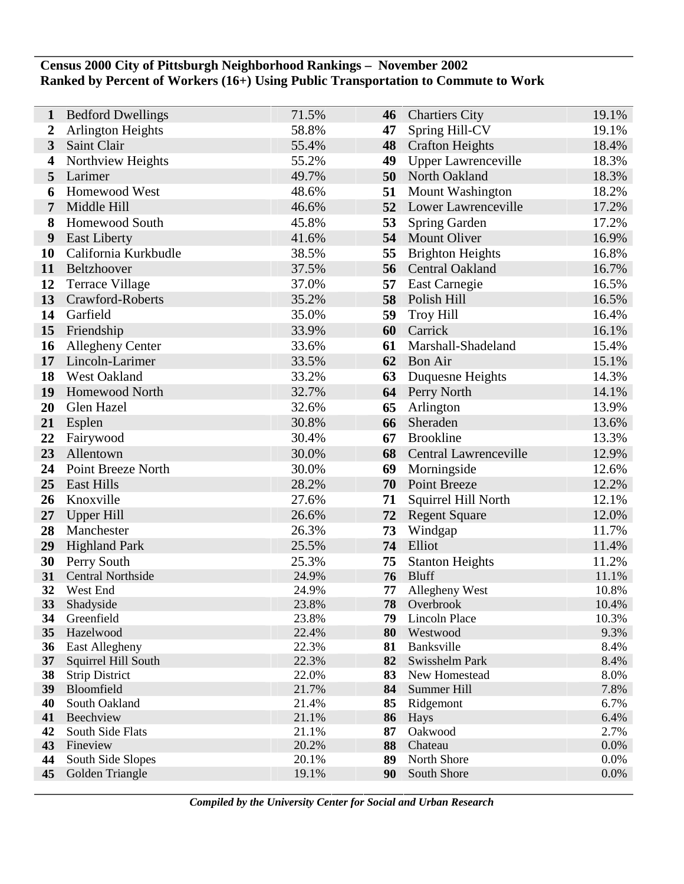### **Census 2000 City of Pittsburgh Neighborhood Rankings – November 2002 Ranked by Percent of Workers (16+) Using Public Transportation to Commute to Work**

| $\mathbf{1}$            | <b>Bedford Dwellings</b>                     | 71.5%          | 46       | <b>Chartiers City</b>      | 19.1%        |
|-------------------------|----------------------------------------------|----------------|----------|----------------------------|--------------|
| $\boldsymbol{2}$        | <b>Arlington Heights</b>                     | 58.8%          | 47       | Spring Hill-CV             | 19.1%        |
| $\overline{\mathbf{3}}$ | Saint Clair                                  | 55.4%          | 48       | <b>Crafton Heights</b>     | 18.4%        |
| 4                       | Northview Heights                            | 55.2%          | 49       | <b>Upper Lawrenceville</b> | 18.3%        |
| 5                       | Larimer                                      | 49.7%          | 50       | North Oakland              | 18.3%        |
| 6                       | Homewood West                                | 48.6%          | 51       | Mount Washington           | 18.2%        |
| 7                       | Middle Hill                                  | 46.6%          | 52       | Lower Lawrenceville        | 17.2%        |
| 8                       | Homewood South                               | 45.8%          | 53       | Spring Garden              | 17.2%        |
| 9                       | <b>East Liberty</b>                          | 41.6%          | 54       | <b>Mount Oliver</b>        | 16.9%        |
| <b>10</b>               | California Kurkbudle                         | 38.5%          | 55       | <b>Brighton Heights</b>    | 16.8%        |
| 11                      | Beltzhoover                                  | 37.5%          | 56       | <b>Central Oakland</b>     | 16.7%        |
| 12                      | <b>Terrace Village</b>                       | 37.0%          | 57       | East Carnegie              | 16.5%        |
| 13                      | Crawford-Roberts                             | 35.2%          | 58       | Polish Hill                | 16.5%        |
| 14                      | Garfield                                     | 35.0%          | 59       | <b>Troy Hill</b>           | 16.4%        |
| 15                      | Friendship                                   | 33.9%          | 60       | Carrick                    | 16.1%        |
| 16                      | Allegheny Center                             | 33.6%          | 61       | Marshall-Shadeland         | 15.4%        |
| 17                      | Lincoln-Larimer                              | 33.5%          | 62       | <b>Bon Air</b>             | 15.1%        |
| 18                      | <b>West Oakland</b>                          | 33.2%          | 63       | Duquesne Heights           | 14.3%        |
| 19                      | <b>Homewood North</b>                        | 32.7%          | 64       | Perry North                | 14.1%        |
| 20                      | Glen Hazel                                   | 32.6%          | 65       | Arlington                  | 13.9%        |
| 21                      | Esplen                                       | 30.8%          | 66       | Sheraden                   | 13.6%        |
| 22                      | Fairywood                                    | 30.4%          | 67       | <b>Brookline</b>           | 13.3%        |
| 23                      | Allentown                                    | 30.0%          | 68       | Central Lawrenceville      | 12.9%        |
| 24                      | Point Breeze North                           | 30.0%          | 69       | Morningside                | 12.6%        |
| 25                      | <b>East Hills</b>                            | 28.2%          | 70       | Point Breeze               | 12.2%        |
| 26                      | Knoxville                                    | 27.6%          | 71       | Squirrel Hill North        | 12.1%        |
| 27                      | <b>Upper Hill</b>                            | 26.6%          | 72       | <b>Regent Square</b>       | 12.0%        |
| 28                      | Manchester                                   | 26.3%          | 73       | Windgap                    | 11.7%        |
| 29                      | <b>Highland Park</b>                         | 25.5%          | 74       | Elliot                     | 11.4%        |
| 30                      | Perry South                                  | 25.3%          | 75       | <b>Stanton Heights</b>     | 11.2%        |
| 31                      | <b>Central Northside</b>                     | 24.9%          | 76       | <b>Bluff</b>               | 11.1%        |
| 32                      | West End                                     | 24.9%          | 77       | Allegheny West             | 10.8%        |
| 33                      | Shadyside                                    | 23.8%          | 78       | Overbrook                  | 10.4%        |
| 34                      | Greenfield                                   | 23.8%          | 79       | Lincoln Place              | 10.3%        |
| 35                      | Hazelwood                                    | 22.4%<br>22.3% | 80       | Westwood<br>Banksville     | 9.3%<br>8.4% |
| 36<br>37 <sup>7</sup>   | <b>East Allegheny</b><br>Squirrel Hill South | 22.3%          | 81<br>82 | Swisshelm Park             | 8.4%         |
| 38                      | <b>Strip District</b>                        | 22.0%          | 83       | New Homestead              | 8.0%         |
| 39                      | Bloomfield                                   | 21.7%          | 84       | Summer Hill                | 7.8%         |
| 40                      | South Oakland                                | 21.4%          | 85       | Ridgemont                  | 6.7%         |
| 41                      | Beechview                                    | 21.1%          | 86       | Hays                       | 6.4%         |
| 42                      | South Side Flats                             | 21.1%          | 87       | Oakwood                    | 2.7%         |
| 43                      | Fineview                                     | 20.2%          | 88       | Chateau                    | 0.0%         |
| 44                      | South Side Slopes                            | 20.1%          | 89       | North Shore                | 0.0%         |
| 45                      | Golden Triangle                              | 19.1%          | 90       | South Shore                | 0.0%         |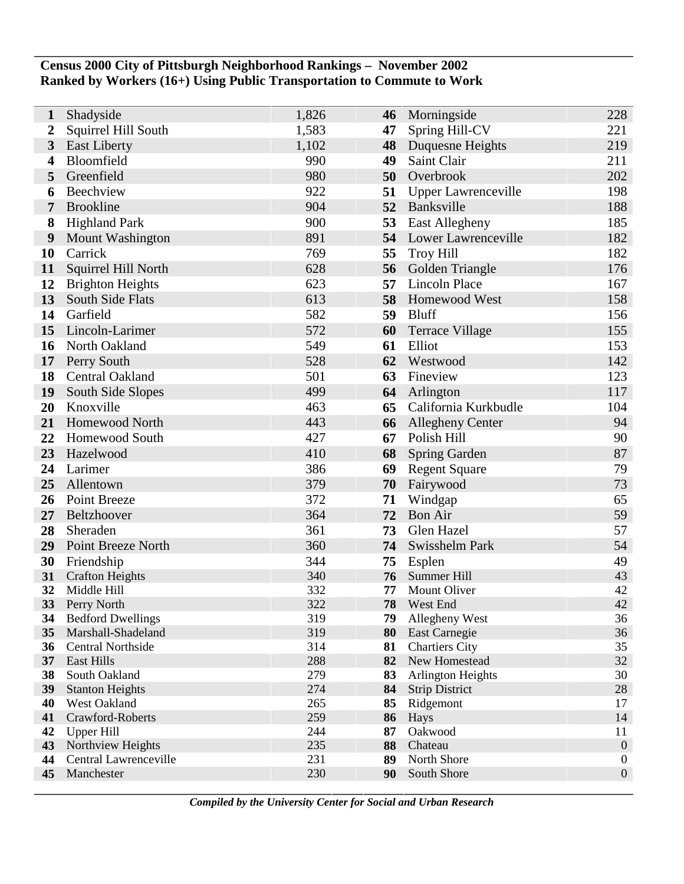## **Census 2000 City of Pittsburgh Neighborhood Rankings – November 2002 Ranked by Workers (16+) Using Public Transportation to Commute to Work**

| 1                | Shadyside                              | 1,826      | 46       | Morningside                   | 228              |
|------------------|----------------------------------------|------------|----------|-------------------------------|------------------|
| $\boldsymbol{2}$ | Squirrel Hill South                    | 1,583      | 47       | Spring Hill-CV                | 221              |
| $\mathbf{3}$     | <b>East Liberty</b>                    | 1,102      | 48       | Duquesne Heights              | 219              |
| 4                | Bloomfield                             | 990        | 49       | Saint Clair                   | 211              |
| 5                | Greenfield                             | 980        | 50       | Overbrook                     | 202              |
| 6                | Beechview                              | 922        | 51       | <b>Upper Lawrenceville</b>    | 198              |
| 7                | <b>Brookline</b>                       | 904        | 52       | Banksville                    | 188              |
| 8                | <b>Highland Park</b>                   | 900        | 53       | <b>East Allegheny</b>         | 185              |
| 9                | Mount Washington                       | 891        |          | <b>54</b> Lower Lawrenceville | 182              |
| 10               | Carrick                                | 769        | 55       | <b>Troy Hill</b>              | 182              |
| 11               | Squirrel Hill North                    | 628        | 56       | Golden Triangle               | 176              |
| 12               | <b>Brighton Heights</b>                | 623        | 57       | <b>Lincoln Place</b>          | 167              |
| 13               | South Side Flats                       | 613        | 58       | Homewood West                 | 158              |
| 14               | Garfield                               | 582        | 59       | <b>Bluff</b>                  | 156              |
| 15               | Lincoln-Larimer                        | 572        | 60       | <b>Terrace Village</b>        | 155              |
| 16               | North Oakland                          | 549        | 61       | Elliot                        | 153              |
| 17               | Perry South                            | 528        | 62       | Westwood                      | 142              |
| 18               | Central Oakland                        | 501        | 63       | Fineview                      | 123              |
| 19               | South Side Slopes                      | 499        | 64       | Arlington                     | 117              |
| 20               | Knoxville                              | 463        | 65       | California Kurkbudle          | 104              |
| 21               | Homewood North                         | 443        | 66       | <b>Allegheny Center</b>       | 94               |
| 22               | <b>Homewood South</b>                  | 427        | 67       | Polish Hill                   | 90               |
| 23               | Hazelwood                              | 410        | 68       | Spring Garden                 | 87               |
| 24               | Larimer                                | 386        | 69       | <b>Regent Square</b>          | 79               |
| 25               | Allentown                              | 379        | 70       | Fairywood                     | 73               |
| 26               | Point Breeze                           | 372        | 71       | Windgap                       | 65               |
| 27               | Beltzhoover                            | 364        | 72       | <b>Bon Air</b>                | 59               |
| 28               | Sheraden                               | 361        | 73       | Glen Hazel                    | 57               |
| 29               | Point Breeze North                     | 360        | 74       | Swisshelm Park                | 54               |
| 30               | Friendship                             | 344        | 75       | Esplen                        | 49               |
| 31<br>32         | <b>Crafton Heights</b><br>Middle Hill  | 340<br>332 | 76<br>77 | Summer Hill<br>Mount Oliver   | 43<br>42         |
| 33               | Perry North                            | 322        | 78       | West End                      | 42               |
| 34               | <b>Bedford Dwellings</b>               | 319        | 79       | Allegheny West                | 36               |
| 35               | Marshall-Shadeland                     | 319        | 80       | <b>East Carnegie</b>          | 36               |
| 36               | Central Northside                      | 314        | 81       | <b>Chartiers City</b>         | 35               |
| 37               | <b>East Hills</b>                      | 288        | 82       | New Homestead                 | 32               |
| 38               | South Oakland                          | 279        | 83       | <b>Arlington Heights</b>      | 30               |
| 39               | <b>Stanton Heights</b>                 | 274        | 84       | <b>Strip District</b>         | $28\,$           |
| 40               | West Oakland                           | 265        | 85       | Ridgemont                     | 17               |
| 41               | Crawford-Roberts                       | 259<br>244 | 86<br>87 | Hays<br>Oakwood               | 14<br>11         |
| 42<br>43         | <b>Upper Hill</b><br>Northview Heights | 235        | 88       | Chateau                       | $\overline{0}$   |
| 44               | Central Lawrenceville                  | 231        | 89       | North Shore                   | $\boldsymbol{0}$ |
| 45               | Manchester                             | 230        | 90       | South Shore                   | $\boldsymbol{0}$ |
|                  |                                        |            |          |                               |                  |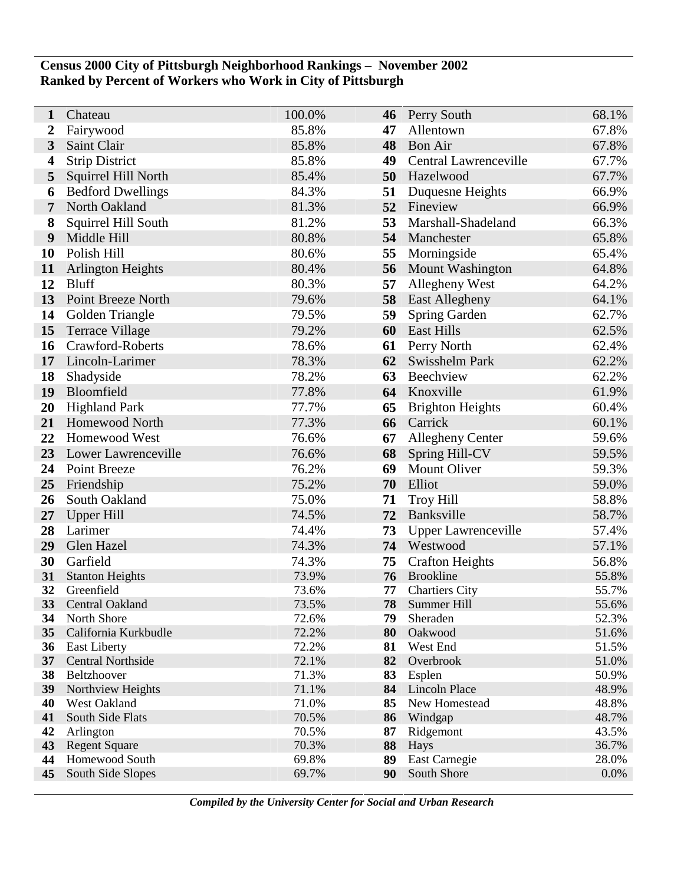## **Census 2000 City of Pittsburgh Neighborhood Rankings – November 2002 Ranked by Percent of Workers who Work in City of Pittsburgh**

| 1                       | Chateau                                         | 100.0%         | 46       | Perry South                | 68.1%          |
|-------------------------|-------------------------------------------------|----------------|----------|----------------------------|----------------|
| 2                       | Fairywood                                       | 85.8%          | 47       | Allentown                  | 67.8%          |
| $\mathbf{3}$            | Saint Clair                                     | 85.8%          | 48       | <b>Bon Air</b>             | 67.8%          |
| $\overline{\mathbf{4}}$ | <b>Strip District</b>                           | 85.8%          | 49       | Central Lawrenceville      | 67.7%          |
| 5                       | Squirrel Hill North                             | 85.4%          | 50       | Hazelwood                  | 67.7%          |
| 6                       | <b>Bedford Dwellings</b>                        | 84.3%          | 51       | Duquesne Heights           | 66.9%          |
| $\overline{7}$          | North Oakland                                   | 81.3%          | 52       | Fineview                   | 66.9%          |
| 8                       | Squirrel Hill South                             | 81.2%          | 53       | Marshall-Shadeland         | 66.3%          |
| 9                       | Middle Hill                                     | 80.8%          | 54       | Manchester                 | 65.8%          |
| 10                      | Polish Hill                                     | 80.6%          | 55       | Morningside                | 65.4%          |
| 11                      | <b>Arlington Heights</b>                        | 80.4%          | 56       | <b>Mount Washington</b>    | 64.8%          |
| 12                      | <b>Bluff</b>                                    | 80.3%          | 57       | <b>Allegheny West</b>      | 64.2%          |
| 13                      | Point Breeze North                              | 79.6%          | 58       | <b>East Allegheny</b>      | 64.1%          |
| 14                      | Golden Triangle                                 | 79.5%          | 59       | Spring Garden              | 62.7%          |
| 15                      | <b>Terrace Village</b>                          | 79.2%          | 60       | <b>East Hills</b>          | 62.5%          |
| 16                      | Crawford-Roberts                                | 78.6%          | 61       | Perry North                | 62.4%          |
| 17                      | Lincoln-Larimer                                 | 78.3%          | 62       | Swisshelm Park             | 62.2%          |
| 18                      | Shadyside                                       | 78.2%          | 63       | Beechview                  | 62.2%          |
| 19                      | Bloomfield                                      | 77.8%          | 64       | Knoxville                  | 61.9%          |
| 20                      | <b>Highland Park</b>                            | 77.7%          | 65       | <b>Brighton Heights</b>    | 60.4%          |
| 21                      | Homewood North                                  | 77.3%          | 66       | Carrick                    | 60.1%          |
| 22                      | Homewood West                                   | 76.6%          | 67       | <b>Allegheny Center</b>    | 59.6%          |
| 23                      | Lower Lawrenceville                             | 76.6%          | 68       | Spring Hill-CV             | 59.5%          |
| 24                      | Point Breeze                                    | 76.2%          | 69       | <b>Mount Oliver</b>        | 59.3%          |
| 25                      | Friendship                                      | 75.2%          | 70       | Elliot                     | 59.0%          |
| 26                      | South Oakland                                   | 75.0%          | 71       | <b>Troy Hill</b>           | 58.8%          |
| 27                      | <b>Upper Hill</b>                               | 74.5%          | 72       | Banksville                 | 58.7%          |
| 28                      | Larimer                                         | 74.4%          | 73       | <b>Upper Lawrenceville</b> | 57.4%          |
| 29                      | Glen Hazel                                      | 74.3%          | 74       | Westwood                   | 57.1%          |
| 30                      | Garfield                                        | 74.3%          | 75       | <b>Crafton Heights</b>     | 56.8%          |
| 31                      | <b>Stanton Heights</b>                          | 73.9%          | 76       | <b>Brookline</b>           | 55.8%          |
| 32                      | Greenfield                                      | 73.6%          | 77       | <b>Chartiers City</b>      | 55.7%          |
| <b>33</b>               | <b>Central Oakland</b>                          | 73.5%          | 78       | Summer Hill                | 55.6%          |
| 34                      | North Shore                                     | 72.6%          | 79       | Sheraden                   | 52.3%          |
| 35                      | California Kurkbudle                            | 72.2%<br>72.2% | 80       | Oakwood                    | 51.6%<br>51.5% |
| 36<br>37                | <b>East Liberty</b><br><b>Central Northside</b> | 72.1%          | 81<br>82 | West End<br>Overbrook      | 51.0%          |
| 38                      | Beltzhoover                                     | 71.3%          | 83       | Esplen                     | 50.9%          |
| 39                      | Northview Heights                               | 71.1%          | 84       | <b>Lincoln Place</b>       | 48.9%          |
| 40                      | West Oakland                                    | 71.0%          | 85       | New Homestead              | 48.8%          |
| 41                      | South Side Flats                                | 70.5%          | 86       | Windgap                    | 48.7%          |
| 42                      | Arlington                                       | 70.5%          | 87       | Ridgemont                  | 43.5%          |
| 43                      | <b>Regent Square</b>                            | 70.3%          | 88       | Hays                       | 36.7%          |
| 44                      | Homewood South                                  | 69.8%          | 89       | East Carnegie              | 28.0%          |
| 45                      | South Side Slopes                               | 69.7%          | 90       | South Shore                | 0.0%           |
|                         |                                                 |                |          |                            |                |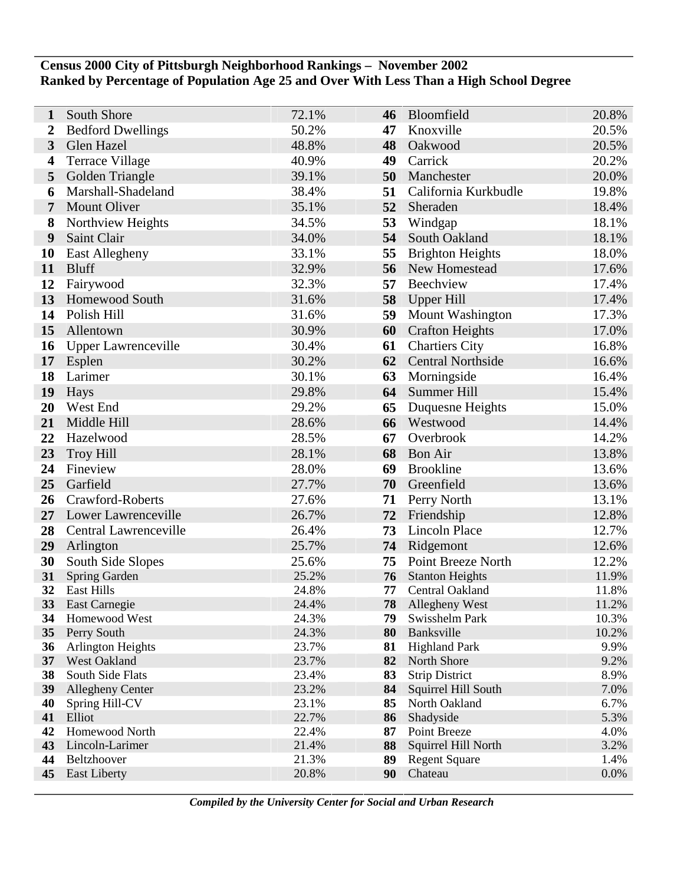## **Census 2000 City of Pittsburgh Neighborhood Rankings – November 2002 Ranked by Percentage of Population Age 25 and Over With Less Than a High School Degree**

| 1                | South Shore                      | 72.1%          | 46       | Bloomfield                          | 20.8%         |
|------------------|----------------------------------|----------------|----------|-------------------------------------|---------------|
| $\boldsymbol{2}$ | <b>Bedford Dwellings</b>         | 50.2%          | 47       | Knoxville                           | 20.5%         |
| 3                | Glen Hazel                       | 48.8%          | 48       | Oakwood                             | 20.5%         |
| 4                | <b>Terrace Village</b>           | 40.9%          | 49       | Carrick                             | 20.2%         |
| 5                | Golden Triangle                  | 39.1%          | 50       | Manchester                          | 20.0%         |
| 6                | Marshall-Shadeland               | 38.4%          | 51       | California Kurkbudle                | 19.8%         |
| 7                | <b>Mount Oliver</b>              | 35.1%          | 52       | Sheraden                            | 18.4%         |
| 8                | Northview Heights                | 34.5%          | 53       | Windgap                             | 18.1%         |
| 9                | Saint Clair                      | 34.0%          | 54       | South Oakland                       | 18.1%         |
| 10               | East Allegheny                   | 33.1%          | 55       | <b>Brighton Heights</b>             | 18.0%         |
| 11               | <b>Bluff</b>                     | 32.9%          | 56       | New Homestead                       | 17.6%         |
| 12               | Fairywood                        | 32.3%          | 57       | Beechview                           | 17.4%         |
| 13               | <b>Homewood South</b>            | 31.6%          | 58       | <b>Upper Hill</b>                   | 17.4%         |
| 14               | Polish Hill                      | 31.6%          | 59       | <b>Mount Washington</b>             | 17.3%         |
| 15               | Allentown                        | 30.9%          | 60       | <b>Crafton Heights</b>              | 17.0%         |
| 16               | <b>Upper Lawrenceville</b>       | 30.4%          | 61       | <b>Chartiers City</b>               | 16.8%         |
| 17               | Esplen                           | 30.2%          | 62       | <b>Central Northside</b>            | 16.6%         |
| 18               | Larimer                          | 30.1%          | 63       | Morningside                         | 16.4%         |
| 19               | Hays                             | 29.8%          | 64       | Summer Hill                         | 15.4%         |
| 20               | West End                         | 29.2%          | 65       | Duquesne Heights                    | 15.0%         |
| 21               | Middle Hill                      | 28.6%          | 66       | Westwood                            | 14.4%         |
| 22               | Hazelwood                        | 28.5%          | 67       | Overbrook                           | 14.2%         |
| 23               | <b>Troy Hill</b>                 | 28.1%          | 68       | <b>Bon Air</b>                      | 13.8%         |
| 24               | Fineview                         | 28.0%          | 69       | <b>Brookline</b>                    | 13.6%         |
| 25               | Garfield                         | 27.7%          | 70       | Greenfield                          | 13.6%         |
| 26               | Crawford-Roberts                 | 27.6%          | 71       | Perry North                         | 13.1%         |
| 27               | Lower Lawrenceville              | 26.7%          | 72       | Friendship                          | 12.8%         |
| 28               | Central Lawrenceville            | 26.4%          | 73       | <b>Lincoln Place</b>                | 12.7%         |
| 29               | Arlington                        | 25.7%          | 74       | Ridgemont                           | 12.6%         |
| 30               | South Side Slopes                | 25.6%          | 75       | Point Breeze North                  | 12.2%         |
| 31               | Spring Garden                    | 25.2%          | 76       | <b>Stanton Heights</b>              | 11.9%         |
| 32               | East Hills                       | 24.8%          | 77       | Central Oakland                     | 11.8%         |
| 33               | East Carnegie                    | 24.4%          | 78       | Allegheny West                      | 11.2%         |
| 34               | Homewood West                    | 24.3%          | 79       | Swisshelm Park                      | 10.3%         |
| 35               | Perry South<br>Arlington Heights | 24.3%<br>23.7% | 80       | Banksville                          | 10.2%<br>9.9% |
| 36               | 37 West Oakland                  | 23.7%          | 81<br>82 | <b>Highland Park</b><br>North Shore | 9.2%          |
| 38               | South Side Flats                 | 23.4%          | 83       | <b>Strip District</b>               | 8.9%          |
| 39               | <b>Allegheny Center</b>          | 23.2%          | 84       | Squirrel Hill South                 | 7.0%          |
| 40               | Spring Hill-CV                   | 23.1%          | 85       | North Oakland                       | 6.7%          |
| 41               | Elliot                           | 22.7%          | 86       | Shadyside                           | 5.3%          |
| 42               | Homewood North                   | 22.4%          | 87       | Point Breeze                        | 4.0%          |
| 43               | Lincoln-Larimer                  | 21.4%          | 88       | Squirrel Hill North                 | 3.2%          |
| 44               | Beltzhoover                      | 21.3%          | 89       | <b>Regent Square</b>                | 1.4%          |
| 45               | <b>East Liberty</b>              | 20.8%          | 90       | Chateau                             | 0.0%          |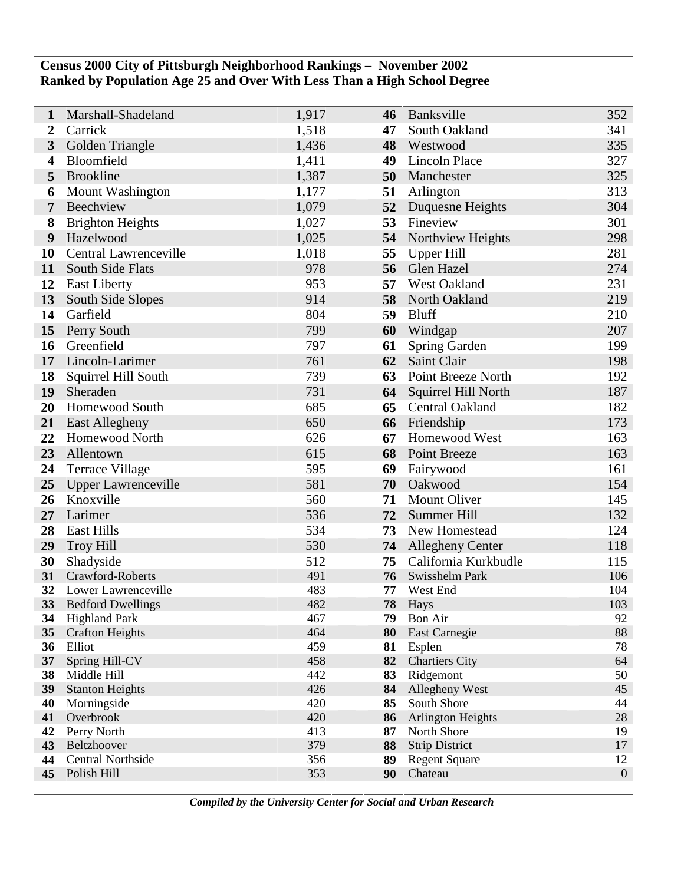## **Census 2000 City of Pittsburgh Neighborhood Rankings – November 2002 Ranked by Population Age 25 and Over With Less Than a High School Degree**

| 1         | Marshall-Shadeland               | 1,917      | 46       | Banksville                 | 352          |
|-----------|----------------------------------|------------|----------|----------------------------|--------------|
| 2         | Carrick                          | 1,518      | 47       | South Oakland              | 341          |
| 3         | Golden Triangle                  | 1,436      | 48       | Westwood                   | 335          |
| 4         | Bloomfield                       | 1,411      | 49       | <b>Lincoln Place</b>       | 327          |
| 5         | <b>Brookline</b>                 | 1,387      | 50       | Manchester                 | 325          |
| 6         | Mount Washington                 | 1,177      | 51       | Arlington                  | 313          |
| 7         | Beechview                        | 1,079      | 52       | Duquesne Heights           | 304          |
| 8         | <b>Brighton Heights</b>          | 1,027      | 53       | Fineview                   | 301          |
| 9         | Hazelwood                        | 1,025      | 54       | Northview Heights          | 298          |
| 10        | <b>Central Lawrenceville</b>     | 1,018      | 55       | Upper Hill                 | 281          |
| 11        | South Side Flats                 | 978        | 56       | Glen Hazel                 | 274          |
| 12        | <b>East Liberty</b>              | 953        | 57       | <b>West Oakland</b>        | 231          |
| 13        | South Side Slopes                | 914        | 58       | North Oakland              | 219          |
| 14        | Garfield                         | 804        | 59       | <b>Bluff</b>               | 210          |
| 15        | Perry South                      | 799        | 60       | Windgap                    | 207          |
| 16        | Greenfield                       | 797        | 61       | Spring Garden              | 199          |
| 17        | Lincoln-Larimer                  | 761        | 62       | Saint Clair                | 198          |
| 18        | Squirrel Hill South              | 739        | 63       | Point Breeze North         | 192          |
| 19        | Sheraden                         | 731        | 64       | <b>Squirrel Hill North</b> | 187          |
| 20        | Homewood South                   | 685        | 65       | <b>Central Oakland</b>     | 182          |
| 21        | East Allegheny                   | 650        | 66       | Friendship                 | 173          |
| 22        | <b>Homewood North</b>            | 626        | 67       | Homewood West              | 163          |
| 23        | Allentown                        | 615        | 68       | Point Breeze               | 163          |
| 24        | <b>Terrace Village</b>           | 595        | 69       | Fairywood                  | 161          |
| 25        | <b>Upper Lawrenceville</b>       | 581        | 70       | Oakwood                    | 154          |
| 26        | Knoxville                        | 560        | 71       | <b>Mount Oliver</b>        | 145          |
| 27        | Larimer                          | 536        | 72       | Summer Hill                | 132          |
| 28        | <b>East Hills</b>                | 534        | 73       | New Homestead              | 124          |
| 29        | <b>Troy Hill</b>                 | 530        |          | <b>74</b> Allegheny Center | 118          |
| 30        | Shadyside                        | 512        | 75       | California Kurkbudle       | 115          |
| 31        | Crawford-Roberts                 | 491        | 76       | Swisshelm Park             | 106          |
| 32        | Lower Lawrenceville              | 483        | 77       | West End                   | 104          |
| <b>33</b> | <b>Bedford Dwellings</b>         | 482        | 78       | Hays                       | 103          |
| 34        | <b>Highland Park</b>             | 467<br>464 | 79       | Bon Air                    | 92           |
| 35<br>36  | <b>Crafton Heights</b><br>Elliot | 459        | 80<br>81 | East Carnegie<br>Esplen    | 88<br>78     |
| 37        | Spring Hill-CV                   | 458        | 82       | <b>Chartiers City</b>      | 64           |
| 38        | Middle Hill                      | 442        | 83       | Ridgemont                  | 50           |
| 39        | <b>Stanton Heights</b>           | 426        | 84       | Allegheny West             | 45           |
| 40        | Morningside                      | 420        | 85       | South Shore                | 44           |
| 41        | Overbrook                        | 420        | 86       | <b>Arlington Heights</b>   | 28           |
| 42        | Perry North                      | 413        | 87       | North Shore                | 19           |
| 43        | Beltzhoover                      | 379        | 88       | <b>Strip District</b>      | 17           |
| 44        | <b>Central Northside</b>         | 356        | 89       | <b>Regent Square</b>       | 12           |
| 45        | Polish Hill                      | 353        | 90       | Chateau                    | $\mathbf{0}$ |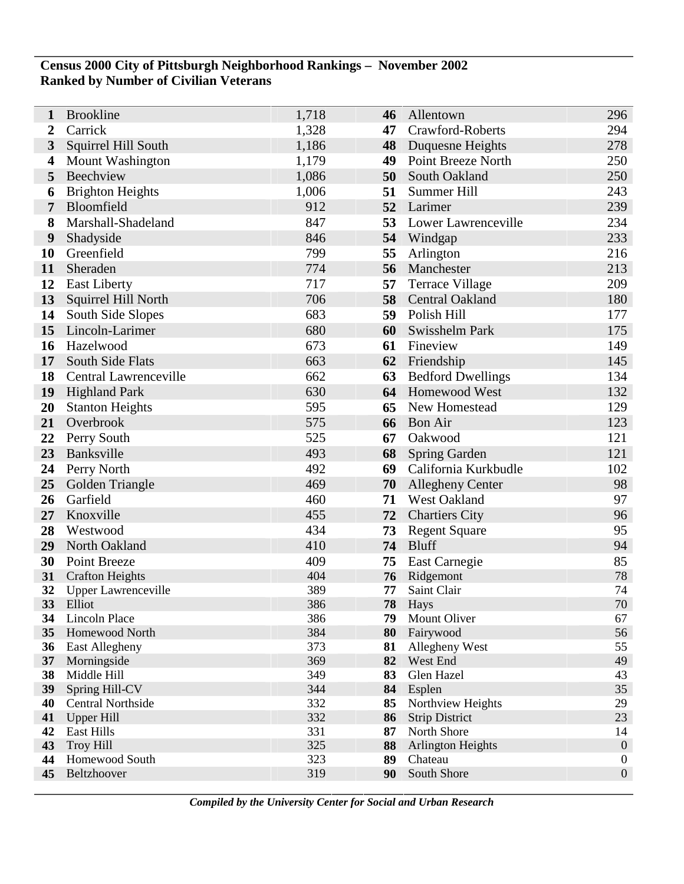## **Census 2000 City of Pittsburgh Neighborhood Rankings – November 2002 Ranked by Number of Civilian Veterans**

| 1            | <b>Brookline</b>                 | 1,718      | 46       | Allentown                   | 296              |
|--------------|----------------------------------|------------|----------|-----------------------------|------------------|
| 2            | Carrick                          | 1,328      | 47       | Crawford-Roberts            | 294              |
| $\mathbf{3}$ | Squirrel Hill South              | 1,186      | 48       | Duquesne Heights            | 278              |
| 4            | <b>Mount Washington</b>          | 1,179      | 49       | Point Breeze North          | 250              |
| 5            | Beechview                        | 1,086      | 50       | South Oakland               | 250              |
| 6            | <b>Brighton Heights</b>          | 1,006      | 51       | Summer Hill                 | 243              |
| 7            | Bloomfield                       | 912        | 52       | Larimer                     | 239              |
| 8            | Marshall-Shadeland               | 847        | 53       | Lower Lawrenceville         | 234              |
| 9            | Shadyside                        | 846        | 54       | Windgap                     | 233              |
| 10           | Greenfield                       | 799        | 55       | Arlington                   | 216              |
| 11           | Sheraden                         | 774        | 56       | Manchester                  | 213              |
| 12           | <b>East Liberty</b>              | 717        | 57       | <b>Terrace Village</b>      | 209              |
| 13           | Squirrel Hill North              | 706        | 58       | Central Oakland             | 180              |
| 14           | South Side Slopes                | 683        | 59       | Polish Hill                 | 177              |
| 15           | Lincoln-Larimer                  | 680        | 60       | Swisshelm Park              | 175              |
| 16           | Hazelwood                        | 673        | 61       | Fineview                    | 149              |
| 17           | South Side Flats                 | 663        | 62       | Friendship                  | 145              |
| 18           | Central Lawrenceville            | 662        | 63       | <b>Bedford Dwellings</b>    | 134              |
| 19           | <b>Highland Park</b>             | 630        | 64       | Homewood West               | 132              |
| 20           | <b>Stanton Heights</b>           | 595        | 65       | New Homestead               | 129              |
| 21           | Overbrook                        | 575        | 66       | <b>Bon Air</b>              | 123              |
| 22           | Perry South                      | 525        | 67       | Oakwood                     | 121              |
| 23           | Banksville                       | 493        | 68       | <b>Spring Garden</b>        | 121              |
| 24           | Perry North                      | 492        | 69       | California Kurkbudle        | 102              |
| 25           | Golden Triangle                  | 469        | 70       | <b>Allegheny Center</b>     | 98               |
| 26           | Garfield                         | 460        | 71       | West Oakland                | 97               |
| 27           | Knoxville                        | 455        | 72       | <b>Chartiers City</b>       | 96               |
| 28           | Westwood                         | 434        | 73       | <b>Regent Square</b>        | 95               |
| 29           | North Oakland                    | 410        | 74       | <b>Bluff</b>                | 94               |
| 30           | Point Breeze                     | 409        | 75       | East Carnegie               | 85               |
| 31           | <b>Crafton Heights</b>           | 404        | 76       | Ridgemont                   | 78               |
| 32           | <b>Upper Lawrenceville</b>       | 389        | 77       | Saint Clair                 | 74               |
| 33           | Elliot                           | 386        | 78       | Hays                        | $70\,$           |
| 34           | Lincoln Place                    | 386        | 79       | Mount Oliver                | 67               |
| 35<br>36     | Homewood North<br>East Allegheny | 384<br>373 | 80<br>81 | Fairywood<br>Allegheny West | 56<br>55         |
| 37           | Morningside                      | 369        | 82       | West End                    | 49               |
| 38           | Middle Hill                      | 349        | 83       | Glen Hazel                  | 43               |
| 39           | Spring Hill-CV                   | 344        | 84       | Esplen                      | 35               |
| 40           | <b>Central Northside</b>         | 332        | 85       | Northview Heights           | 29               |
| 41           | <b>Upper Hill</b>                | 332        | 86       | <b>Strip District</b>       | 23               |
| 42           | East Hills                       | 331        | 87       | North Shore                 | 14               |
| 43           | <b>Troy Hill</b>                 | 325        | 88       | <b>Arlington Heights</b>    | $\mathbf{0}$     |
| 44           | Homewood South                   | 323        | 89       | Chateau                     | $\boldsymbol{0}$ |
| 45           | Beltzhoover                      | 319        | 90       | South Shore                 | $\boldsymbol{0}$ |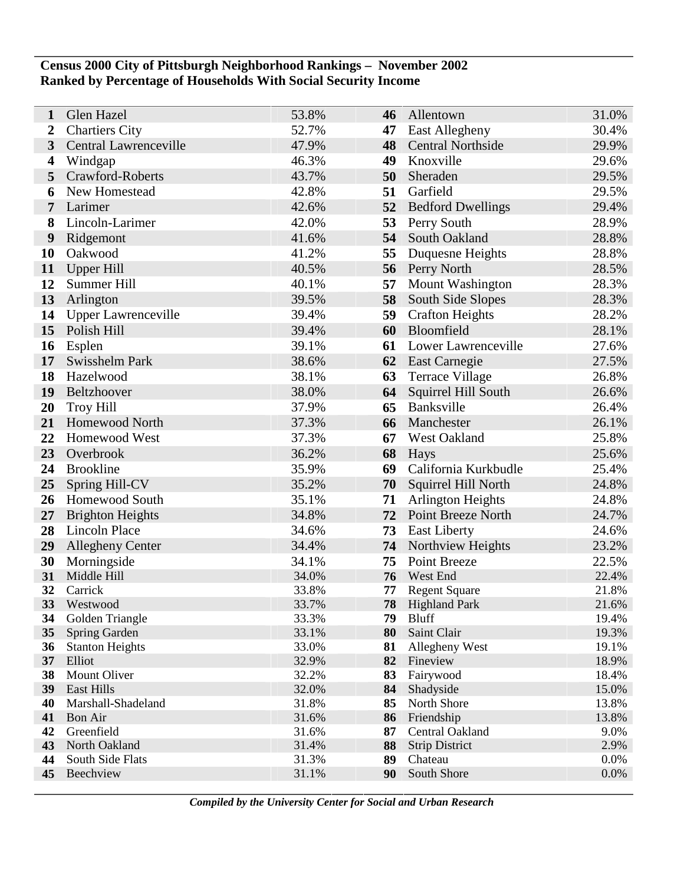## **Census 2000 City of Pittsburgh Neighborhood Rankings – November 2002 Ranked by Percentage of Households With Social Security Income**

| 1        | Glen Hazel                       | 53.8%          | 46 | Allentown                     | 31.0%          |
|----------|----------------------------------|----------------|----|-------------------------------|----------------|
| 2        | <b>Chartiers City</b>            | 52.7%          | 47 | East Allegheny                | 30.4%          |
| 3        | Central Lawrenceville            | 47.9%          | 48 | <b>Central Northside</b>      | 29.9%          |
| 4        | Windgap                          | 46.3%          | 49 | Knoxville                     | 29.6%          |
| 5        | Crawford-Roberts                 | 43.7%          | 50 | Sheraden                      | 29.5%          |
| 6        | New Homestead                    | 42.8%          | 51 | Garfield                      | 29.5%          |
| 7        | Larimer                          | 42.6%          | 52 | <b>Bedford Dwellings</b>      | 29.4%          |
| 8        | Lincoln-Larimer                  | 42.0%          | 53 | Perry South                   | 28.9%          |
| 9        | Ridgemont                        | 41.6%          | 54 | South Oakland                 | 28.8%          |
| 10       | Oakwood                          | 41.2%          | 55 | Duquesne Heights              | 28.8%          |
| 11       | <b>Upper Hill</b>                | 40.5%          | 56 | Perry North                   | 28.5%          |
| 12       | Summer Hill                      | 40.1%          | 57 | <b>Mount Washington</b>       | 28.3%          |
| 13       | Arlington                        | 39.5%          | 58 | South Side Slopes             | 28.3%          |
| 14       | <b>Upper Lawrenceville</b>       | 39.4%          | 59 | <b>Crafton Heights</b>        | 28.2%          |
| 15       | Polish Hill                      | 39.4%          | 60 | Bloomfield                    | 28.1%          |
| 16       | Esplen                           | 39.1%          | 61 | Lower Lawrenceville           | 27.6%          |
| 17       | Swisshelm Park                   | 38.6%          | 62 | <b>East Carnegie</b>          | 27.5%          |
| 18       | Hazelwood                        | 38.1%          | 63 | <b>Terrace Village</b>        | 26.8%          |
| 19       | Beltzhoover                      | 38.0%          | 64 | Squirrel Hill South           | 26.6%          |
| 20       | <b>Troy Hill</b>                 | 37.9%          | 65 | Banksville                    | 26.4%          |
| 21       | Homewood North                   | 37.3%          | 66 | Manchester                    | 26.1%          |
| 22       | Homewood West                    | 37.3%          | 67 | West Oakland                  | 25.8%          |
| 23       | Overbrook                        | 36.2%          | 68 | Hays                          | 25.6%          |
| 24       | <b>Brookline</b>                 | 35.9%          | 69 | California Kurkbudle          | 25.4%          |
| 25       | Spring Hill-CV                   | 35.2%          | 70 | Squirrel Hill North           | 24.8%          |
| 26       | Homewood South                   | 35.1%          | 71 | <b>Arlington Heights</b>      | 24.8%          |
| 27       | <b>Brighton Heights</b>          | 34.8%          | 72 | Point Breeze North            | 24.7%          |
| 28       | <b>Lincoln Place</b>             | 34.6%          | 73 | <b>East Liberty</b>           | 24.6%          |
| 29       | <b>Allegheny Center</b>          | 34.4%          | 74 | Northview Heights             | 23.2%          |
| 30       | Morningside                      | 34.1%          | 75 | <b>Point Breeze</b>           | 22.5%          |
| 31       | Middle Hill                      | 34.0%          | 76 | West End                      | 22.4%          |
| 32       | Carrick                          | 33.8%          | 77 | <b>Regent Square</b>          | 21.8%          |
| 33       | Westwood                         | 33.7%          | 78 | <b>Highland Park</b>          | 21.6%          |
| 34       | Golden Triangle                  | 33.3%          |    | 79 Bluff                      | 19.4%          |
| 35       | Spring Garden                    | 33.1%<br>33.0% | 80 | Saint Clair                   | 19.3%          |
| 36<br>37 | <b>Stanton Heights</b><br>Elliot | 32.9%          | 81 | Allegheny West<br>82 Fineview | 19.1%<br>18.9% |
| 38       | Mount Oliver                     | 32.2%          | 83 | Fairywood                     | 18.4%          |
| 39       | <b>East Hills</b>                | 32.0%          | 84 | Shadyside                     | 15.0%          |
| 40       | Marshall-Shadeland               | 31.8%          | 85 | North Shore                   | 13.8%          |
| 41       | <b>Bon Air</b>                   | 31.6%          | 86 | Friendship                    | 13.8%          |
| 42       | Greenfield                       | 31.6%          | 87 | Central Oakland               | 9.0%           |
| 43       | North Oakland                    | 31.4%          | 88 | <b>Strip District</b>         | 2.9%           |
| 44       | South Side Flats                 | 31.3%          | 89 | Chateau                       | 0.0%           |
| 45       | Beechview                        | 31.1%          | 90 | South Shore                   | 0.0%           |
|          |                                  |                |    |                               |                |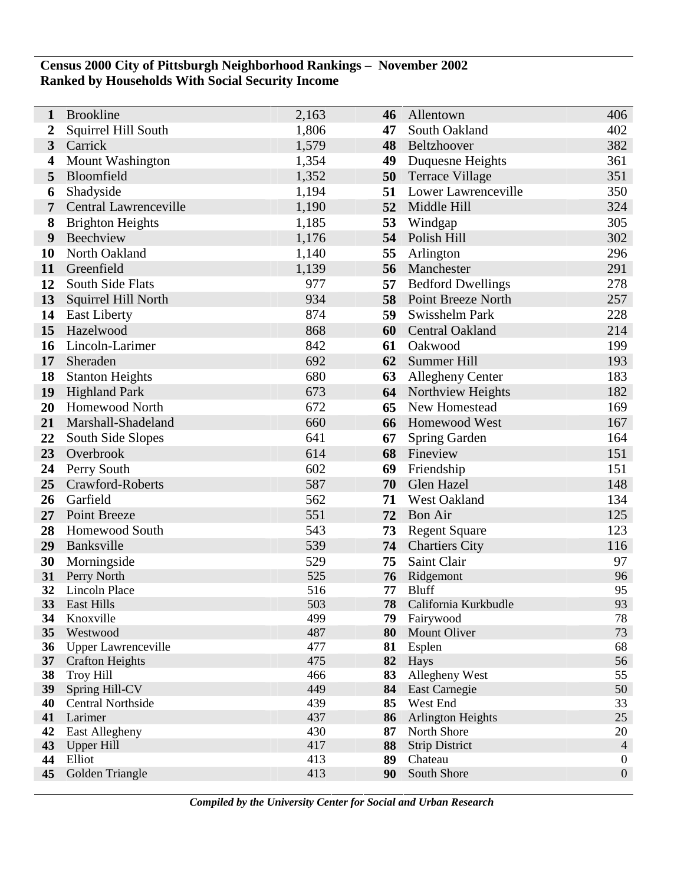## **Census 2000 City of Pittsburgh Neighborhood Rankings – November 2002 Ranked by Households With Social Security Income**

| 1                       | <b>Brookline</b>             | 2,163      | 46       | Allentown                 | 406              |
|-------------------------|------------------------------|------------|----------|---------------------------|------------------|
| 2                       | Squirrel Hill South          | 1,806      | 47       | South Oakland             | 402              |
| $\overline{\mathbf{3}}$ | Carrick                      | 1,579      | 48       | Beltzhoover               | 382              |
| 4                       | <b>Mount Washington</b>      | 1,354      | 49       | Duquesne Heights          | 361              |
| 5                       | Bloomfield                   | 1,352      | 50       | <b>Terrace Village</b>    | 351              |
| 6                       | Shadyside                    | 1,194      | 51       | Lower Lawrenceville       | 350              |
| 7                       | <b>Central Lawrenceville</b> | 1,190      | 52       | Middle Hill               | 324              |
| 8                       | <b>Brighton Heights</b>      | 1,185      | 53       | Windgap                   | 305              |
| 9                       | Beechview                    | 1,176      | 54       | Polish Hill               | 302              |
| 10                      | North Oakland                | 1,140      | 55       | Arlington                 | 296              |
| 11                      | Greenfield                   | 1,139      | 56       | Manchester                | 291              |
| 12                      | South Side Flats             | 977        | 57       | <b>Bedford Dwellings</b>  | 278              |
| 13                      | Squirrel Hill North          | 934        | 58       | Point Breeze North        | 257              |
| 14                      | <b>East Liberty</b>          | 874        | 59       | Swisshelm Park            | 228              |
| 15                      | Hazelwood                    | 868        | 60       | Central Oakland           | 214              |
| 16                      | Lincoln-Larimer              | 842        | 61       | Oakwood                   | 199              |
| 17                      | Sheraden                     | 692        | 62       | Summer Hill               | 193              |
| 18                      | <b>Stanton Heights</b>       | 680        | 63       | Allegheny Center          | 183              |
| 19                      | <b>Highland Park</b>         | 673        | 64       | Northview Heights         | 182              |
| 20                      | Homewood North               | 672        | 65       | New Homestead             | 169              |
| 21                      | Marshall-Shadeland           | 660        | 66       | Homewood West             | 167              |
| 22                      | South Side Slopes            | 641        | 67       | Spring Garden             | 164              |
| 23                      | Overbrook                    | 614        | 68       | Fineview                  | 151              |
| 24                      | Perry South                  | 602        | 69       | Friendship                | 151              |
| 25                      | Crawford-Roberts             | 587        | 70       | Glen Hazel                | 148              |
| 26                      | Garfield                     | 562        | 71       | West Oakland              | 134              |
| 27                      | Point Breeze                 | 551        | 72       | <b>Bon Air</b>            | 125              |
| 28                      | Homewood South               | 543        | 73       | <b>Regent Square</b>      | 123              |
| 29                      | Banksville                   | 539        | 74       | <b>Chartiers City</b>     | 116              |
| 30                      | Morningside                  | 529        | 75       | Saint Clair               | 97               |
| 31                      | Perry North                  | 525        | 76       | Ridgemont                 | 96               |
| 32                      | Lincoln Place                | 516        | 77       | <b>Bluff</b>              | 95               |
| 33                      | East Hills                   | 503        | 78       | California Kurkbudle      | 93               |
| 34<br>35                | Knoxville<br>Westwood        | 499<br>487 | 79<br>80 | Fairywood<br>Mount Oliver | 78<br>73         |
| 36                      | <b>Upper Lawrenceville</b>   | 477        | 81       | Esplen                    | 68               |
| 37                      | <b>Crafton Heights</b>       | 475        | 82       | Hays                      | 56               |
| 38                      | <b>Troy Hill</b>             | 466        | 83       | Allegheny West            | 55               |
| 39                      | Spring Hill-CV               | 449        | 84       | East Carnegie             | 50               |
| 40                      | <b>Central Northside</b>     | 439        | 85       | West End                  | 33               |
| 41                      | Larimer                      | 437        | 86       | <b>Arlington Heights</b>  | 25               |
| 42                      | East Allegheny               | 430        | 87       | North Shore               | 20               |
| 43                      | <b>Upper Hill</b>            | 417        | 88       | <b>Strip District</b>     | $\overline{4}$   |
| 44                      | Elliot                       | 413        | 89       | Chateau                   | $\boldsymbol{0}$ |
| 45                      | Golden Triangle              | 413        | 90       | South Shore               | $\boldsymbol{0}$ |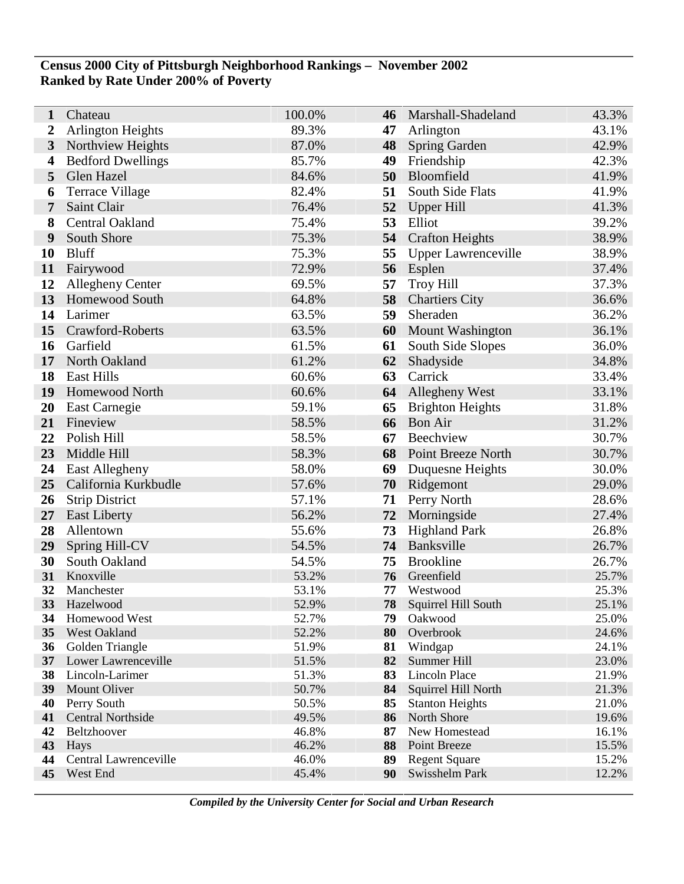## **Census 2000 City of Pittsburgh Neighborhood Rankings – November 2002 Ranked by Rate Under 200% of Poverty**

| 1                | Chateau                                | 100.0%         | 46       | Marshall-Shadeland         | 43.3%          |
|------------------|----------------------------------------|----------------|----------|----------------------------|----------------|
| $\boldsymbol{2}$ | <b>Arlington Heights</b>               | 89.3%          | 47       | Arlington                  | 43.1%          |
| 3                | Northview Heights                      | 87.0%          | 48       | Spring Garden              | 42.9%          |
| 4                | <b>Bedford Dwellings</b>               | 85.7%          | 49       | Friendship                 | 42.3%          |
| 5                | Glen Hazel                             | 84.6%          | 50       | Bloomfield                 | 41.9%          |
| 6                | <b>Terrace Village</b>                 | 82.4%          | 51       | South Side Flats           | 41.9%          |
| 7                | Saint Clair                            | 76.4%          | 52       | <b>Upper Hill</b>          | 41.3%          |
| 8                | Central Oakland                        | 75.4%          | 53       | Elliot                     | 39.2%          |
| 9                | South Shore                            | 75.3%          | 54       | <b>Crafton Heights</b>     | 38.9%          |
| 10               | <b>Bluff</b>                           | 75.3%          | 55       | <b>Upper Lawrenceville</b> | 38.9%          |
| 11               | Fairywood                              | 72.9%          | 56       | Esplen                     | 37.4%          |
| 12               | <b>Allegheny Center</b>                | 69.5%          | 57       | <b>Troy Hill</b>           | 37.3%          |
| 13               | <b>Homewood South</b>                  | 64.8%          | 58       | <b>Chartiers City</b>      | 36.6%          |
| 14               | Larimer                                | 63.5%          | 59       | Sheraden                   | 36.2%          |
| 15               | Crawford-Roberts                       | 63.5%          | 60       | <b>Mount Washington</b>    | 36.1%          |
| 16               | Garfield                               | 61.5%          | 61       | South Side Slopes          | 36.0%          |
| 17               | North Oakland                          | 61.2%          | 62       | Shadyside                  | 34.8%          |
| 18               | <b>East Hills</b>                      | 60.6%          | 63       | Carrick                    | 33.4%          |
| 19               | <b>Homewood North</b>                  | 60.6%          | 64       | Allegheny West             | 33.1%          |
| 20               | East Carnegie                          | 59.1%          | 65       | <b>Brighton Heights</b>    | 31.8%          |
| 21               | Fineview                               | 58.5%          | 66       | <b>Bon Air</b>             | 31.2%          |
| 22               | Polish Hill                            | 58.5%          | 67       | Beechview                  | 30.7%          |
| 23               | Middle Hill                            | 58.3%          | 68       | <b>Point Breeze North</b>  | 30.7%          |
| 24               | <b>East Allegheny</b>                  | 58.0%          | 69       | Duquesne Heights           | 30.0%          |
| 25               | California Kurkbudle                   | 57.6%          | 70       | Ridgemont                  | 29.0%          |
| 26               | <b>Strip District</b>                  | 57.1%          | 71       | Perry North                | 28.6%          |
| 27               | <b>East Liberty</b>                    | 56.2%          | 72       | Morningside                | 27.4%          |
| 28               | Allentown                              | 55.6%          | 73       | <b>Highland Park</b>       | 26.8%          |
| 29               | Spring Hill-CV                         | 54.5%          | 74       | Banksville                 | 26.7%          |
| 30               | South Oakland                          | 54.5%          | 75       | <b>Brookline</b>           | 26.7%          |
| 31               | Knoxville                              | 53.2%          | 76       | Greenfield                 | 25.7%          |
| 32               | Manchester                             | 53.1%          | 77       | Westwood                   | 25.3%          |
| 33               | Hazelwood                              | 52.9%          | 78       | Squirrel Hill South        | 25.1%          |
| 34               | Homewood West                          | 52.7%          | 79       | Oakwood                    | 25.0%          |
| 35               | West Oakland                           | 52.2%          | 80       | Overbrook                  | 24.6%          |
| 36<br>37         | Golden Triangle<br>Lower Lawrenceville | 51.9%<br>51.5% | 81<br>82 | Windgap<br>Summer Hill     | 24.1%<br>23.0% |
| 38               | Lincoln-Larimer                        | 51.3%          | 83       | Lincoln Place              | 21.9%          |
| 39               | Mount Oliver                           | 50.7%          | 84       | Squirrel Hill North        | 21.3%          |
| 40               | Perry South                            | 50.5%          | 85       | <b>Stanton Heights</b>     | 21.0%          |
| 41               | <b>Central Northside</b>               | 49.5%          | 86       | North Shore                | 19.6%          |
| 42               | Beltzhoover                            | 46.8%          | 87       | New Homestead              | 16.1%          |
| 43               | <b>Hays</b>                            | 46.2%          | 88       | Point Breeze               | 15.5%          |
| 44               | Central Lawrenceville                  | 46.0%          | 89       | <b>Regent Square</b>       | 15.2%          |
| 45               | West End                               | 45.4%          | 90       | Swisshelm Park             | 12.2%          |
|                  |                                        |                |          |                            |                |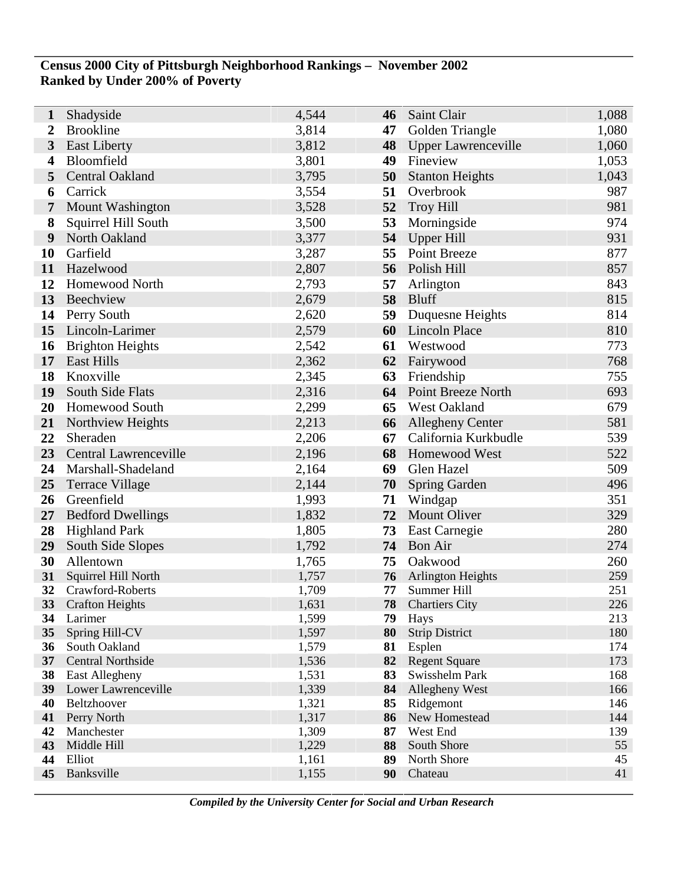## **Census 2000 City of Pittsburgh Neighborhood Rankings – November 2002 Ranked by Under 200% of Poverty**

Ī

| 1        | Shadyside                 | 4,544          | 46       | Saint Clair                   | 1,088      |
|----------|---------------------------|----------------|----------|-------------------------------|------------|
| 2        | <b>Brookline</b>          | 3,814          | 47       | Golden Triangle               | 1,080      |
| 3        | <b>East Liberty</b>       | 3,812          | 48       | Upper Lawrenceville           | 1,060      |
| 4        | Bloomfield                | 3,801          | 49       | Fineview                      | 1,053      |
| 5        | Central Oakland           | 3,795          | 50       | <b>Stanton Heights</b>        | 1,043      |
| 6        | Carrick                   | 3,554          | 51       | Overbrook                     | 987        |
| 7        | Mount Washington          | 3,528          | 52       | <b>Troy Hill</b>              | 981        |
| 8        | Squirrel Hill South       | 3,500          | 53       | Morningside                   | 974        |
| 9        | North Oakland             | 3,377          | 54       | <b>Upper Hill</b>             | 931        |
| 10       | Garfield                  | 3,287          | 55       | Point Breeze                  | 877        |
| 11       | Hazelwood                 | 2,807          | 56       | Polish Hill                   | 857        |
| 12       | Homewood North            | 2,793          | 57       | Arlington                     | 843        |
| 13       | Beechview                 | 2,679          | 58       | <b>Bluff</b>                  | 815        |
| 14       | Perry South               | 2,620          | 59       | Duquesne Heights              | 814        |
| 15       | Lincoln-Larimer           | 2,579          | 60       | Lincoln Place                 | 810        |
| 16       | <b>Brighton Heights</b>   | 2,542          | 61       | Westwood                      | 773        |
| 17       | <b>East Hills</b>         | 2,362          | 62       | Fairywood                     | 768        |
| 18       | Knoxville                 | 2,345          | 63       | Friendship                    | 755        |
| 19       | South Side Flats          | 2,316          | 64       | Point Breeze North            | 693        |
| 20       | Homewood South            | 2,299          | 65       | West Oakland                  | 679        |
| 21       | Northview Heights         | 2,213          | 66       | <b>Allegheny Center</b>       | 581        |
| 22       | Sheraden                  | 2,206          | 67       | California Kurkbudle          | 539        |
| 23       | Central Lawrenceville     | 2,196          | 68       | Homewood West                 | 522        |
| 24       | Marshall-Shadeland        | 2,164          | 69       | Glen Hazel                    | 509        |
| 25       | Terrace Village           | 2,144          | 70       | <b>Spring Garden</b>          | 496        |
| 26       | Greenfield                | 1,993          | 71       | Windgap                       | 351        |
| 27       | <b>Bedford Dwellings</b>  | 1,832          | 72       | Mount Oliver                  | 329        |
| 28       | <b>Highland Park</b>      | 1,805          | 73       | East Carnegie                 | 280        |
| 29       | South Side Slopes         | 1,792          | 74       | <b>Bon Air</b>                | 274        |
| 30       | Allentown                 | 1,765          | 75       | Oakwood                       | 260        |
| 31       | Squirrel Hill North       | 1,757          | 76       | <b>Arlington Heights</b>      | 259        |
| 32       | Crawford-Roberts          | 1,709          | 77       | Summer Hill                   | 251        |
| 33       | <b>Crafton Heights</b>    | 1,631          | 78       | <b>Chartiers City</b>         | 226        |
| 34<br>35 | Larimer<br>Spring Hill-CV | 1,599<br>1,597 | 79<br>80 | Hays<br><b>Strip District</b> | 213<br>180 |
| 36       | South Oakland             | 1,579          | 81       | Esplen                        | 174        |
| 37       | <b>Central Northside</b>  | 1,536          | 82       | <b>Regent Square</b>          | 173        |
| 38       | East Allegheny            | 1,531          | 83       | Swisshelm Park                | 168        |
| 39       | Lower Lawrenceville       | 1,339          | 84       | Allegheny West                | 166        |
| 40       | Beltzhoover               | 1,321          | 85       | Ridgemont                     | 146        |
| 41       | Perry North               | 1,317          | 86       | New Homestead                 | 144        |
| 42       | Manchester                | 1,309          | 87       | West End                      | 139        |
| 43       | Middle Hill               | 1,229          | 88       | South Shore                   | 55         |
| 44       | Elliot                    | 1,161          | 89       | North Shore                   | 45         |
| 45       | Banksville                | 1,155          | 90       | Chateau                       | 41         |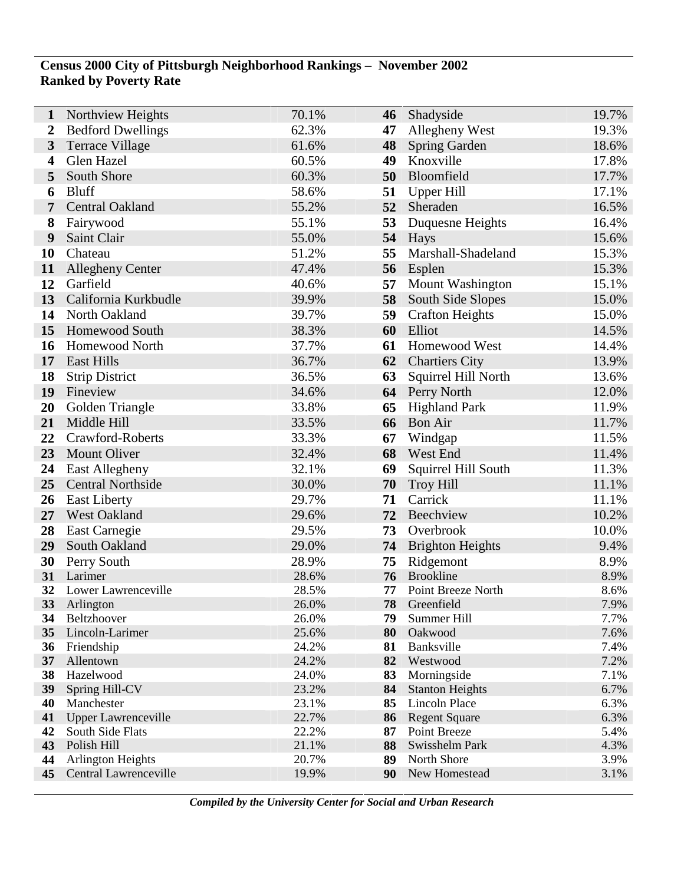## **Census 2000 City of Pittsburgh Neighborhood Rankings – November 2002 Ranked by Poverty Rate**

| 1        | Northview Heights             | 70.1%          | 46       | Shadyside               | 19.7%        |
|----------|-------------------------------|----------------|----------|-------------------------|--------------|
| 2        | <b>Bedford Dwellings</b>      | 62.3%          | 47       | Allegheny West          | 19.3%        |
| 3        | <b>Terrace Village</b>        | 61.6%          | 48       | <b>Spring Garden</b>    | 18.6%        |
| 4        | Glen Hazel                    | 60.5%          | 49       | Knoxville               | 17.8%        |
| 5        | South Shore                   | 60.3%          | 50       | Bloomfield              | 17.7%        |
| 6        | <b>Bluff</b>                  | 58.6%          | 51       | <b>Upper Hill</b>       | 17.1%        |
| 7        | <b>Central Oakland</b>        | 55.2%          | 52       | Sheraden                | 16.5%        |
| 8        | Fairywood                     | 55.1%          | 53       | Duquesne Heights        | 16.4%        |
| 9        | Saint Clair                   | 55.0%          | 54       | <b>Hays</b>             | 15.6%        |
| 10       | Chateau                       | 51.2%          | 55       | Marshall-Shadeland      | 15.3%        |
| 11       | <b>Allegheny Center</b>       | 47.4%          | 56       | Esplen                  | 15.3%        |
| 12       | Garfield                      | 40.6%          | 57       | Mount Washington        | 15.1%        |
| 13       | California Kurkbudle          | 39.9%          | 58       | South Side Slopes       | 15.0%        |
| 14       | North Oakland                 | 39.7%          | 59       | <b>Crafton Heights</b>  | 15.0%        |
| 15       | Homewood South                | 38.3%          | 60       | Elliot                  | 14.5%        |
| 16       | <b>Homewood North</b>         | 37.7%          | 61       | Homewood West           | 14.4%        |
| 17       | <b>East Hills</b>             | 36.7%          | 62       | <b>Chartiers City</b>   | 13.9%        |
| 18       | <b>Strip District</b>         | 36.5%          | 63       | Squirrel Hill North     | 13.6%        |
| 19       | Fineview                      | 34.6%          | 64       | Perry North             | 12.0%        |
| 20       | Golden Triangle               | 33.8%          | 65       | <b>Highland Park</b>    | 11.9%        |
| 21       | Middle Hill                   | 33.5%          | 66       | <b>Bon Air</b>          | 11.7%        |
| 22       | Crawford-Roberts              | 33.3%          | 67       | Windgap                 | 11.5%        |
| 23       | Mount Oliver                  | 32.4%          | 68       | West End                | 11.4%        |
| 24       | <b>East Allegheny</b>         | 32.1%          | 69       | Squirrel Hill South     | 11.3%        |
| 25       | <b>Central Northside</b>      | 30.0%          | 70       | <b>Troy Hill</b>        | 11.1%        |
| 26       | <b>East Liberty</b>           | 29.7%          | 71       | Carrick                 | 11.1%        |
| 27       | West Oakland                  | 29.6%          | 72       | Beechview               | 10.2%        |
| 28       | East Carnegie                 | 29.5%          | 73       | Overbrook               | 10.0%        |
| 29       | South Oakland                 | 29.0%          | 74       | <b>Brighton Heights</b> | 9.4%         |
| 30       | Perry South                   | 28.9%          | 75       | Ridgemont               | 8.9%         |
| 31       | Larimer                       | 28.6%          | 76       | <b>Brookline</b>        | 8.9%         |
| 32       | Lower Lawrenceville           | 28.5%          | 77       | Point Breeze North      | 8.6%         |
| 33       | Arlington                     | 26.0%          | 78       | Greenfield              | 7.9%         |
| 34       | Beltzhoover                   | 26.0%          | 79       | Summer Hill             | 7.7%         |
| 35<br>36 | Lincoln-Larimer<br>Friendship | 25.6%<br>24.2% | 80<br>81 | Oakwood<br>Banksville   | 7.6%<br>7.4% |
| 37       | Allentown                     | 24.2%          | 82       | Westwood                | 7.2%         |
| 38       | Hazelwood                     | 24.0%          | 83       | Morningside             | 7.1%         |
| 39       | Spring Hill-CV                | 23.2%          | 84       | <b>Stanton Heights</b>  | 6.7%         |
| 40       | Manchester                    | 23.1%          | 85       | <b>Lincoln Place</b>    | 6.3%         |
| 41       | <b>Upper Lawrenceville</b>    | 22.7%          | 86       | <b>Regent Square</b>    | 6.3%         |
| 42       | South Side Flats              | 22.2%          | 87       | Point Breeze            | 5.4%         |
| 43       | Polish Hill                   | 21.1%          | 88       | Swisshelm Park          | 4.3%         |
| 44       | Arlington Heights             | 20.7%          | 89       | North Shore             | 3.9%         |
| 45       | Central Lawrenceville         | 19.9%          | 90       | New Homestead           | 3.1%         |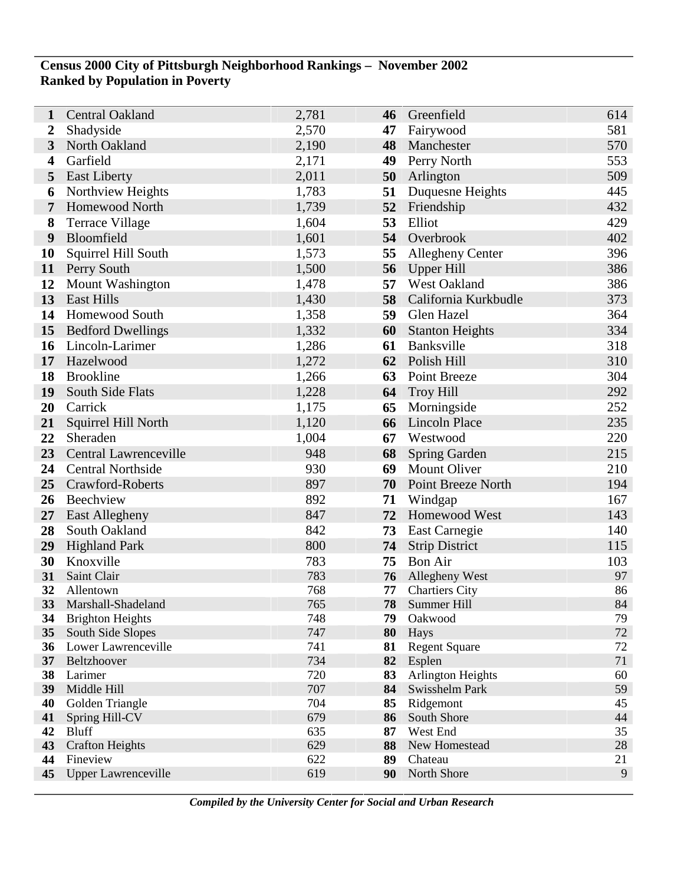## **Census 2000 City of Pittsburgh Neighborhood Rankings – November 2002 Ranked by Population in Poverty**

| 1                       | <b>Central Oakland</b>                   | 2,781      | 46       | Greenfield                   | 614      |
|-------------------------|------------------------------------------|------------|----------|------------------------------|----------|
| $\boldsymbol{2}$        | Shadyside                                | 2,570      | 47       | Fairywood                    | 581      |
| $\overline{3}$          | North Oakland                            | 2,190      | 48       | Manchester                   | 570      |
| $\overline{\mathbf{4}}$ | Garfield                                 | 2,171      | 49       | Perry North                  | 553      |
| 5                       | <b>East Liberty</b>                      | 2,011      | 50       | Arlington                    | 509      |
| 6                       | Northview Heights                        | 1,783      | 51       | Duquesne Heights             | 445      |
| 7                       | Homewood North                           | 1,739      | 52       | Friendship                   | 432      |
| 8                       | <b>Terrace Village</b>                   | 1,604      | 53       | Elliot                       | 429      |
| 9                       | Bloomfield                               | 1,601      |          | 54 Overbrook                 | 402      |
| <b>10</b>               | Squirrel Hill South                      | 1,573      | 55       | Allegheny Center             | 396      |
| 11                      | Perry South                              | 1,500      | 56       | Upper Hill                   | 386      |
| 12                      | <b>Mount Washington</b>                  | 1,478      | 57       | West Oakland                 | 386      |
| 13                      | East Hills                               | 1,430      | 58       | California Kurkbudle         | 373      |
| 14                      | <b>Homewood South</b>                    | 1,358      | 59       | Glen Hazel                   | 364      |
| 15                      | <b>Bedford Dwellings</b>                 | 1,332      | 60       | <b>Stanton Heights</b>       | 334      |
| 16                      | Lincoln-Larimer                          | 1,286      | 61       | Banksville                   | 318      |
| 17                      | Hazelwood                                | 1,272      | 62       | Polish Hill                  | 310      |
| 18                      | <b>Brookline</b>                         | 1,266      | 63       | Point Breeze                 | 304      |
| 19                      | South Side Flats                         | 1,228      | 64       | <b>Troy Hill</b>             | 292      |
| 20                      | Carrick                                  | 1,175      | 65       | Morningside                  | 252      |
| 21                      | Squirrel Hill North                      | 1,120      | 66       | <b>Lincoln Place</b>         | 235      |
| 22                      | Sheraden                                 | 1,004      | 67       | Westwood                     | 220      |
| 23                      | Central Lawrenceville                    | 948        | 68       | <b>Spring Garden</b>         | 215      |
| 24                      | <b>Central Northside</b>                 | 930        | 69       | <b>Mount Oliver</b>          | 210      |
| 25                      | Crawford-Roberts                         | 897        | 70       | Point Breeze North           | 194      |
| 26                      | Beechview                                | 892        | 71       | Windgap                      | 167      |
| 27                      | East Allegheny                           | 847        | 72       | Homewood West                | 143      |
| 28                      | South Oakland                            | 842        | 73       | East Carnegie                | 140      |
| 29                      | <b>Highland Park</b>                     | 800        | 74       | <b>Strip District</b>        | 115      |
| 30                      | Knoxville                                | 783        | 75       | <b>Bon Air</b>               | 103      |
| 31                      | Saint Clair                              | 783        | 76       | <b>Allegheny West</b>        | 97       |
| 32                      | Allentown                                | 768        | 77       | <b>Chartiers City</b>        | 86       |
| 33                      | Marshall-Shadeland                       | 765        | 78       | Summer Hill                  | 84       |
| 34                      | <b>Brighton Heights</b>                  | 748        | 79       | Oakwood                      | 79<br>72 |
| 35<br>36                | South Side Slopes<br>Lower Lawrenceville | 747<br>741 | 80<br>81 | Hays<br><b>Regent Square</b> | 72       |
| 37                      | Beltzhoover                              | 734        | 82       | Esplen                       | 71       |
| 38                      | Larimer                                  | 720        | 83       | Arlington Heights            | 60       |
| 39                      | Middle Hill                              | 707        | 84       | Swisshelm Park               | 59       |
| 40                      | Golden Triangle                          | 704        | 85       | Ridgemont                    | 45       |
| 41                      | Spring Hill-CV                           | 679        | 86       | South Shore                  | 44       |
| 42                      | <b>Bluff</b>                             | 635        | 87       | West End                     | 35       |
| 43                      | <b>Crafton Heights</b>                   | 629        | 88       | New Homestead                | 28       |
| 44                      | Fineview                                 | 622        | 89       | Chateau                      | 21       |
| 45                      | <b>Upper Lawrenceville</b>               | 619        | 90       | North Shore                  | 9        |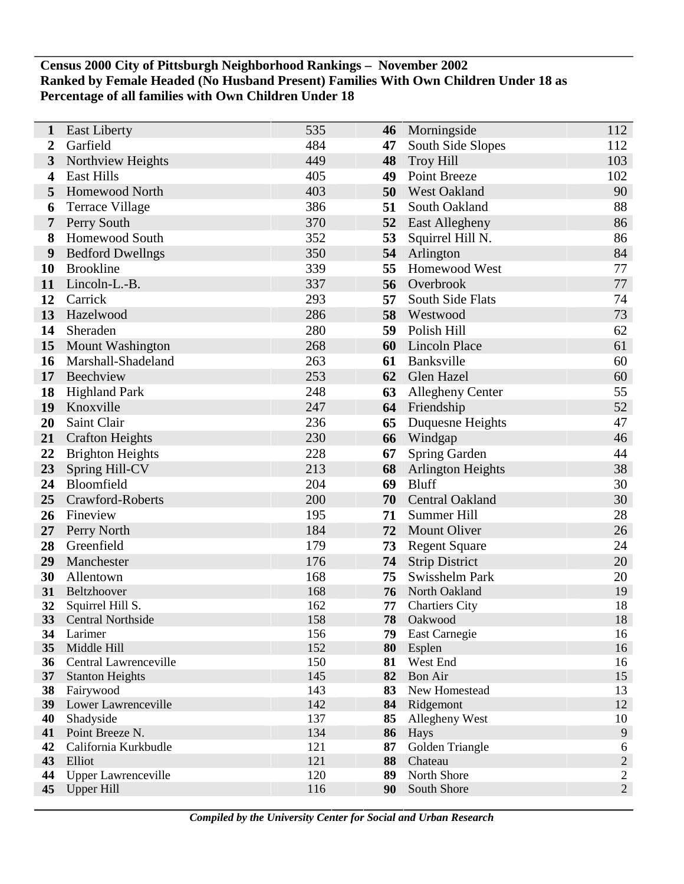### **Census 2000 City of Pittsburgh Neighborhood Rankings – November 2002 Ranked by Female Headed (No Husband Present) Families With Own Children Under 18 as Percentage of all families with Own Children Under 18**

| 1                | <b>East Liberty</b>             | 535        | 46       | Morningside                            | 112             |
|------------------|---------------------------------|------------|----------|----------------------------------------|-----------------|
| $\boldsymbol{2}$ | Garfield                        | 484        | 47       | South Side Slopes                      | 112             |
| 3                | Northview Heights               | 449        | 48       | <b>Troy Hill</b>                       | 103             |
| 4                | <b>East Hills</b>               | 405        | 49       | Point Breeze                           | 102             |
| 5                | Homewood North                  | 403        | 50       | <b>West Oakland</b>                    | 90              |
| 6                | Terrace Village                 | 386        | 51       | South Oakland                          | 88              |
| 7                | Perry South                     | 370        | 52       | East Allegheny                         | 86              |
| 8                | Homewood South                  | 352        | 53       | Squirrel Hill N.                       | 86              |
| $\boldsymbol{9}$ | <b>Bedford Dwellngs</b>         | 350        | 54       | Arlington                              | 84              |
| 10               | <b>Brookline</b>                | 339        | 55       | Homewood West                          | 77              |
| 11               | Lincoln-L.-B.                   | 337        | 56       | Overbrook                              | 77              |
| 12               | Carrick                         | 293        | 57       | South Side Flats                       | 74              |
| 13               | Hazelwood                       | 286        | 58       | Westwood                               | 73              |
| 14               | Sheraden                        | 280        | 59       | Polish Hill                            | 62              |
| 15               | Mount Washington                | 268        | 60       | <b>Lincoln Place</b>                   | 61              |
| 16               | Marshall-Shadeland              | 263        | 61       | Banksville                             | 60              |
| 17               | Beechview                       | 253        | 62       | Glen Hazel                             | 60              |
| 18               | <b>Highland Park</b>            | 248        | 63       | Allegheny Center                       | 55              |
| 19               | Knoxville                       | 247        | 64       | Friendship                             | 52              |
| 20               | Saint Clair                     | 236        | 65       | Duquesne Heights                       | 47              |
| 21               | <b>Crafton Heights</b>          | 230        | 66       | Windgap                                | 46              |
| 22               | <b>Brighton Heights</b>         | 228        | 67       | Spring Garden                          | 44              |
| 23               | Spring Hill-CV                  | 213        | 68       | <b>Arlington Heights</b>               | 38              |
| 24               | Bloomfield                      | 204        | 69       | <b>Bluff</b>                           | 30              |
| 25               | Crawford-Roberts                | 200        | 70       | <b>Central Oakland</b>                 | 30              |
| 26               | Fineview                        | 195        | 71       | Summer Hill                            | 28              |
| 27               | Perry North                     | 184        | 72       | <b>Mount Oliver</b>                    | 26              |
| 28               | Greenfield                      | 179        | 73       | <b>Regent Square</b>                   | 24              |
| 29               | Manchester                      | 176        | 74       | <b>Strip District</b>                  | 20              |
| 30               | Allentown                       | 168        | 75       | Swisshelm Park                         | 20              |
| 31<br>32         | Beltzhoover<br>Squirrel Hill S. | 168<br>162 | 76<br>77 | North Oakland<br><b>Chartiers City</b> | 19<br>18        |
| 33               | Central Northside               | 158        | 78       | Oakwood                                | 18              |
| 34               | Larimer                         | 156        | 79       | East Carnegie                          | 16              |
| 35               | Middle Hill                     | 152        | 80       | Esplen                                 | 16              |
| 36               | Central Lawrenceville           | 150        | 81       | West End                               | 16              |
| 37               | <b>Stanton Heights</b>          | 145        | 82       | <b>Bon Air</b>                         | 15              |
| 38               | Fairywood                       | 143        | 83       | New Homestead                          | 13              |
| 39               | Lower Lawrenceville             | 142        | 84       | Ridgemont                              | 12              |
| 40               | Shadyside                       | 137        | 85       | Allegheny West                         | 10              |
| 41               | Point Breeze N.                 | 134        | 86       | Hays                                   | 9               |
| 42<br>43         | California Kurkbudle<br>Elliot  | 121<br>121 | 87<br>88 | Golden Triangle<br>Chateau             | 6<br>$\sqrt{2}$ |
| 44               | <b>Upper Lawrenceville</b>      | 120        | 89       | North Shore                            | $\sqrt{2}$      |
| 45               | <b>Upper Hill</b>               | 116        | 90       | South Shore                            | $\overline{2}$  |
|                  |                                 |            |          |                                        |                 |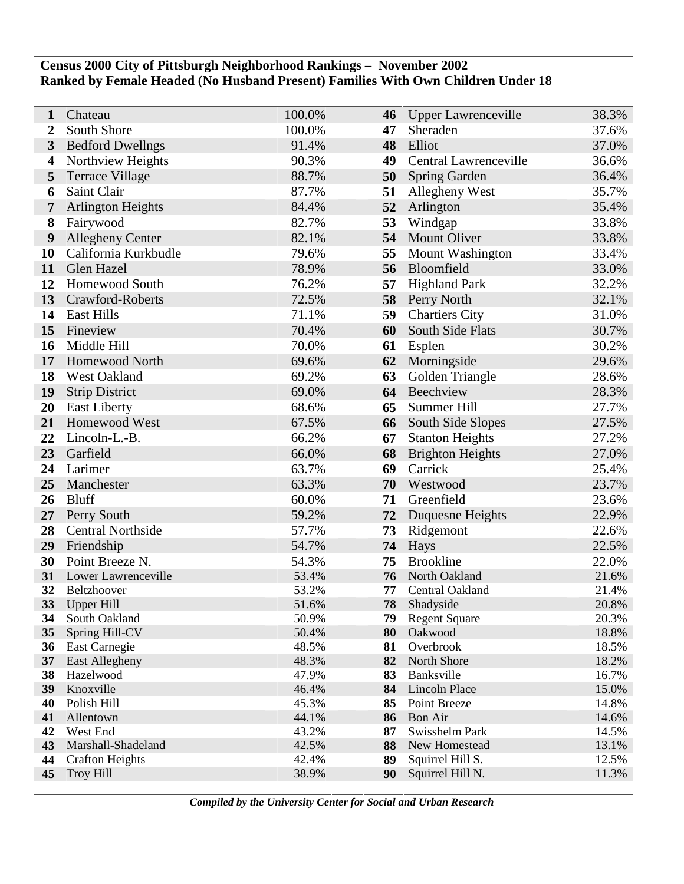### **Census 2000 City of Pittsburgh Neighborhood Rankings – November 2002 Ranked by Female Headed (No Husband Present) Families With Own Children Under 18**

| 1                     | Chateau                         | 100.0%         | 46       | Upper Lawrenceville     | 38.3%          |
|-----------------------|---------------------------------|----------------|----------|-------------------------|----------------|
| $\overline{2}$        | South Shore                     | 100.0%         | 47       | Sheraden                | 37.6%          |
| 3                     | <b>Bedford Dwellngs</b>         | 91.4%          | 48       | Elliot                  | 37.0%          |
| 4                     | Northview Heights               | 90.3%          | 49       | Central Lawrenceville   | 36.6%          |
| 5                     | <b>Terrace Village</b>          | 88.7%          | 50       | <b>Spring Garden</b>    | 36.4%          |
| 6                     | Saint Clair                     | 87.7%          | 51       | Allegheny West          | 35.7%          |
| 7                     | <b>Arlington Heights</b>        | 84.4%          | 52       | Arlington               | 35.4%          |
| 8                     | Fairywood                       | 82.7%          | 53       | Windgap                 | 33.8%          |
| 9                     | <b>Allegheny Center</b>         | 82.1%          | 54       | <b>Mount Oliver</b>     | 33.8%          |
| 10                    | California Kurkbudle            | 79.6%          | 55       | Mount Washington        | 33.4%          |
| 11                    | Glen Hazel                      | 78.9%          | 56       | Bloomfield              | 33.0%          |
| 12                    | Homewood South                  | 76.2%          | 57       | <b>Highland Park</b>    | 32.2%          |
| 13                    | Crawford-Roberts                | 72.5%          | 58       | Perry North             | 32.1%          |
| 14                    | <b>East Hills</b>               | 71.1%          | 59       | <b>Chartiers City</b>   | 31.0%          |
| 15                    | Fineview                        | 70.4%          | 60       | South Side Flats        | 30.7%          |
| 16                    | Middle Hill                     | 70.0%          | 61       | Esplen                  | 30.2%          |
| 17                    | Homewood North                  | 69.6%          | 62       | Morningside             | 29.6%          |
| 18                    | West Oakland                    | 69.2%          | 63       | Golden Triangle         | 28.6%          |
| 19                    | <b>Strip District</b>           | 69.0%          | 64       | Beechview               | 28.3%          |
| 20                    | <b>East Liberty</b>             | 68.6%          | 65       | Summer Hill             | 27.7%          |
| 21                    | Homewood West                   | 67.5%          | 66       | South Side Slopes       | 27.5%          |
| 22                    | Lincoln-L.-B.                   | 66.2%          | 67       | <b>Stanton Heights</b>  | 27.2%          |
| 23                    | Garfield                        | 66.0%          | 68       | <b>Brighton Heights</b> | 27.0%          |
| 24                    | Larimer                         | 63.7%          | 69       | Carrick                 | 25.4%          |
| 25                    | Manchester                      | 63.3%          | 70       | Westwood                | 23.7%          |
| 26                    | <b>Bluff</b>                    | 60.0%          | 71       | Greenfield              | 23.6%          |
| 27                    | Perry South                     | 59.2%          | 72       | Duquesne Heights        | 22.9%          |
| 28                    | <b>Central Northside</b>        | 57.7%          | 73       | Ridgemont               | 22.6%          |
| 29                    | Friendship                      | 54.7%          | 74       | Hays                    | 22.5%          |
| 30                    | Point Breeze N.                 | 54.3%          | 75       | <b>Brookline</b>        | 22.0%          |
| 31                    | Lower Lawrenceville             | 53.4%          | 76       | North Oakland           | 21.6%          |
| 32                    | Beltzhoover                     | 53.2%          | 77       | Central Oakland         | 21.4%          |
| 33                    | <b>Upper Hill</b>               | 51.6%          | 78       | Shadyside               | 20.8%          |
| 34                    | South Oakland                   | 50.9%          | 79       | <b>Regent Square</b>    | 20.3%          |
| 35<br>36 <sup>2</sup> | Spring Hill-CV<br>East Carnegie | 50.4%<br>48.5% | 80<br>81 | Oakwood<br>Overbrook    | 18.8%<br>18.5% |
| 37                    | East Allegheny                  | 48.3%          | 82       | North Shore             | 18.2%          |
| 38                    | Hazelwood                       | 47.9%          | 83       | Banksville              | 16.7%          |
| 39                    | Knoxville                       | 46.4%          | 84       | Lincoln Place           | 15.0%          |
| 40                    | Polish Hill                     | 45.3%          | 85       | Point Breeze            | 14.8%          |
| 41                    | Allentown                       | 44.1%          | 86       | <b>Bon Air</b>          | 14.6%          |
| 42                    | West End                        | 43.2%          | 87       | Swisshelm Park          | 14.5%          |
| 43                    | Marshall-Shadeland              | 42.5%          | 88       | New Homestead           | 13.1%          |
| 44                    | <b>Crafton Heights</b>          | 42.4%          | 89       | Squirrel Hill S.        | 12.5%          |
| 45                    | <b>Troy Hill</b>                | 38.9%          | 90       | Squirrel Hill N.        | 11.3%          |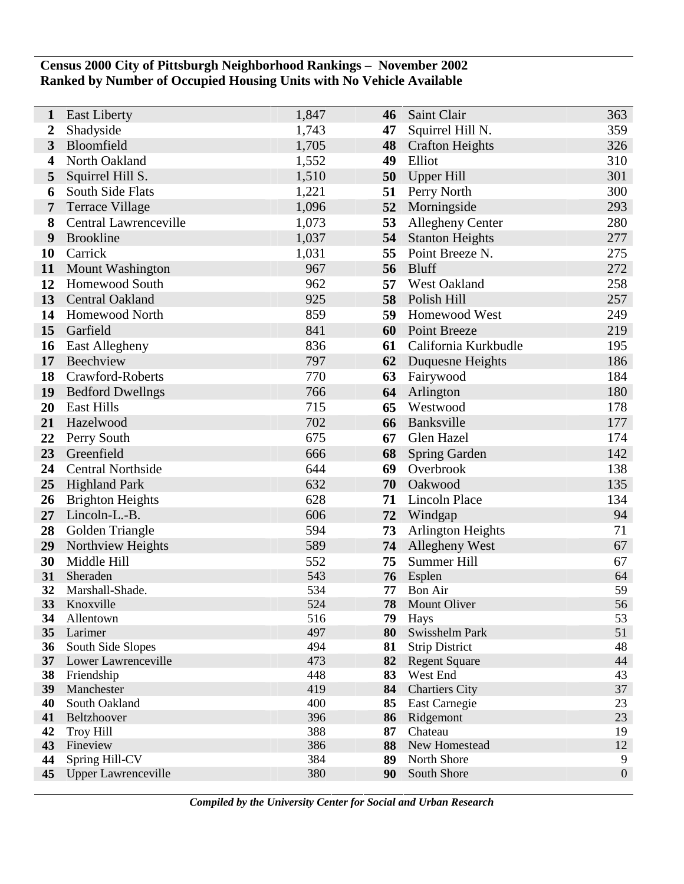## **Census 2000 City of Pittsburgh Neighborhood Rankings – November 2002 Ranked by Number of Occupied Housing Units with No Vehicle Available**

| 1                | <b>East Liberty</b>          | 1,847      | 46       | Saint Clair              | 363              |
|------------------|------------------------------|------------|----------|--------------------------|------------------|
| $\boldsymbol{2}$ | Shadyside                    | 1,743      | 47       | Squirrel Hill N.         | 359              |
| $\mathbf{3}$     | Bloomfield                   | 1,705      | 48       | <b>Crafton Heights</b>   | 326              |
| 4                | North Oakland                | 1,552      | 49       | Elliot                   | 310              |
| 5                | Squirrel Hill S.             | 1,510      | 50       | <b>Upper Hill</b>        | 301              |
| 6                | South Side Flats             | 1,221      | 51       | Perry North              | 300              |
| 7                | <b>Terrace Village</b>       | 1,096      | 52       | Morningside              | 293              |
| 8                | <b>Central Lawrenceville</b> | 1,073      | 53       | Allegheny Center         | 280              |
| 9                | <b>Brookline</b>             | 1,037      | 54       | <b>Stanton Heights</b>   | 277              |
| 10               | Carrick                      | 1,031      | 55       | Point Breeze N.          | 275              |
| 11               | Mount Washington             | 967        | 56       | <b>Bluff</b>             | 272              |
| 12               | <b>Homewood South</b>        | 962        | 57       | West Oakland             | 258              |
| 13               | Central Oakland              | 925        | 58       | Polish Hill              | 257              |
| 14               | Homewood North               | 859        | 59       | Homewood West            | 249              |
| 15               | Garfield                     | 841        | 60       | <b>Point Breeze</b>      | 219              |
| 16               | <b>East Allegheny</b>        | 836        | 61       | California Kurkbudle     | 195              |
| 17               | Beechview                    | 797        | 62       | Duquesne Heights         | 186              |
| 18               | Crawford-Roberts             | 770        | 63       | Fairywood                | 184              |
| 19               | <b>Bedford Dwellngs</b>      | 766        | 64       | Arlington                | 180              |
| 20               | <b>East Hills</b>            | 715        | 65       | Westwood                 | 178              |
| 21               | Hazelwood                    | 702        | 66       | Banksville               | 177              |
| 22               | Perry South                  | 675        | 67       | Glen Hazel               | 174              |
| 23               | Greenfield                   | 666        | 68       | <b>Spring Garden</b>     | 142              |
| 24               | <b>Central Northside</b>     | 644        | 69       | Overbrook                | 138              |
| 25               | <b>Highland Park</b>         | 632        | 70       | Oakwood                  | 135              |
| 26               | <b>Brighton Heights</b>      | 628        | 71       | <b>Lincoln Place</b>     | 134              |
| 27               | Lincoln-L.-B.                | 606        | 72       | Windgap                  | 94               |
| 28               | Golden Triangle              | 594        | 73       | <b>Arlington Heights</b> | 71               |
| 29               | Northview Heights            | 589        | 74       | Allegheny West           | 67               |
| 30               | Middle Hill                  | 552        | 75       | Summer Hill              | 67               |
| 31               | Sheraden                     | 543        | 76       | Esplen                   | 64               |
| 32               | Marshall-Shade.              | 534        | 77       | <b>Bon Air</b>           | 59               |
| 33               | Knoxville                    | 524        | 78       | <b>Mount Oliver</b>      | 56               |
| 34<br>35         | Allentown<br>Larimer         | 516<br>497 | 79<br>80 | Hays<br>Swisshelm Park   | 53<br>51         |
| 36               | South Side Slopes            | 494        | 81       | <b>Strip District</b>    | 48               |
|                  | 37 Lower Lawrenceville       | 473        | 82       | <b>Regent Square</b>     | 44               |
| 38               | Friendship                   | 448        | 83       | West End                 | 43               |
| 39               | Manchester                   | 419        | 84       | <b>Chartiers City</b>    | 37               |
| 40               | South Oakland                | 400        | 85       | <b>East Carnegie</b>     | 23               |
| 41               | Beltzhoover                  | 396        | 86       | Ridgemont                | 23               |
| 42               | <b>Troy Hill</b>             | 388        | 87       | Chateau                  | 19               |
| 43               | Fineview                     | 386        | 88       | New Homestead            | 12               |
| 44               | Spring Hill-CV               | 384        | 89       | North Shore              | 9                |
| 45               | <b>Upper Lawrenceville</b>   | 380        | 90       | South Shore              | $\boldsymbol{0}$ |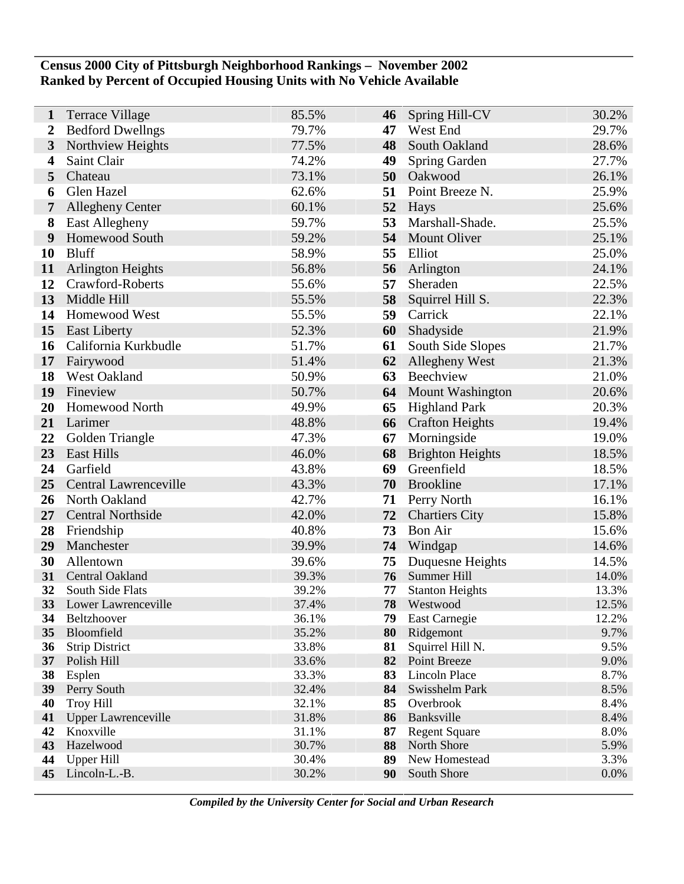## **Census 2000 City of Pittsburgh Neighborhood Rankings – November 2002 Ranked by Percent of Occupied Housing Units with No Vehicle Available**

| 1                     | Terrace Village                      | 85.5%          | 46       | Spring Hill-CV                   | 30.2%        |
|-----------------------|--------------------------------------|----------------|----------|----------------------------------|--------------|
| 2                     | <b>Bedford Dwellngs</b>              | 79.7%          | 47       | West End                         | 29.7%        |
| 3                     | Northview Heights                    | 77.5%          | 48       | South Oakland                    | 28.6%        |
| 4                     | Saint Clair                          | 74.2%          | 49       | Spring Garden                    | 27.7%        |
| 5                     | Chateau                              | 73.1%          | 50       | Oakwood                          | 26.1%        |
| 6                     | Glen Hazel                           | 62.6%          | 51       | Point Breeze N.                  | 25.9%        |
| 7                     | <b>Allegheny Center</b>              | 60.1%          | 52       | Hays                             | 25.6%        |
| 8                     | <b>East Allegheny</b>                | 59.7%          | 53       | Marshall-Shade.                  | 25.5%        |
| 9                     | Homewood South                       | 59.2%          | 54       | <b>Mount Oliver</b>              | 25.1%        |
| 10                    | <b>Bluff</b>                         | 58.9%          | 55       | Elliot                           | 25.0%        |
| 11                    | <b>Arlington Heights</b>             | 56.8%          | 56       | Arlington                        | 24.1%        |
| 12                    | Crawford-Roberts                     | 55.6%          | 57       | Sheraden                         | 22.5%        |
| 13                    | Middle Hill                          | 55.5%          | 58       | Squirrel Hill S.                 | 22.3%        |
| 14                    | Homewood West                        | 55.5%          | 59       | Carrick                          | 22.1%        |
| 15                    | <b>East Liberty</b>                  | 52.3%          | 60       | Shadyside                        | 21.9%        |
| 16                    | California Kurkbudle                 | 51.7%          | 61       | South Side Slopes                | 21.7%        |
| 17                    | Fairywood                            | 51.4%          | 62       | Allegheny West                   | 21.3%        |
| 18                    | West Oakland                         | 50.9%          | 63       | Beechview                        | 21.0%        |
| 19                    | Fineview                             | 50.7%          | 64       | Mount Washington                 | 20.6%        |
| 20                    | Homewood North                       | 49.9%          | 65       | <b>Highland Park</b>             | 20.3%        |
| 21                    | Larimer                              | 48.8%          | 66       | <b>Crafton Heights</b>           | 19.4%        |
| 22                    | Golden Triangle                      | 47.3%          | 67       | Morningside                      | 19.0%        |
| 23                    | <b>East Hills</b>                    | 46.0%          | 68       | <b>Brighton Heights</b>          | 18.5%        |
| 24                    | Garfield                             | 43.8%          | 69       | Greenfield                       | 18.5%        |
| 25                    | <b>Central Lawrenceville</b>         | 43.3%          | 70       | <b>Brookline</b>                 | 17.1%        |
| 26                    | North Oakland                        | 42.7%          | 71       | Perry North                      | 16.1%        |
| 27                    | <b>Central Northside</b>             | 42.0%          | 72       | <b>Chartiers City</b>            | 15.8%        |
| 28                    | Friendship                           | 40.8%          | 73       | <b>Bon Air</b>                   | 15.6%        |
| 29                    | Manchester                           | 39.9%          | 74       | Windgap                          | 14.6%        |
| 30                    | Allentown                            | 39.6%          | 75       | Duquesne Heights                 | 14.5%        |
| 31                    | Central Oakland                      | 39.3%          | 76       | Summer Hill                      | 14.0%        |
| 32                    | South Side Flats                     | 39.2%          | 77       | <b>Stanton Heights</b>           | 13.3%        |
| <b>33</b>             | Lower Lawrenceville                  | 37.4%          | 78       | Westwood                         | 12.5%        |
| 34                    | Beltzhoover                          | 36.1%          | 79       | <b>East Carnegie</b>             | 12.2%        |
| 35                    | Bloomfield                           | 35.2%          | 80       | Ridgemont                        | 9.7%         |
| 36<br>37 <sup>2</sup> | <b>Strip District</b><br>Polish Hill | 33.8%<br>33.6% | 81<br>82 | Squirrel Hill N.<br>Point Breeze | 9.5%<br>9.0% |
| 38                    | Esplen                               | 33.3%          | 83       | Lincoln Place                    | 8.7%         |
| 39                    | Perry South                          | 32.4%          | 84       | Swisshelm Park                   | 8.5%         |
| 40                    | <b>Troy Hill</b>                     | 32.1%          | 85       | Overbrook                        | 8.4%         |
| 41                    | <b>Upper Lawrenceville</b>           | 31.8%          | 86       | Banksville                       | 8.4%         |
| 42                    | Knoxville                            | 31.1%          | 87       | <b>Regent Square</b>             | 8.0%         |
| 43                    | Hazelwood                            | 30.7%          | 88       | North Shore                      | 5.9%         |
| 44                    | <b>Upper Hill</b>                    | 30.4%          | 89       | New Homestead                    | 3.3%         |
| 45                    | Lincoln-L.-B.                        | 30.2%          | 90       | South Shore                      | 0.0%         |
|                       |                                      |                |          |                                  |              |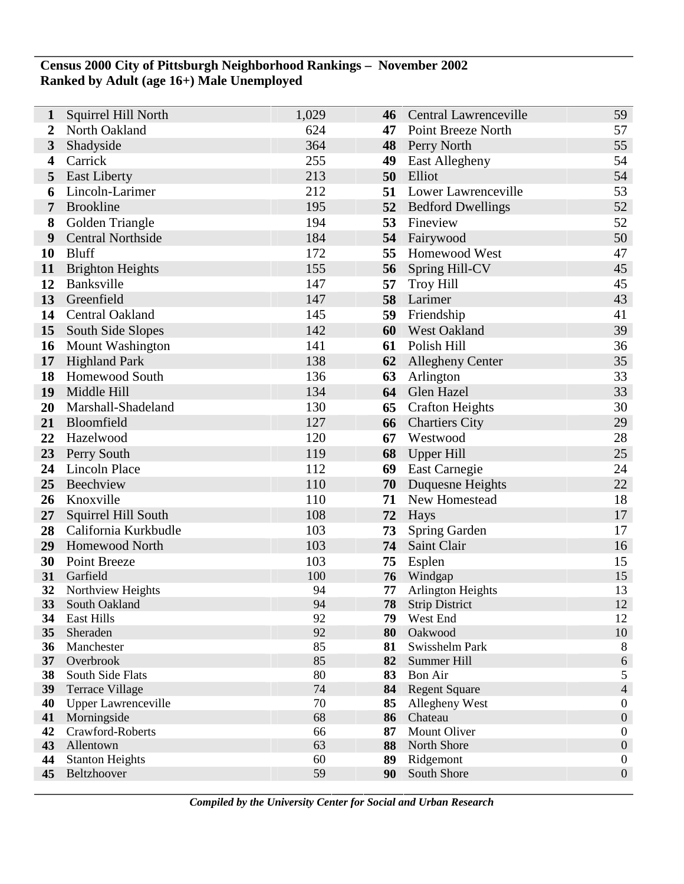## **Census 2000 City of Pittsburgh Neighborhood Rankings – November 2002 Ranked by Adult (age 16+) Male Unemployed**

| 1            | Squirrel Hill North        | 1,029    | 46       | Central Lawrenceville    | 59               |
|--------------|----------------------------|----------|----------|--------------------------|------------------|
| 2            | North Oakland              | 624      | 47       | Point Breeze North       | 57               |
| $\mathbf{3}$ | Shadyside                  | 364      |          | 48 Perry North           | 55               |
| 4            | Carrick                    | 255      | 49       | <b>East Allegheny</b>    | 54               |
| 5            | <b>East Liberty</b>        | 213      | 50       | Elliot                   | 54               |
| 6            | Lincoln-Larimer            | 212      | 51       | Lower Lawrenceville      | 53               |
| 7            | <b>Brookline</b>           | 195      | 52       | <b>Bedford Dwellings</b> | 52               |
| 8            | Golden Triangle            | 194      | 53       | Fineview                 | 52               |
| 9            | <b>Central Northside</b>   | 184      | 54       | Fairywood                | 50               |
| 10           | <b>Bluff</b>               | 172      | 55       | <b>Homewood West</b>     | 47               |
| 11           | <b>Brighton Heights</b>    | 155      | 56       | Spring Hill-CV           | 45               |
| 12           | Banksville                 | 147      | 57       | <b>Troy Hill</b>         | 45               |
| 13           | Greenfield                 | 147      | 58       | Larimer                  | 43               |
| 14           | Central Oakland            | 145      | 59       | Friendship               | 41               |
| 15           | South Side Slopes          | 142      | 60       | <b>West Oakland</b>      | 39               |
| 16           | <b>Mount Washington</b>    | 141      | 61       | Polish Hill              | 36               |
| 17           | <b>Highland Park</b>       | 138      | 62       | <b>Allegheny Center</b>  | 35               |
| 18           | <b>Homewood South</b>      | 136      | 63       | Arlington                | 33               |
| 19           | Middle Hill                | 134      | 64       | Glen Hazel               | 33               |
| 20           | Marshall-Shadeland         | 130      | 65       | <b>Crafton Heights</b>   | 30               |
| 21           | Bloomfield                 | 127      | 66       | <b>Chartiers City</b>    | 29               |
| 22           | Hazelwood                  | 120      | 67       | Westwood                 | 28               |
| 23           | Perry South                | 119      | 68       | Upper Hill               | 25               |
| 24           | <b>Lincoln Place</b>       | 112      | 69       | <b>East Carnegie</b>     | 24               |
| 25           | Beechview                  | 110      | 70       | Duquesne Heights         | 22               |
| 26           | Knoxville                  | 110      | 71       | New Homestead            | 18               |
| 27           | Squirrel Hill South        | 108      | 72       | Hays                     | 17               |
| 28           | California Kurkbudle       | 103      | 73       | Spring Garden            | 17               |
| 29           | <b>Homewood North</b>      | 103      | 74       | Saint Clair              | 16               |
| 30           | <b>Point Breeze</b>        | 103      | 75       | Esplen                   | 15               |
| 31           | Garfield                   | 100      | 76       | Windgap                  | 15               |
| 32           | Northview Heights          | 94       | 77       | <b>Arlington Heights</b> | 13               |
| 33           | South Oakland              | 94       | 78       | <b>Strip District</b>    | 12               |
| 34<br>35     | East Hills<br>Sheraden     | 92<br>92 | 79<br>80 | West End<br>Oakwood      | 12<br>10         |
| 36           | Manchester                 | 85       | 81       | Swisshelm Park           | $\,8\,$          |
| 37           | Overbrook                  | 85       | 82       | Summer Hill              | $\sqrt{6}$       |
| 38           | South Side Flats           | 80       | 83       | <b>Bon Air</b>           | $\sqrt{5}$       |
| 39           | <b>Terrace Village</b>     | 74       | 84       | <b>Regent Square</b>     | $\overline{4}$   |
| 40           | <b>Upper Lawrenceville</b> | 70       | 85       | Allegheny West           | $\boldsymbol{0}$ |
| 41           | Morningside                | 68       | 86       | Chateau                  | $\boldsymbol{0}$ |
| 42           | Crawford-Roberts           | 66       | 87       | Mount Oliver             | $\boldsymbol{0}$ |
| 43           | Allentown                  | 63       | 88       | North Shore              | $\boldsymbol{0}$ |
| 44           | <b>Stanton Heights</b>     | 60       | 89       | Ridgemont                | $\boldsymbol{0}$ |
| 45           | Beltzhoover                | 59       | 90       | South Shore              | $\boldsymbol{0}$ |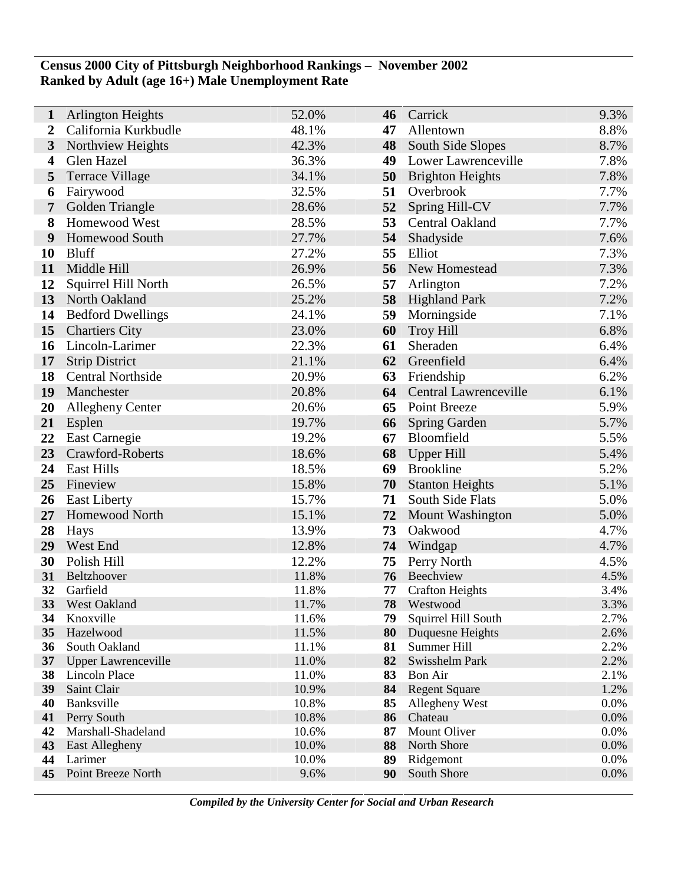## **Census 2000 City of Pittsburgh Neighborhood Rankings – November 2002 Ranked by Adult (age 16+) Male Unemployment Rate**

| 1                       | <b>Arlington Heights</b>                    | 52.0%          | 46       | Carrick                         | 9.3%         |
|-------------------------|---------------------------------------------|----------------|----------|---------------------------------|--------------|
| 2                       | California Kurkbudle                        | 48.1%          | 47       | Allentown                       | 8.8%         |
| $\mathbf{3}$            | Northview Heights                           | 42.3%          | 48       | South Side Slopes               | 8.7%         |
| $\overline{\mathbf{4}}$ | Glen Hazel                                  | 36.3%          | 49       | Lower Lawrenceville             | 7.8%         |
| 5                       | <b>Terrace Village</b>                      | 34.1%          | 50       | <b>Brighton Heights</b>         | 7.8%         |
| 6                       | Fairywood                                   | 32.5%          | 51       | Overbrook                       | 7.7%         |
| $\overline{7}$          | Golden Triangle                             | 28.6%          | 52       | Spring Hill-CV                  | 7.7%         |
| 8                       | Homewood West                               | 28.5%          | 53       | Central Oakland                 | 7.7%         |
| 9                       | Homewood South                              | 27.7%          | 54       | Shadyside                       | 7.6%         |
| <b>10</b>               | <b>Bluff</b>                                | 27.2%          | 55       | Elliot                          | 7.3%         |
| 11                      | Middle Hill                                 | 26.9%          | 56       | New Homestead                   | 7.3%         |
| 12                      | Squirrel Hill North                         | 26.5%          | 57       | Arlington                       | 7.2%         |
| 13                      | North Oakland                               | 25.2%          | 58       | <b>Highland Park</b>            | 7.2%         |
| 14                      | <b>Bedford Dwellings</b>                    | 24.1%          | 59       | Morningside                     | 7.1%         |
| 15                      | <b>Chartiers City</b>                       | 23.0%          | 60       | <b>Troy Hill</b>                | 6.8%         |
| 16                      | Lincoln-Larimer                             | 22.3%          | 61       | Sheraden                        | 6.4%         |
| 17                      | <b>Strip District</b>                       | 21.1%          | 62       | Greenfield                      | 6.4%         |
| 18                      | <b>Central Northside</b>                    | 20.9%          | 63       | Friendship                      | 6.2%         |
| 19                      | Manchester                                  | 20.8%          | 64       | Central Lawrenceville           | 6.1%         |
| 20                      | <b>Allegheny Center</b>                     | 20.6%          | 65       | Point Breeze                    | 5.9%         |
| 21                      | Esplen                                      | 19.7%          | 66       | <b>Spring Garden</b>            | 5.7%         |
| 22                      | East Carnegie                               | 19.2%          | 67       | Bloomfield                      | 5.5%         |
| 23                      | Crawford-Roberts                            | 18.6%          | 68       | Upper Hill                      | 5.4%         |
| 24                      | <b>East Hills</b>                           | 18.5%          | 69       | <b>Brookline</b>                | 5.2%         |
| 25                      | Fineview                                    | 15.8%          | 70       | <b>Stanton Heights</b>          | 5.1%         |
| 26                      | <b>East Liberty</b>                         | 15.7%          | 71       | South Side Flats                | 5.0%         |
| 27                      | Homewood North                              | 15.1%          | 72       | <b>Mount Washington</b>         | 5.0%         |
| 28                      | Hays                                        | 13.9%          | 73       | Oakwood                         | 4.7%         |
| 29                      | West End                                    | 12.8%          | 74       | Windgap                         | 4.7%         |
| 30                      | Polish Hill                                 | 12.2%          | 75       | Perry North                     | 4.5%         |
| 31                      | Beltzhoover                                 | 11.8%          | 76       | Beechview                       | 4.5%         |
| 32                      | Garfield                                    | 11.8%          | 77       | <b>Crafton Heights</b>          | 3.4%         |
| <b>33</b>               | <b>West Oakland</b>                         | 11.7%          | 78       | Westwood                        | 3.3%         |
| 34                      | Knoxville                                   | 11.6%          | 79       | Squirrel Hill South             | 2.7%         |
| 35                      | Hazelwood                                   | 11.5%          | 80       | Duquesne Heights<br>Summer Hill | 2.6%<br>2.2% |
| 36<br>37                | South Oakland<br><b>Upper Lawrenceville</b> | 11.1%<br>11.0% | 81<br>82 | Swisshelm Park                  | 2.2%         |
| 38                      | Lincoln Place                               | 11.0%          | 83       | Bon Air                         | 2.1%         |
| 39                      | Saint Clair                                 | 10.9%          | 84       | <b>Regent Square</b>            | 1.2%         |
| 40                      | Banksville                                  | 10.8%          | 85       | Allegheny West                  | 0.0%         |
| 41                      | Perry South                                 | 10.8%          | 86       | Chateau                         | 0.0%         |
| 42                      | Marshall-Shadeland                          | 10.6%          | 87       | Mount Oliver                    | 0.0%         |
| 43                      | East Allegheny                              | 10.0%          | 88       | North Shore                     | 0.0%         |
| 44                      | Larimer                                     | 10.0%          | 89       | Ridgemont                       | 0.0%         |
| 45                      | Point Breeze North                          | 9.6%           | 90       | South Shore                     | 0.0%         |
|                         |                                             |                |          |                                 |              |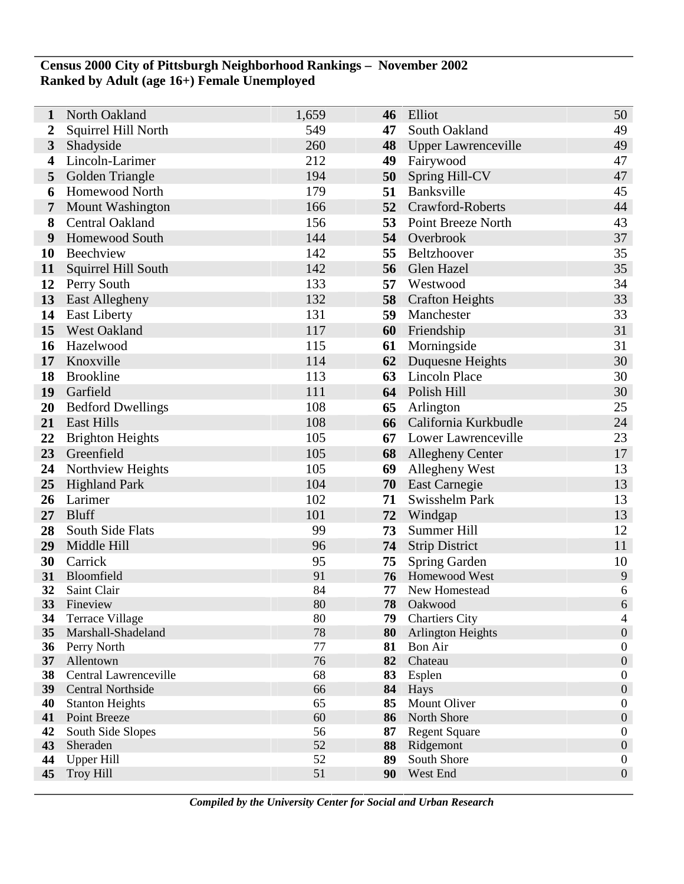## **Census 2000 City of Pittsburgh Neighborhood Rankings – November 2002 Ranked by Adult (age 16+) Female Unemployed**

| 1                       | North Oakland                 | 1,659    | 46       | Elliot                     | 50                                   |
|-------------------------|-------------------------------|----------|----------|----------------------------|--------------------------------------|
| $\boldsymbol{2}$        | Squirrel Hill North           | 549      | 47       | South Oakland              | 49                                   |
| $\overline{\mathbf{3}}$ | Shadyside                     | 260      | 48       | <b>Upper Lawrenceville</b> | 49                                   |
| 4                       | Lincoln-Larimer               | 212      | 49       | Fairywood                  | 47                                   |
| 5                       | Golden Triangle               | 194      | 50       | Spring Hill-CV             | 47                                   |
| 6                       | <b>Homewood North</b>         | 179      | 51       | Banksville                 | 45                                   |
| 7                       | Mount Washington              | 166      | 52       | Crawford-Roberts           | 44                                   |
| 8                       | Central Oakland               | 156      | 53       | Point Breeze North         | 43                                   |
| 9                       | Homewood South                | 144      |          | 54 Overbrook               | 37                                   |
| 10                      | Beechview                     | 142      | 55       | Beltzhoover                | 35                                   |
| 11                      | Squirrel Hill South           | 142      | 56       | Glen Hazel                 | 35                                   |
| 12                      | Perry South                   | 133      | 57       | Westwood                   | 34                                   |
| 13                      | <b>East Allegheny</b>         | 132      | 58       | <b>Crafton Heights</b>     | 33                                   |
| 14                      | <b>East Liberty</b>           | 131      | 59       | Manchester                 | 33                                   |
| 15                      | <b>West Oakland</b>           | 117      | 60       | Friendship                 | 31                                   |
| 16                      | Hazelwood                     | 115      | 61       | Morningside                | 31                                   |
| 17                      | Knoxville                     | 114      | 62       | Duquesne Heights           | 30                                   |
| 18                      | <b>Brookline</b>              | 113      | 63       | <b>Lincoln Place</b>       | 30                                   |
| 19                      | Garfield                      | 111      | 64       | Polish Hill                | 30                                   |
| 20                      | <b>Bedford Dwellings</b>      | 108      | 65       | Arlington                  | 25                                   |
| 21                      | <b>East Hills</b>             | 108      | 66       | California Kurkbudle       | 24                                   |
| 22                      | <b>Brighton Heights</b>       | 105      | 67       | Lower Lawrenceville        | 23                                   |
| 23                      | Greenfield                    | 105      | 68       | <b>Allegheny Center</b>    | 17                                   |
| 24                      | Northview Heights             | 105      | 69       | Allegheny West             | 13                                   |
| 25                      | <b>Highland Park</b>          | 104      | 70       | East Carnegie              | 13                                   |
| 26                      | Larimer                       | 102      | 71       | Swisshelm Park             | 13                                   |
| 27                      | <b>Bluff</b>                  | 101      | 72       | Windgap                    | 13                                   |
| 28                      | South Side Flats              | 99       | 73       | Summer Hill                | 12                                   |
| 29                      | Middle Hill                   | 96       | 74       | <b>Strip District</b>      | 11                                   |
| 30                      | Carrick                       | 95       | 75       | <b>Spring Garden</b>       | 10                                   |
| 31                      | Bloomfield                    | 91       | 76       | Homewood West              | 9                                    |
| 32<br>33                | Saint Clair<br>Fineview       | 84<br>80 | 77<br>78 | New Homestead<br>Oakwood   | 6<br>6                               |
| 34                      | <b>Terrace Village</b>        | 80       | 79       | <b>Chartiers City</b>      | 4                                    |
| 35                      | Marshall-Shadeland            | 78       | 80       | <b>Arlington Heights</b>   | $\boldsymbol{0}$                     |
| 36                      | Perry North                   | 77       | 81       | <b>Bon Air</b>             | $\boldsymbol{0}$                     |
| 37                      | Allentown                     | 76       | 82       | Chateau                    | $\boldsymbol{0}$                     |
| 38                      | Central Lawrenceville         | 68       | 83       | Esplen                     | $\boldsymbol{0}$                     |
| 39                      | <b>Central Northside</b>      | 66       | 84       | Hays                       | $\boldsymbol{0}$                     |
| 40                      | <b>Stanton Heights</b>        | 65       | 85       | Mount Oliver               | $\boldsymbol{0}$                     |
| 41                      | Point Breeze                  | 60       | 86       | North Shore                | $\boldsymbol{0}$                     |
| 42                      | South Side Slopes             | 56       | 87       | <b>Regent Square</b>       | $\boldsymbol{0}$                     |
| 43<br>44                | Sheraden<br><b>Upper Hill</b> | 52<br>52 | 88<br>89 | Ridgemont<br>South Shore   | $\boldsymbol{0}$<br>$\boldsymbol{0}$ |
| 45                      | <b>Troy Hill</b>              | 51       | 90       | West End                   | $\boldsymbol{0}$                     |
|                         |                               |          |          |                            |                                      |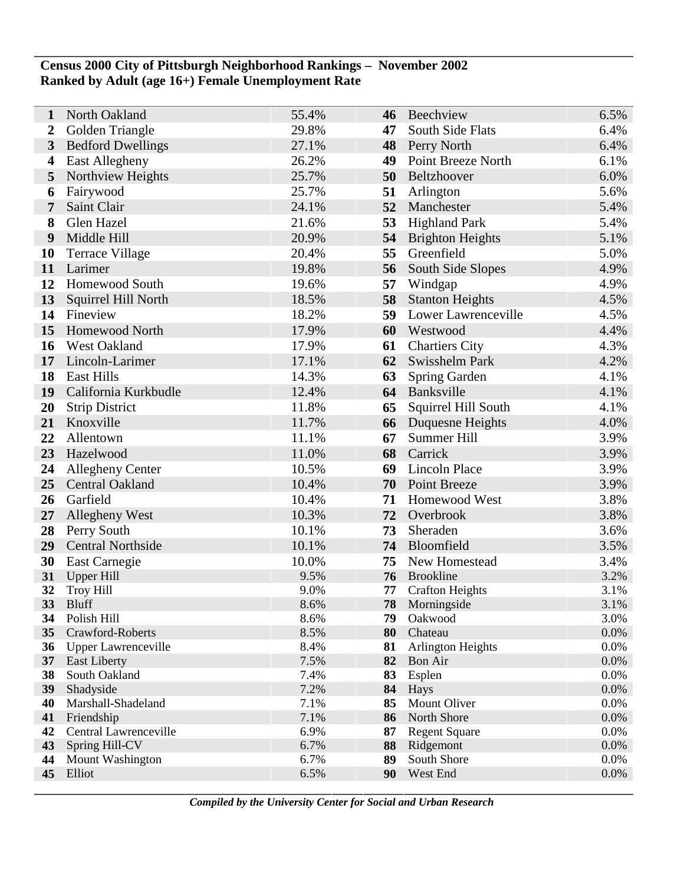## **Census 2000 City of Pittsburgh Neighborhood Rankings – November 2002 Ranked by Adult (age 16+) Female Unemployment Rate**

| 1              | North Oakland               | 55.4%        | 46       | Beechview                | 6.5%         |
|----------------|-----------------------------|--------------|----------|--------------------------|--------------|
| 2              | Golden Triangle             | 29.8%        | 47       | South Side Flats         | 6.4%         |
| $\mathbf{3}$   | <b>Bedford Dwellings</b>    | 27.1%        | 48       | Perry North              | 6.4%         |
| 4              | <b>East Allegheny</b>       | 26.2%        | 49       | Point Breeze North       | 6.1%         |
| 5              | Northview Heights           | 25.7%        | 50       | Beltzhoover              | 6.0%         |
| 6              | Fairywood                   | 25.7%        | 51       | Arlington                | 5.6%         |
| $\overline{7}$ | Saint Clair                 | 24.1%        | 52       | Manchester               | 5.4%         |
| 8              | Glen Hazel                  | 21.6%        | 53       | <b>Highland Park</b>     | 5.4%         |
| 9              | Middle Hill                 | 20.9%        | 54       | <b>Brighton Heights</b>  | 5.1%         |
| 10             | <b>Terrace Village</b>      | 20.4%        | 55       | Greenfield               | 5.0%         |
| 11             | Larimer                     | 19.8%        | 56       | South Side Slopes        | 4.9%         |
| 12             | Homewood South              | 19.6%        | 57       | Windgap                  | 4.9%         |
| 13             | Squirrel Hill North         | 18.5%        | 58       | <b>Stanton Heights</b>   | 4.5%         |
| 14             | Fineview                    | 18.2%        | 59       | Lower Lawrenceville      | 4.5%         |
| 15             | <b>Homewood North</b>       | 17.9%        | 60       | Westwood                 | 4.4%         |
| 16             | West Oakland                | 17.9%        | 61       | <b>Chartiers City</b>    | 4.3%         |
| 17             | Lincoln-Larimer             | 17.1%        | 62       | Swisshelm Park           | 4.2%         |
| 18             | <b>East Hills</b>           | 14.3%        | 63       | Spring Garden            | 4.1%         |
| 19             | California Kurkbudle        | 12.4%        |          | 64 Banksville            | 4.1%         |
| 20             | <b>Strip District</b>       | 11.8%        | 65       | Squirrel Hill South      | 4.1%         |
| 21             | Knoxville                   | 11.7%        | 66       | Duquesne Heights         | 4.0%         |
| 22             | Allentown                   | 11.1%        | 67       | Summer Hill              | 3.9%         |
| 23             | Hazelwood                   | 11.0%        | 68       | Carrick                  | 3.9%         |
| 24             | <b>Allegheny Center</b>     | 10.5%        | 69       | Lincoln Place            | 3.9%         |
| 25             | <b>Central Oakland</b>      | 10.4%        | 70       | <b>Point Breeze</b>      | 3.9%         |
| 26             | Garfield                    | 10.4%        | 71       | Homewood West            | 3.8%         |
| 27             | <b>Allegheny West</b>       | 10.3%        | 72       | Overbrook                | 3.8%         |
| 28             | Perry South                 | 10.1%        | 73       | Sheraden                 | 3.6%         |
| 29             | <b>Central Northside</b>    | 10.1%        | 74       | Bloomfield               | 3.5%         |
| 30             | East Carnegie               | 10.0%        | 75       | New Homestead            | 3.4%         |
| 31             | <b>Upper Hill</b>           | 9.5%         | 76       | Brookline                | 3.2%         |
| 32             | <b>Troy Hill</b>            | 9.0%         | 77       | <b>Crafton Heights</b>   | 3.1%<br>3.1% |
| 33<br>34       | <b>Bluff</b><br>Polish Hill | 8.6%<br>8.6% | 78<br>79 | Morningside<br>Oakwood   | 3.0%         |
| 35             | Crawford-Roberts            | 8.5%         | 80       | Chateau                  | 0.0%         |
| 36             | <b>Upper Lawrenceville</b>  | 8.4%         | 81       | <b>Arlington Heights</b> | 0.0%         |
| 37             | <b>East Liberty</b>         | 7.5%         | 82       | <b>Bon Air</b>           | 0.0%         |
| 38             | South Oakland               | 7.4%         | 83       | Esplen                   | 0.0%         |
| 39             | Shadyside                   | 7.2%         | 84       | Hays                     | 0.0%         |
| 40             | Marshall-Shadeland          | 7.1%         | 85       | Mount Oliver             | 0.0%         |
| 41             | Friendship                  | 7.1%         | 86       | North Shore              | 0.0%         |
| 42             | Central Lawrenceville       | 6.9%         | 87       | <b>Regent Square</b>     | 0.0%         |
| 43             | Spring Hill-CV              | 6.7%         | 88       | Ridgemont                | 0.0%         |
| 44             | Mount Washington            | 6.7%         | 89       | South Shore              | 0.0%         |
| 45             | Elliot                      | 6.5%         | 90       | West End                 | 0.0%         |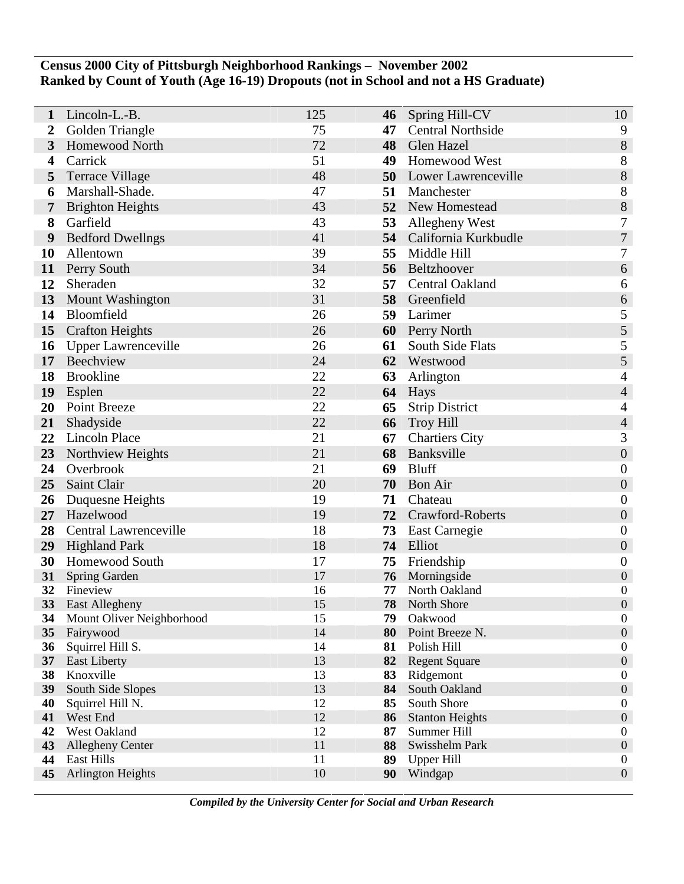## **Census 2000 City of Pittsburgh Neighborhood Rankings – November 2002 Ranked by Count of Youth (Age 16-19) Dropouts (not in School and not a HS Graduate)**

| 1                | Lincoln-L.-B.                 | 125      | 46       | Spring Hill-CV                 | 10                                   |
|------------------|-------------------------------|----------|----------|--------------------------------|--------------------------------------|
| 2                | Golden Triangle               | 75       | 47       | <b>Central Northside</b>       | 9                                    |
| 3                | <b>Homewood North</b>         | 72       | 48       | Glen Hazel                     | $8\,$                                |
| 4                | Carrick                       | 51       | 49       | <b>Homewood West</b>           | 8                                    |
| 5                | <b>Terrace Village</b>        | 48       | 50       | Lower Lawrenceville            | 8                                    |
| 6                | Marshall-Shade.               | 47       | 51       | Manchester                     | 8                                    |
| 7                | <b>Brighton Heights</b>       | 43       | 52       | New Homestead                  | 8                                    |
| 8                | Garfield                      | 43       | 53       | Allegheny West                 | $\boldsymbol{7}$                     |
| $\boldsymbol{9}$ | <b>Bedford Dwellngs</b>       | 41       |          | 54 California Kurkbudle        | $\overline{7}$                       |
| 10               | Allentown                     | 39       | 55       | Middle Hill                    | 7                                    |
| 11               | Perry South                   | 34       | 56       | Beltzhoover                    | $\boldsymbol{6}$                     |
| 12               | Sheraden                      | 32       | 57       | <b>Central Oakland</b>         | 6                                    |
| 13               | Mount Washington              | 31       | 58       | Greenfield                     | $\boldsymbol{6}$                     |
| 14               | Bloomfield                    | 26       | 59       | Larimer                        | $\mathfrak s$                        |
| 15               | <b>Crafton Heights</b>        | 26       | 60       | Perry North                    | 5                                    |
| 16               | <b>Upper Lawrenceville</b>    | 26       | 61       | South Side Flats               | $\mathfrak s$                        |
| 17               | Beechview                     | 24       | 62       | Westwood                       | 5                                    |
| 18               | <b>Brookline</b>              | 22       | 63       | Arlington                      | $\overline{4}$                       |
| 19               | Esplen                        | 22       |          | 64 Hays                        | $\overline{4}$                       |
| 20               | <b>Point Breeze</b>           | 22       | 65       | <b>Strip District</b>          | $\overline{4}$                       |
| 21               | Shadyside                     | 22       | 66       | <b>Troy Hill</b>               | $\overline{4}$                       |
| 22               | <b>Lincoln Place</b>          | 21       | 67       | <b>Chartiers City</b>          | 3                                    |
| 23               | Northview Heights             | 21       | 68       | Banksville                     | $\boldsymbol{0}$                     |
| 24               | Overbrook                     | 21       | 69       | <b>Bluff</b>                   | $\boldsymbol{0}$                     |
| 25               | Saint Clair                   | 20       | 70       | <b>Bon Air</b>                 | $\boldsymbol{0}$                     |
| 26               | Duquesne Heights              | 19       | 71       | Chateau                        | $\boldsymbol{0}$                     |
| 27               | Hazelwood                     | 19       | 72       | Crawford-Roberts               | $\boldsymbol{0}$                     |
| 28               | Central Lawrenceville         | 18       | 73       | East Carnegie                  | $\boldsymbol{0}$                     |
| 29               | <b>Highland Park</b>          | 18       | 74       | Elliot                         | $\boldsymbol{0}$                     |
| 30               | Homewood South                | 17       | 75       | Friendship                     | $\boldsymbol{0}$                     |
| 31               | Spring Garden                 | 17       | 76       | Morningside                    | $\boldsymbol{0}$                     |
| 32               | Fineview                      | 16       | 77       | North Oakland                  | $\boldsymbol{0}$                     |
| 33               | <b>East Allegheny</b>         | 15       | 78       | North Shore                    | $\boldsymbol{0}$                     |
| 34               | Mount Oliver Neighborhood     | 15       | 79       | Oakwood                        | $\boldsymbol{0}$                     |
| 35               | Fairywood<br>Squirrel Hill S. | 14<br>14 | 80<br>81 | Point Breeze N.<br>Polish Hill | $\boldsymbol{0}$<br>$\boldsymbol{0}$ |
| 36<br>37         | <b>East Liberty</b>           | 13       | 82       | <b>Regent Square</b>           | $\boldsymbol{0}$                     |
| 38               | Knoxville                     | 13       | 83       | Ridgemont                      | $\boldsymbol{0}$                     |
| 39               | South Side Slopes             | 13       | 84       | South Oakland                  | $\boldsymbol{0}$                     |
| 40               | Squirrel Hill N.              | 12       | 85       | South Shore                    | $\boldsymbol{0}$                     |
| 41               | West End                      | 12       | 86       | <b>Stanton Heights</b>         | $\boldsymbol{0}$                     |
| 42               | West Oakland                  | 12       | 87       | Summer Hill                    | $\boldsymbol{0}$                     |
| 43               | <b>Allegheny Center</b>       | 11       | 88       | Swisshelm Park                 | $\boldsymbol{0}$                     |
| 44               | East Hills                    | 11       | 89       | <b>Upper Hill</b>              | $\boldsymbol{0}$                     |
| 45               | <b>Arlington Heights</b>      | 10       | 90       | Windgap                        | $\boldsymbol{0}$                     |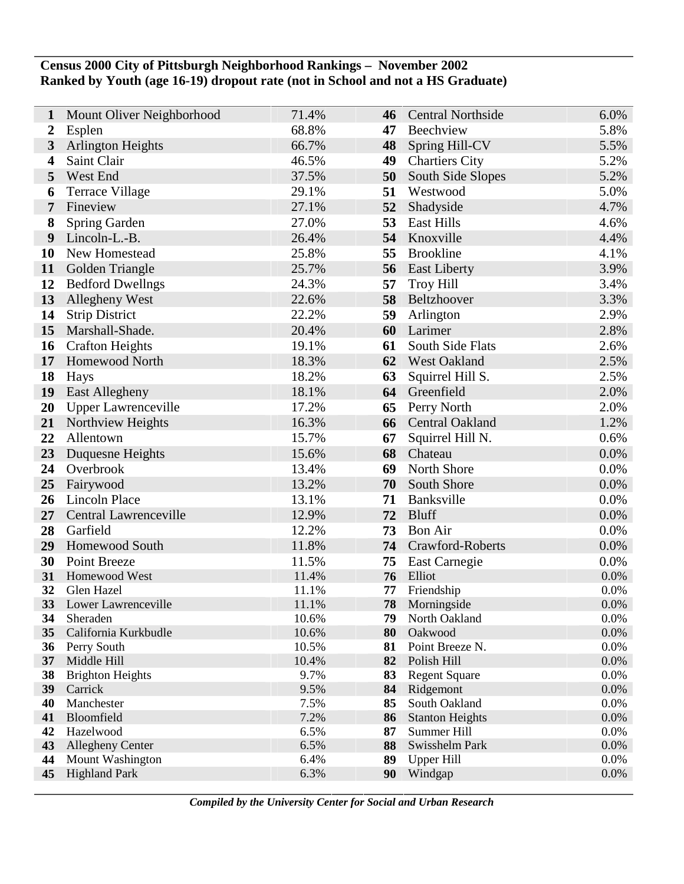## **Census 2000 City of Pittsburgh Neighborhood Rankings – November 2002 Ranked by Youth (age 16-19) dropout rate (not in School and not a HS Graduate)**

| 1                       | Mount Oliver Neighborhood            | 71.4%          | 46       | <b>Central Northside</b>     | 6.0%         |
|-------------------------|--------------------------------------|----------------|----------|------------------------------|--------------|
| $\boldsymbol{2}$        | Esplen                               | 68.8%          | 47       | Beechview                    | 5.8%         |
| $\mathbf{3}$            | <b>Arlington Heights</b>             | 66.7%          | 48       | Spring Hill-CV               | 5.5%         |
| $\overline{\mathbf{4}}$ | Saint Clair                          | 46.5%          | 49       | <b>Chartiers City</b>        | 5.2%         |
| 5                       | West End                             | 37.5%          | 50       | South Side Slopes            | 5.2%         |
| 6                       | <b>Terrace Village</b>               | 29.1%          | 51       | Westwood                     | 5.0%         |
| 7                       | Fineview                             | 27.1%          | 52       | Shadyside                    | 4.7%         |
| 8                       | Spring Garden                        | 27.0%          | 53       | <b>East Hills</b>            | 4.6%         |
| 9                       | Lincoln-L.-B.                        | 26.4%          | 54       | Knoxville                    | 4.4%         |
| 10                      | New Homestead                        | 25.8%          | 55       | <b>Brookline</b>             | 4.1%         |
| 11                      | Golden Triangle                      | 25.7%          | 56       | <b>East Liberty</b>          | 3.9%         |
| 12                      | <b>Bedford Dwellngs</b>              | 24.3%          | 57       | <b>Troy Hill</b>             | 3.4%         |
| 13                      | <b>Allegheny West</b>                | 22.6%          | 58       | Beltzhoover                  | 3.3%         |
| 14                      | <b>Strip District</b>                | 22.2%          | 59       | Arlington                    | 2.9%         |
| 15                      | Marshall-Shade.                      | 20.4%          | 60       | Larimer                      | 2.8%         |
| 16                      | <b>Crafton Heights</b>               | 19.1%          | 61       | South Side Flats             | 2.6%         |
| 17                      | Homewood North                       | 18.3%          | 62       | <b>West Oakland</b>          | 2.5%         |
| 18                      | Hays                                 | 18.2%          | 63       | Squirrel Hill S.             | 2.5%         |
| 19                      | <b>East Allegheny</b>                | 18.1%          | 64       | Greenfield                   | 2.0%         |
| 20                      | <b>Upper Lawrenceville</b>           | 17.2%          | 65       | Perry North                  | 2.0%         |
| 21                      | Northview Heights                    | 16.3%          | 66       | <b>Central Oakland</b>       | 1.2%         |
| 22                      | Allentown                            | 15.7%          | 67       | Squirrel Hill N.             | 0.6%         |
| 23                      | Duquesne Heights                     | 15.6%          | 68       | Chateau                      | 0.0%         |
| 24                      | Overbrook                            | 13.4%          | 69       | North Shore                  | 0.0%         |
| 25                      | Fairywood                            | 13.2%          | 70       | South Shore                  | 0.0%         |
| 26                      | <b>Lincoln Place</b>                 | 13.1%          | 71       | Banksville                   | 0.0%         |
| 27                      | Central Lawrenceville                | 12.9%          | 72       | <b>Bluff</b>                 | 0.0%         |
| 28                      | Garfield                             | 12.2%          | 73       | <b>Bon Air</b>               | 0.0%         |
| 29                      | <b>Homewood South</b>                | 11.8%          | 74       | Crawford-Roberts             | 0.0%         |
| 30                      | Point Breeze                         | 11.5%          | 75       | East Carnegie                | 0.0%         |
| 31                      | Homewood West                        | 11.4%          | 76       | Elliot                       | 0.0%         |
| 32                      | Glen Hazel<br>33 Lower Lawrenceville | 11.1%<br>11.1% | 77<br>78 | Friendship                   | 0.0%         |
| 34                      | Sheraden                             | 10.6%          | 79       | Morningside<br>North Oakland | 0.0%<br>0.0% |
| 35                      | California Kurkbudle                 | 10.6%          | 80       | Oakwood                      | $0.0\%$      |
| 36                      | Perry South                          | 10.5%          | 81       | Point Breeze N.              | 0.0%         |
| 37                      | Middle Hill                          | 10.4%          | 82       | Polish Hill                  | 0.0%         |
| 38                      | <b>Brighton Heights</b>              | 9.7%           | 83       | <b>Regent Square</b>         | 0.0%         |
| 39                      | Carrick                              | 9.5%           | 84       | Ridgemont                    | 0.0%         |
| 40                      | Manchester                           | 7.5%           | 85       | South Oakland                | 0.0%         |
| 41                      | Bloomfield                           | 7.2%           | 86       | <b>Stanton Heights</b>       | 0.0%         |
| 42                      | Hazelwood                            | 6.5%           | 87       | Summer Hill                  | 0.0%         |
| 43                      | <b>Allegheny Center</b>              | 6.5%           | 88       | Swisshelm Park               | 0.0%         |
| 44                      | <b>Mount Washington</b>              | 6.4%           | 89       | <b>Upper Hill</b>            | 0.0%         |
| 45                      | <b>Highland Park</b>                 | 6.3%           | 90       | Windgap                      | 0.0%         |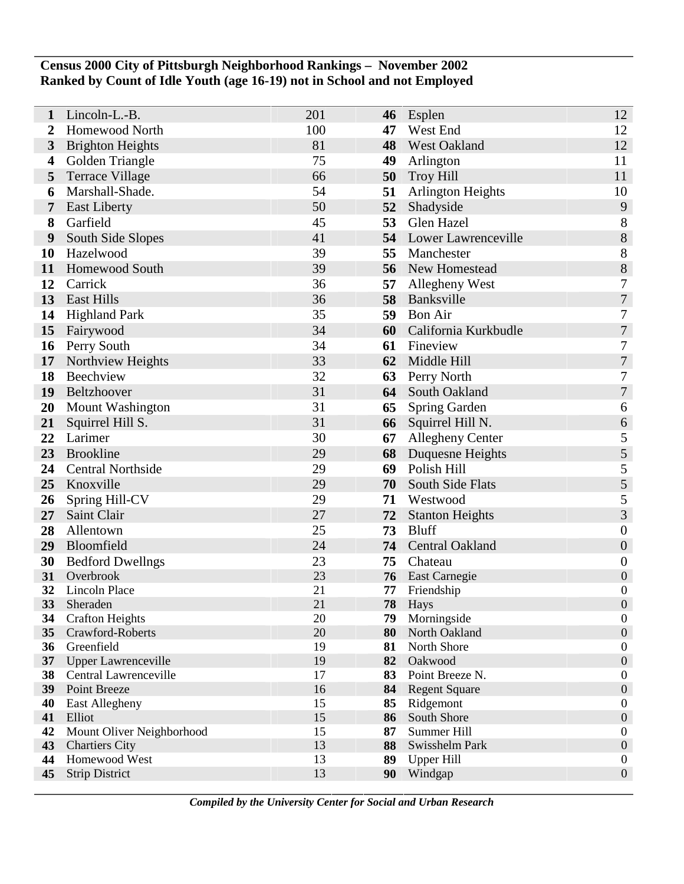## **Census 2000 City of Pittsburgh Neighborhood Rankings – November 2002 Ranked by Count of Idle Youth (age 16-19) not in School and not Employed**

| 1        | Lincoln-L.-B.                          | 201      | 46       | Esplen                       | 12                                   |
|----------|----------------------------------------|----------|----------|------------------------------|--------------------------------------|
| 2        | Homewood North                         | 100      | 47       | West End                     | 12                                   |
| 3        | <b>Brighton Heights</b>                | 81       | 48       | <b>West Oakland</b>          | 12                                   |
| 4        | Golden Triangle                        | 75       | 49       | Arlington                    | 11                                   |
| 5        | <b>Terrace Village</b>                 | 66       | 50       | <b>Troy Hill</b>             | 11                                   |
| 6        | Marshall-Shade.                        | 54       | 51       | <b>Arlington Heights</b>     | 10                                   |
| 7        | <b>East Liberty</b>                    | 50       | 52       | Shadyside                    | 9                                    |
| 8        | Garfield                               | 45       | 53       | Glen Hazel                   | 8                                    |
| 9        | South Side Slopes                      | 41       |          | 54 Lower Lawrenceville       | $8\,$                                |
| 10       | Hazelwood                              | 39       | 55       | Manchester                   | 8                                    |
| 11       | Homewood South                         | 39       | 56       | New Homestead                | 8                                    |
| 12       | Carrick                                | 36       | 57       | Allegheny West               | $\tau$                               |
| 13       | <b>East Hills</b>                      | 36       | 58       | Banksville                   | $\boldsymbol{7}$                     |
| 14       | <b>Highland Park</b>                   | 35       | 59       | <b>Bon Air</b>               | $\tau$                               |
| 15       | Fairywood                              | 34       | 60       | California Kurkbudle         | $\boldsymbol{7}$                     |
| 16       | Perry South                            | 34       | 61       | Fineview                     | 7                                    |
| 17       | Northview Heights                      | 33       | 62       | Middle Hill                  | $\boldsymbol{7}$                     |
| 18       | Beechview                              | 32       | 63       | Perry North                  | 7                                    |
| 19       | Beltzhoover                            | 31       | 64       | South Oakland                | $\overline{7}$                       |
| 20       | Mount Washington                       | 31       | 65       | <b>Spring Garden</b>         | 6                                    |
| 21       | Squirrel Hill S.                       | 31       | 66       | Squirrel Hill N.             | 6                                    |
| 22       | Larimer                                | 30       | 67       | <b>Allegheny Center</b>      | $\mathfrak{S}$                       |
| 23       | <b>Brookline</b>                       | 29       | 68       | Duquesne Heights             | $\sqrt{5}$                           |
| 24       | <b>Central Northside</b>               | 29       | 69       | Polish Hill                  | $\mathfrak s$                        |
| 25       | Knoxville                              | 29       | 70       | South Side Flats             | 5                                    |
| 26       | Spring Hill-CV                         | 29       | 71       | Westwood                     | 5                                    |
| 27       | Saint Clair                            | 27       | 72       | <b>Stanton Heights</b>       | 3                                    |
| 28       | Allentown                              | 25       | 73       | <b>Bluff</b>                 | $\boldsymbol{0}$                     |
| 29       | Bloomfield                             | 24       | 74       | <b>Central Oakland</b>       | $\boldsymbol{0}$                     |
| 30       | <b>Bedford Dwellngs</b>                | 23       | 75       | Chateau                      | $\boldsymbol{0}$                     |
| 31       | Overbrook                              | 23       | 76       | East Carnegie                | $\boldsymbol{0}$                     |
| 32<br>33 | Lincoln Place<br>Sheraden              | 21<br>21 | 77       | Friendship                   | $\boldsymbol{0}$<br>$\overline{0}$   |
| 34       | <b>Crafton Heights</b>                 | 20       | 78<br>79 | Hays<br>Morningside          | $\boldsymbol{0}$                     |
| 35       | Crawford-Roberts                       | 20       | 80       | North Oakland                | $\boldsymbol{0}$                     |
| 36       | Greenfield                             | 19       | 81       | North Shore                  | $\boldsymbol{0}$                     |
| 37       | <b>Upper Lawrenceville</b>             | 19       | 82       | Oakwood                      | $\boldsymbol{0}$                     |
| 38       | Central Lawrenceville                  | 17       | 83       | Point Breeze N.              | $\boldsymbol{0}$                     |
| 39       | Point Breeze                           | 16       | 84       | <b>Regent Square</b>         | $\boldsymbol{0}$                     |
| 40       | East Allegheny                         | 15       | 85       | Ridgemont                    | $\boldsymbol{0}$                     |
| 41       | Elliot                                 | 15       | 86       | South Shore                  | $\boldsymbol{0}$                     |
| 42       | Mount Oliver Neighborhood              | 15       | 87       | Summer Hill                  | $\boldsymbol{0}$                     |
| 43       | <b>Chartiers City</b>                  | 13       | 88       | Swisshelm Park               | $\boldsymbol{0}$                     |
| 44<br>45 | Homewood West<br><b>Strip District</b> | 13<br>13 | 89<br>90 | <b>Upper Hill</b><br>Windgap | $\boldsymbol{0}$<br>$\boldsymbol{0}$ |
|          |                                        |          |          |                              |                                      |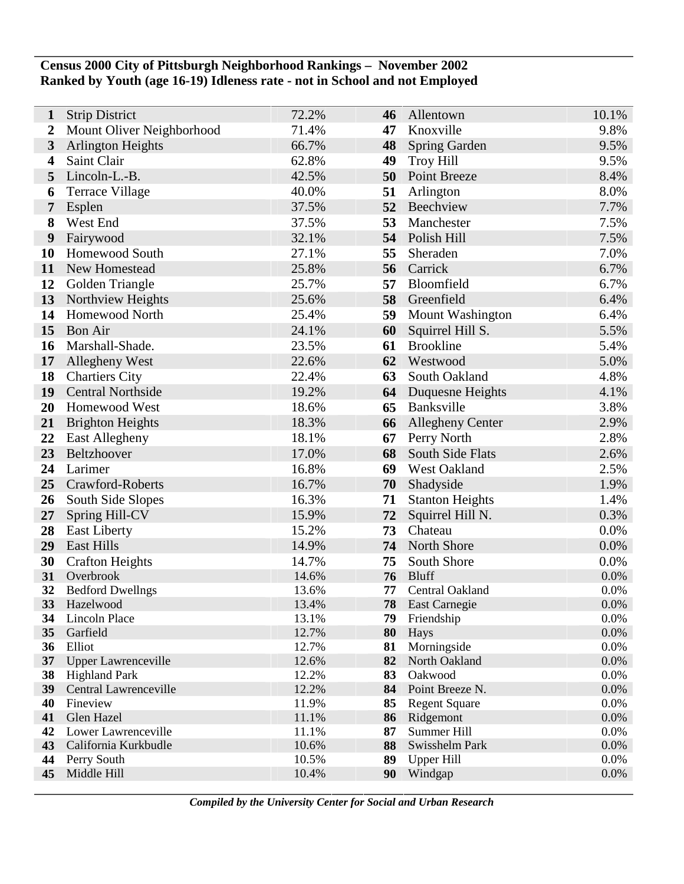## **Census 2000 City of Pittsburgh Neighborhood Rankings – November 2002 Ranked by Youth (age 16-19) Idleness rate - not in School and not Employed**

| 1                       | <b>Strip District</b>                | 72.2%          | 46       | Allentown                          | 10.1%        |
|-------------------------|--------------------------------------|----------------|----------|------------------------------------|--------------|
| 2                       | Mount Oliver Neighborhood            | 71.4%          | 47       | Knoxville                          | 9.8%         |
| $\overline{\mathbf{3}}$ | <b>Arlington Heights</b>             | 66.7%          | 48       | <b>Spring Garden</b>               | 9.5%         |
| $\boldsymbol{4}$        | Saint Clair                          | 62.8%          | 49       | <b>Troy Hill</b>                   | 9.5%         |
| 5                       | Lincoln-L.-B.                        | 42.5%          | 50       | <b>Point Breeze</b>                | 8.4%         |
| 6                       | Terrace Village                      | 40.0%          | 51       | Arlington                          | 8.0%         |
| 7                       | Esplen                               | 37.5%          | 52       | Beechview                          | 7.7%         |
| 8                       | West End                             | 37.5%          | 53       | Manchester                         | 7.5%         |
| 9                       | Fairywood                            | 32.1%          | 54       | Polish Hill                        | 7.5%         |
| 10                      | Homewood South                       | 27.1%          | 55       | Sheraden                           | 7.0%         |
| 11                      | New Homestead                        | 25.8%          | 56       | Carrick                            | 6.7%         |
| 12                      | Golden Triangle                      | 25.7%          | 57       | Bloomfield                         | 6.7%         |
| 13                      | Northview Heights                    | 25.6%          | 58       | Greenfield                         | 6.4%         |
| 14                      | Homewood North                       | 25.4%          | 59       | <b>Mount Washington</b>            | 6.4%         |
| 15                      | <b>Bon Air</b>                       | 24.1%          | 60       | Squirrel Hill S.                   | 5.5%         |
| 16                      | Marshall-Shade.                      | 23.5%          | 61       | <b>Brookline</b>                   | 5.4%         |
| 17                      | Allegheny West                       | 22.6%          | 62       | Westwood                           | 5.0%         |
| 18                      | <b>Chartiers City</b>                | 22.4%          | 63       | South Oakland                      | 4.8%         |
| 19                      | <b>Central Northside</b>             | 19.2%          | 64       | Duquesne Heights                   | 4.1%         |
| 20                      | <b>Homewood West</b>                 | 18.6%          | 65       | Banksville                         | 3.8%         |
| 21                      | <b>Brighton Heights</b>              | 18.3%          | 66       | <b>Allegheny Center</b>            | 2.9%         |
| 22                      | East Allegheny                       | 18.1%          | 67       | Perry North                        | 2.8%         |
| 23                      | Beltzhoover                          | 17.0%          | 68       | South Side Flats                   | 2.6%         |
| 24                      | Larimer                              | 16.8%          | 69       | West Oakland                       | 2.5%         |
| 25                      | Crawford-Roberts                     | 16.7%          | 70       | Shadyside                          | 1.9%         |
| 26                      | South Side Slopes                    | 16.3%          | 71       | <b>Stanton Heights</b>             | 1.4%         |
| 27                      | Spring Hill-CV                       | 15.9%          | 72       | Squirrel Hill N.                   | 0.3%         |
| 28                      | <b>East Liberty</b>                  | 15.2%          | 73       | Chateau                            | 0.0%         |
| 29                      | <b>East Hills</b>                    | 14.9%          | 74       | North Shore                        | 0.0%         |
| 30                      | <b>Crafton Heights</b>               | 14.7%          | 75       | South Shore                        | 0.0%         |
| 31                      | Overbrook                            | 14.6%          | 76       | <b>Bluff</b>                       | 0.0%         |
| 32<br>33                | <b>Bedford Dwellngs</b><br>Hazelwood | 13.6%<br>13.4% | 77<br>78 | Central Oakland                    | 0.0%         |
| 34                      | Lincoln Place                        | 13.1%          | 79       | <b>East Carnegie</b><br>Friendship | 0.0%<br>0.0% |
| 35                      | Garfield                             | 12.7%          | 80       | Hays                               | 0.0%         |
| 36                      | Elliot                               | 12.7%          | 81       | Morningside                        | 0.0%         |
| 37 <sup>2</sup>         | <b>Upper Lawrenceville</b>           | 12.6%          | 82       | North Oakland                      | 0.0%         |
| 38                      | <b>Highland Park</b>                 | 12.2%          | 83       | Oakwood                            | 0.0%         |
|                         | 39 Central Lawrenceville             | 12.2%          | 84       | Point Breeze N.                    | 0.0%         |
| 40                      | Fineview                             | 11.9%          | 85       | <b>Regent Square</b>               | 0.0%         |
| 41                      | Glen Hazel                           | 11.1%          | 86       | Ridgemont                          | 0.0%         |
| 42                      | Lower Lawrenceville                  | 11.1%          | 87       | Summer Hill                        | 0.0%         |
| 43                      | California Kurkbudle                 | 10.6%          | 88       | Swisshelm Park                     | 0.0%         |
| 44                      | Perry South<br>Middle Hill           | 10.5%<br>10.4% | 89       | <b>Upper Hill</b>                  | 0.0%<br>0.0% |
| 45                      |                                      |                | 90       | Windgap                            |              |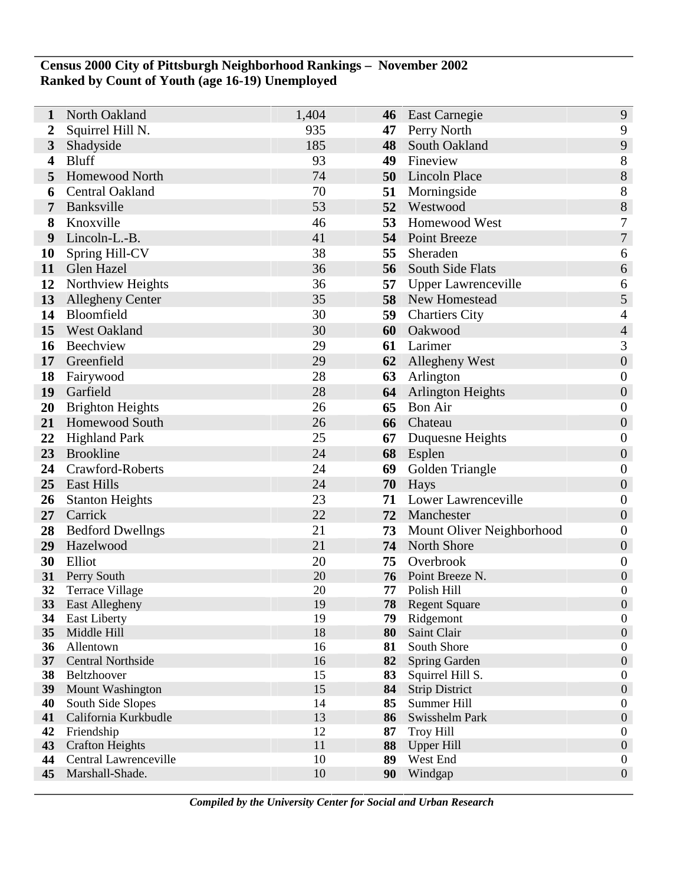## **Census 2000 City of Pittsburgh Neighborhood Rankings – November 2002 Ranked by Count of Youth (age 16-19) Unemployed**

| 1                       | North Oakland                      | 1,404    | 46       | <b>East Carnegie</b>       | 9                                    |
|-------------------------|------------------------------------|----------|----------|----------------------------|--------------------------------------|
| 2                       | Squirrel Hill N.                   | 935      | 47       | Perry North                | 9                                    |
| $\mathbf{3}$            | Shadyside                          | 185      | 48       | South Oakland              | 9                                    |
| $\overline{\mathbf{4}}$ | <b>Bluff</b>                       | 93       | 49       | Fineview                   | 8                                    |
| 5                       | Homewood North                     | 74       | 50       | Lincoln Place              | $\boldsymbol{8}$                     |
| 6                       | Central Oakland                    | 70       | 51       | Morningside                | 8                                    |
| 7                       | Banksville                         | 53       | 52       | Westwood                   | 8                                    |
| 8                       | Knoxville                          | 46       | 53       | Homewood West              | $\overline{7}$                       |
| 9                       | Lincoln-L.-B.                      | 41       | 54       | Point Breeze               | $\boldsymbol{7}$                     |
| 10                      | Spring Hill-CV                     | 38       | 55       | Sheraden                   | 6                                    |
| 11                      | Glen Hazel                         | 36       | 56       | South Side Flats           | 6                                    |
| 12                      | Northview Heights                  | 36       | 57       | <b>Upper Lawrenceville</b> | 6                                    |
| 13                      | <b>Allegheny Center</b>            | 35       |          | 58 New Homestead           | 5                                    |
| 14                      | Bloomfield                         | 30       | 59       | <b>Chartiers City</b>      | $\overline{4}$                       |
| 15                      | West Oakland                       | 30       | 60       | Oakwood                    | $\overline{4}$                       |
| 16                      | Beechview                          | 29       | 61       | Larimer                    | 3                                    |
| 17                      | Greenfield                         | 29       | 62       | <b>Allegheny West</b>      | $\boldsymbol{0}$                     |
| 18                      | Fairywood                          | 28       | 63       | Arlington                  | $\boldsymbol{0}$                     |
| 19                      | Garfield                           | 28       | 64       | <b>Arlington Heights</b>   | $\boldsymbol{0}$                     |
| 20                      | <b>Brighton Heights</b>            | 26       | 65       | <b>Bon Air</b>             | $\boldsymbol{0}$                     |
| 21                      | Homewood South                     | 26       | 66       | Chateau                    | $\boldsymbol{0}$                     |
| 22                      | <b>Highland Park</b>               | 25       | 67       | Duquesne Heights           | $\boldsymbol{0}$                     |
| 23                      | <b>Brookline</b>                   | 24       |          | 68 Esplen                  | $\boldsymbol{0}$                     |
| 24                      | Crawford-Roberts                   | 24       | 69       | Golden Triangle            | $\boldsymbol{0}$                     |
| 25                      | <b>East Hills</b>                  | 24       | 70       | Hays                       | $\boldsymbol{0}$                     |
| 26                      | <b>Stanton Heights</b>             | 23       | 71       | Lower Lawrenceville        | $\boldsymbol{0}$                     |
| 27                      | Carrick                            | 22       | 72       | Manchester                 | $\boldsymbol{0}$                     |
| 28                      | <b>Bedford Dwellngs</b>            | 21       | 73       | Mount Oliver Neighborhood  | $\boldsymbol{0}$                     |
| 29                      | Hazelwood                          | 21       | 74       | <b>North Shore</b>         | $\boldsymbol{0}$                     |
| 30                      | Elliot                             | 20       | 75       | Overbrook                  | $\boldsymbol{0}$                     |
| 31                      | Perry South                        | 20       | 76       | Point Breeze N.            | $\boldsymbol{0}$                     |
| 32                      | <b>Terrace Village</b>             | 20       | 77       | Polish Hill                | $\boldsymbol{0}$                     |
| 33                      | <b>East Allegheny</b>              | 19<br>19 | 78       | <b>Regent Square</b>       | $\boldsymbol{0}$<br>$\boldsymbol{0}$ |
| 34<br>35                | <b>East Liberty</b><br>Middle Hill | 18       | 79<br>80 | Ridgemont<br>Saint Clair   | $\boldsymbol{0}$                     |
| 36                      | Allentown                          | 16       | 81       | South Shore                | $\boldsymbol{0}$                     |
| 37                      | <b>Central Northside</b>           | 16       | 82       | <b>Spring Garden</b>       | $\boldsymbol{0}$                     |
| 38                      | Beltzhoover                        | 15       | 83       | Squirrel Hill S.           | $\boldsymbol{0}$                     |
| 39                      | Mount Washington                   | 15       | 84       | <b>Strip District</b>      | $\boldsymbol{0}$                     |
| 40                      | South Side Slopes                  | 14       | 85       | Summer Hill                | $\boldsymbol{0}$                     |
| 41                      | California Kurkbudle               | 13       | 86       | Swisshelm Park             | $\boldsymbol{0}$                     |
| 42                      | Friendship                         | 12       | 87       | <b>Troy Hill</b>           | $\boldsymbol{0}$                     |
| 43                      | <b>Crafton Heights</b>             | 11       | 88       | <b>Upper Hill</b>          | $\boldsymbol{0}$                     |
| 44                      | Central Lawrenceville              | 10       | 89       | West End                   | $\boldsymbol{0}$                     |
| 45                      | Marshall-Shade.                    | 10       | 90       | Windgap                    | $\boldsymbol{0}$                     |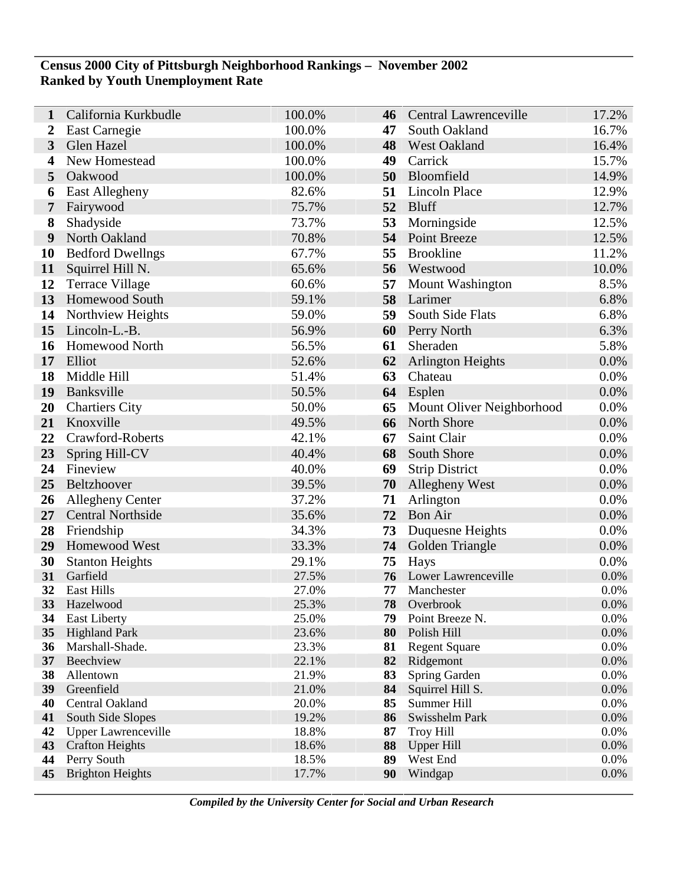## **Census 2000 City of Pittsburgh Neighborhood Rankings – November 2002 Ranked by Youth Unemployment Rate**

Ī

| 1        | California Kurkbudle                    | 100.0%         | 46       | <b>Central Lawrenceville</b>        | 17.2%        |
|----------|-----------------------------------------|----------------|----------|-------------------------------------|--------------|
| 2        | East Carnegie                           | 100.0%         | 47       | South Oakland                       | 16.7%        |
| 3        | Glen Hazel                              | 100.0%         | 48       | <b>West Oakland</b>                 | 16.4%        |
| 4        | New Homestead                           | 100.0%         | 49       | Carrick                             | 15.7%        |
| 5        | Oakwood                                 | 100.0%         | 50       | Bloomfield                          | 14.9%        |
| 6        | East Allegheny                          | 82.6%          | 51       | Lincoln Place                       | 12.9%        |
| 7        | Fairywood                               | 75.7%          | 52       | <b>Bluff</b>                        | 12.7%        |
| 8        | Shadyside                               | 73.7%          | 53       | Morningside                         | 12.5%        |
| 9        | North Oakland                           | 70.8%          | 54       | <b>Point Breeze</b>                 | 12.5%        |
| 10       | <b>Bedford Dwellngs</b>                 | 67.7%          | 55       | <b>Brookline</b>                    | 11.2%        |
| 11       | Squirrel Hill N.                        | 65.6%          | 56       | Westwood                            | 10.0%        |
| 12       | <b>Terrace Village</b>                  | 60.6%          | 57       | <b>Mount Washington</b>             | 8.5%         |
| 13       | <b>Homewood South</b>                   | 59.1%          | 58       | Larimer                             | 6.8%         |
| 14       | Northview Heights                       | 59.0%          | 59       | South Side Flats                    | 6.8%         |
| 15       | Lincoln-L.-B.                           | 56.9%          | 60       | <b>Perry North</b>                  | 6.3%         |
| 16       | Homewood North                          | 56.5%          | 61       | Sheraden                            | 5.8%         |
| 17       | Elliot                                  | 52.6%          | 62       | <b>Arlington Heights</b>            | 0.0%         |
| 18       | Middle Hill                             | 51.4%          | 63       | Chateau                             | 0.0%         |
| 19       | Banksville                              | 50.5%          | 64       | Esplen                              | 0.0%         |
| 20       | <b>Chartiers City</b>                   | 50.0%          | 65       | Mount Oliver Neighborhood           | 0.0%         |
| 21       | Knoxville                               | 49.5%          | 66       | North Shore                         | 0.0%         |
| 22       | Crawford-Roberts                        | 42.1%          | 67       | Saint Clair                         | 0.0%         |
| 23       | Spring Hill-CV                          | 40.4%          | 68       | South Shore                         | 0.0%         |
| 24       | Fineview                                | 40.0%          | 69       | <b>Strip District</b>               | 0.0%         |
| 25       | Beltzhoover                             | 39.5%          | 70       | Allegheny West                      | 0.0%         |
| 26       | <b>Allegheny Center</b>                 | 37.2%          | 71       | Arlington                           | 0.0%         |
| 27       | <b>Central Northside</b>                | 35.6%          | 72       | <b>Bon Air</b>                      | 0.0%         |
| 28       | Friendship                              | 34.3%          | 73       | Duquesne Heights                    | 0.0%         |
| 29       | Homewood West                           | 33.3%          | 74       | Golden Triangle                     | 0.0%         |
| 30       | <b>Stanton Heights</b>                  | 29.1%          | 75       | <b>Hays</b>                         | 0.0%         |
| 31       | Garfield                                | 27.5%          | 76       | Lower Lawrenceville                 | 0.0%         |
| 32       | East Hills                              | 27.0%          | 77       | Manchester                          | 0.0%         |
| 33       | Hazelwood                               | 25.3%          | 78       | Overbrook                           | 0.0%         |
| 34       | <b>East Liberty</b>                     | 25.0%          | 79       | Point Breeze N.                     | 0.0%         |
| 35<br>36 | <b>Highland Park</b><br>Marshall-Shade. | 23.6%<br>23.3% | 80<br>81 | Polish Hill<br><b>Regent Square</b> | 0.0%<br>0.0% |
| 37       | Beechview                               | 22.1%          | 82       | Ridgemont                           | 0.0%         |
| 38       | Allentown                               | 21.9%          | 83       | Spring Garden                       | 0.0%         |
| 39       | Greenfield                              | 21.0%          | 84       | Squirrel Hill S.                    | 0.0%         |
| 40       | Central Oakland                         | 20.0%          | 85       | Summer Hill                         | 0.0%         |
| 41       | South Side Slopes                       | 19.2%          | 86       | Swisshelm Park                      | 0.0%         |
| 42       | <b>Upper Lawrenceville</b>              | 18.8%          | 87       | <b>Troy Hill</b>                    | 0.0%         |
| 43       | <b>Crafton Heights</b>                  | 18.6%          | 88       | <b>Upper Hill</b>                   | 0.0%         |
| 44       | Perry South                             | 18.5%          | 89       | West End                            | 0.0%         |
| 45       | <b>Brighton Heights</b>                 | 17.7%          | 90       | Windgap                             | 0.0%         |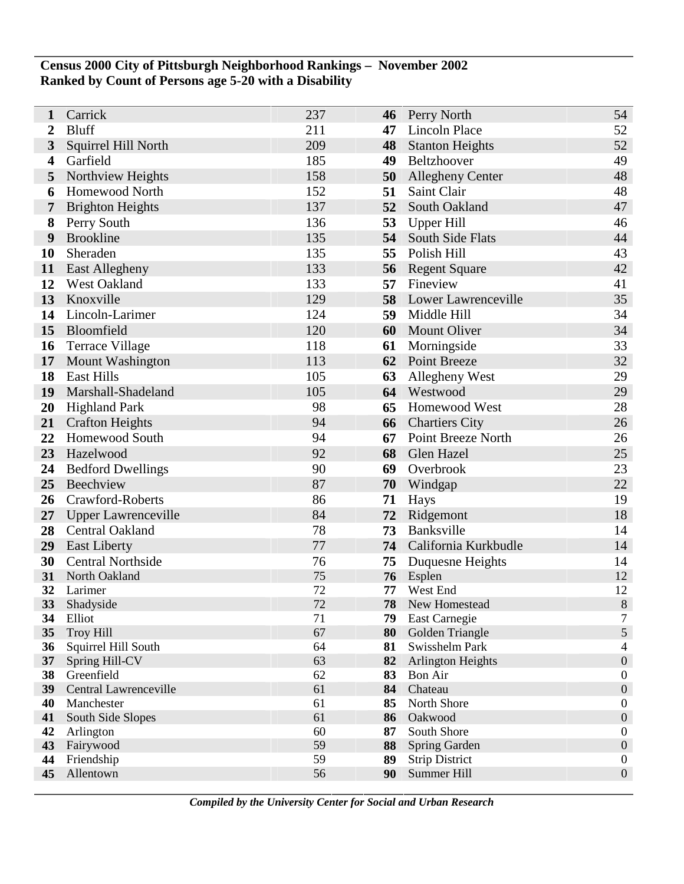## **Census 2000 City of Pittsburgh Neighborhood Rankings – November 2002 Ranked by Count of Persons age 5-20 with a Disability**

| 1                       | Carrick                      | 237      | 46       | Perry North                  | 54                                   |
|-------------------------|------------------------------|----------|----------|------------------------------|--------------------------------------|
| 2                       | <b>Bluff</b>                 | 211      | 47       | Lincoln Place                | 52                                   |
| 3                       | Squirrel Hill North          | 209      | 48       | <b>Stanton Heights</b>       | 52                                   |
| $\overline{\mathbf{4}}$ | Garfield                     | 185      | 49       | Beltzhoover                  | 49                                   |
| 5                       | Northview Heights            | 158      | 50       | <b>Allegheny Center</b>      | 48                                   |
| 6                       | <b>Homewood North</b>        | 152      | 51       | Saint Clair                  | 48                                   |
| 7                       | <b>Brighton Heights</b>      | 137      | 52       | South Oakland                | 47                                   |
| 8                       | Perry South                  | 136      | 53       | Upper Hill                   | 46                                   |
| 9                       | <b>Brookline</b>             | 135      | 54       | South Side Flats             | 44                                   |
| 10                      | Sheraden                     | 135      | 55       | Polish Hill                  | 43                                   |
| 11                      | East Allegheny               | 133      | 56       | <b>Regent Square</b>         | 42                                   |
| 12                      | West Oakland                 | 133      | 57       | Fineview                     | 41                                   |
| 13                      | Knoxville                    | 129      |          | 58 Lower Lawrenceville       | 35                                   |
| 14                      | Lincoln-Larimer              | 124      | 59       | Middle Hill                  | 34                                   |
| 15                      | Bloomfield                   | 120      | 60       | <b>Mount Oliver</b>          | 34                                   |
| 16                      | <b>Terrace Village</b>       | 118      | 61       | Morningside                  | 33                                   |
| 17                      | <b>Mount Washington</b>      | 113      | 62       | <b>Point Breeze</b>          | 32                                   |
| 18                      | <b>East Hills</b>            | 105      | 63       | Allegheny West               | 29                                   |
| 19                      | Marshall-Shadeland           | 105      | 64       | Westwood                     | 29                                   |
| 20                      | <b>Highland Park</b>         | 98       | 65       | Homewood West                | 28                                   |
| 21                      | <b>Crafton Heights</b>       | 94       | 66       | <b>Chartiers City</b>        | 26                                   |
| 22                      | Homewood South               | 94       | 67       | Point Breeze North           | 26                                   |
| 23                      | Hazelwood                    | 92       |          | 68 Glen Hazel                | 25                                   |
| 24                      | <b>Bedford Dwellings</b>     | 90       | 69       | Overbrook                    | 23                                   |
| 25                      | Beechview                    | 87       | 70       | Windgap                      | 22                                   |
| 26                      | Crawford-Roberts             | 86       | 71       | Hays                         | 19                                   |
| 27                      | <b>Upper Lawrenceville</b>   | 84       | 72       | Ridgemont                    | 18                                   |
| 28                      | Central Oakland              | 78       | 73       | Banksville                   | 14                                   |
| 29                      | <b>East Liberty</b>          | 77       |          | 74 California Kurkbudle      | 14                                   |
| 30                      | <b>Central Northside</b>     | 76       | 75       | Duquesne Heights             | 14                                   |
| 31<br>32                | North Oakland<br>Larimer     | 75<br>72 | 76<br>77 | Esplen<br>West End           | 12<br>12                             |
| 33                      | Shadyside                    | 72       | 78       | New Homestead                | $\,8\,$                              |
| 34                      | Elliot                       | 71       | 79       | East Carnegie                | $\boldsymbol{7}$                     |
| 35                      | <b>Troy Hill</b>             | 67       | 80       | Golden Triangle              | $\mathfrak s$                        |
| 36                      | Squirrel Hill South          | 64       | 81       | Swisshelm Park               | $\overline{\mathcal{L}}$             |
| 37                      | Spring Hill-CV               | 63       | 82       | <b>Arlington Heights</b>     | $\boldsymbol{0}$                     |
| 38                      | Greenfield                   | 62       | 83       | Bon Air                      | $\boldsymbol{0}$                     |
| 39                      | <b>Central Lawrenceville</b> | 61       | 84       | Chateau                      | $\boldsymbol{0}$                     |
| 40                      | Manchester                   | 61       | 85       | North Shore                  | $\boldsymbol{0}$                     |
| 41                      | South Side Slopes            | 61       | 86       | Oakwood                      | $\boldsymbol{0}$                     |
| 42<br>43                | Arlington<br>Fairywood       | 60<br>59 | 87<br>88 | South Shore<br>Spring Garden | $\boldsymbol{0}$<br>$\boldsymbol{0}$ |
| 44                      | Friendship                   | 59       | 89       | <b>Strip District</b>        | $\boldsymbol{0}$                     |
| 45                      | Allentown                    | 56       | 90       | Summer Hill                  | $\boldsymbol{0}$                     |
|                         |                              |          |          |                              |                                      |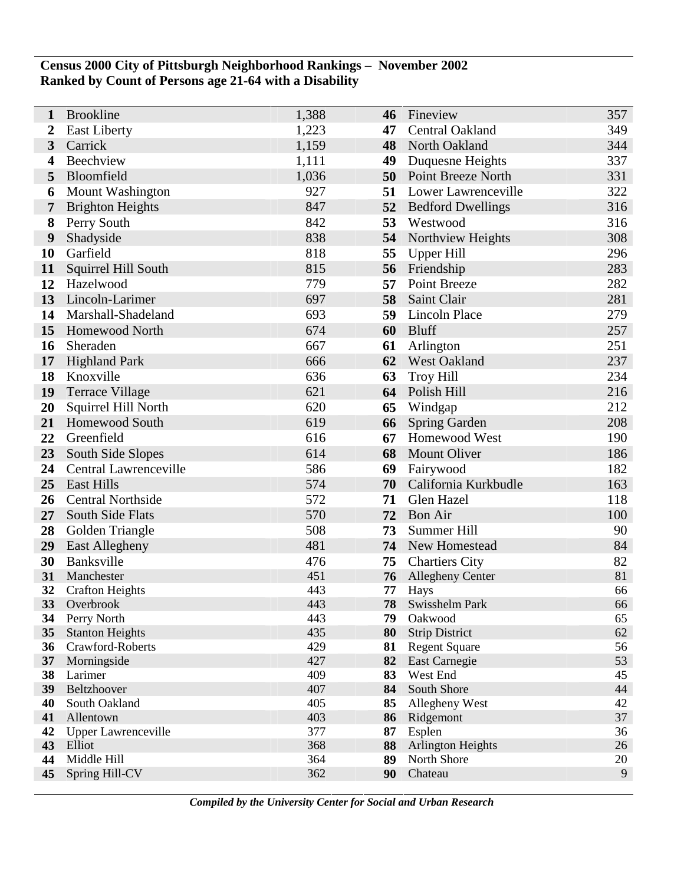## **Census 2000 City of Pittsburgh Neighborhood Rankings – November 2002 Ranked by Count of Persons age 21-64 with a Disability**

| 1              | <b>Brookline</b>                      | 1,388      | 46       | Fineview                         | 357      |
|----------------|---------------------------------------|------------|----------|----------------------------------|----------|
| 2              | <b>East Liberty</b>                   | 1,223      | 47       | Central Oakland                  | 349      |
| $\overline{3}$ | Carrick                               | 1,159      | 48       | North Oakland                    | 344      |
| 4              | Beechview                             | 1,111      | 49       | Duquesne Heights                 | 337      |
| 5              | Bloomfield                            | 1,036      |          | <b>50</b> Point Breeze North     | 331      |
| 6              | Mount Washington                      | 927        | 51       | Lower Lawrenceville              | 322      |
| 7              | <b>Brighton Heights</b>               | 847        | 52       | <b>Bedford Dwellings</b>         | 316      |
| 8              | Perry South                           | 842        | 53       | Westwood                         | 316      |
| 9              | Shadyside                             | 838        | 54       | Northview Heights                | 308      |
| 10             | Garfield                              | 818        | 55       | Upper Hill                       | 296      |
| 11             | Squirrel Hill South                   | 815        | 56       | Friendship                       | 283      |
| 12             | Hazelwood                             | 779        | 57       | Point Breeze                     | 282      |
| 13             | Lincoln-Larimer                       | 697        | 58       | Saint Clair                      | 281      |
| 14             | Marshall-Shadeland                    | 693        | 59       | <b>Lincoln Place</b>             | 279      |
| 15             | Homewood North                        | 674        | 60       | <b>Bluff</b>                     | 257      |
| 16             | Sheraden                              | 667        | 61       | Arlington                        | 251      |
| 17             | <b>Highland Park</b>                  | 666        | 62       | <b>West Oakland</b>              | 237      |
| 18             | Knoxville                             | 636        | 63       | <b>Troy Hill</b>                 | 234      |
| 19             | <b>Terrace Village</b>                | 621        | 64       | Polish Hill                      | 216      |
| 20             | Squirrel Hill North                   | 620        | 65       | Windgap                          | 212      |
| 21             | <b>Homewood South</b>                 | 619        | 66       | <b>Spring Garden</b>             | 208      |
| 22             | Greenfield                            | 616        | 67       | Homewood West                    | 190      |
| 23             | South Side Slopes                     | 614        | 68       | <b>Mount Oliver</b>              | 186      |
| 24             | Central Lawrenceville                 | 586        | 69       | Fairywood                        | 182      |
| 25             | <b>East Hills</b>                     | 574        | 70       | California Kurkbudle             | 163      |
| 26             | <b>Central Northside</b>              | 572        | 71       | Glen Hazel                       | 118      |
| 27             | South Side Flats                      | 570        | 72       | <b>Bon Air</b>                   | 100      |
| 28             | Golden Triangle                       | 508        | 73       | Summer Hill                      | 90       |
| 29             | East Allegheny                        | 481        | 74       | New Homestead                    | 84       |
| 30             | Banksville                            | 476        | 75       | <b>Chartiers City</b>            | 82       |
| 31             | Manchester                            | 451        | 76       | Allegheny Center                 | 81       |
| 32             | <b>Crafton Heights</b>                | 443        | 77       | Hays                             | 66       |
| 33             | Overbrook                             | 443<br>443 | 78       | Swisshelm Park                   | 66       |
| 34<br>35       | Perry North<br><b>Stanton Heights</b> | 435        | 79<br>80 | Oakwood<br><b>Strip District</b> | 65<br>62 |
| 36             | Crawford-Roberts                      | 429        | 81       | <b>Regent Square</b>             | 56       |
| 37             | Morningside                           | 427        | 82       | East Carnegie                    | 53       |
| 38             | Larimer                               | 409        | 83       | West End                         | 45       |
| 39             | Beltzhoover                           | 407        | 84       | South Shore                      | 44       |
| 40             | South Oakland                         | 405        | 85       | Allegheny West                   | 42       |
| 41             | Allentown                             | 403        | 86       | Ridgemont                        | 37       |
| 42             | <b>Upper Lawrenceville</b>            | 377        | 87       | Esplen                           | 36       |
| 43             | Elliot                                | 368        | 88       | <b>Arlington Heights</b>         | 26       |
| 44             | Middle Hill                           | 364        | 89       | North Shore                      | 20       |
| 45             | Spring Hill-CV                        | 362        | 90       | Chateau                          | 9        |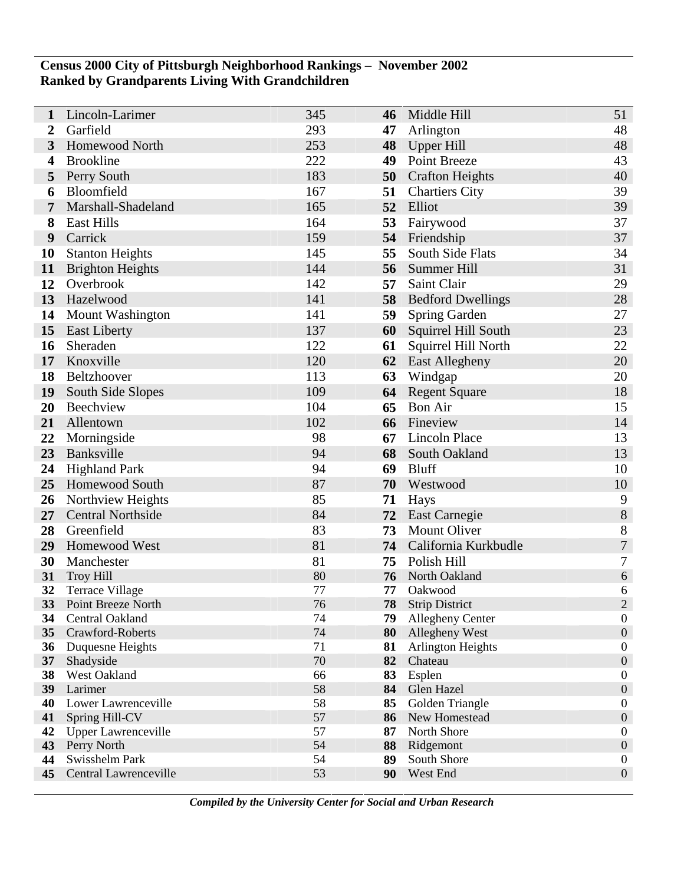#### **Census 2000 City of Pittsburgh Neighborhood Rankings – November 2002 Ranked by Grandparents Living With Grandchildren**

| 1               | Lincoln-Larimer                     | 345      | 46       | Middle Hill                        | 51                                   |
|-----------------|-------------------------------------|----------|----------|------------------------------------|--------------------------------------|
| 2               | Garfield                            | 293      | 47       | Arlington                          | 48                                   |
| 3               | Homewood North                      | 253      | 48       | Upper Hill                         | 48                                   |
| 4               | <b>Brookline</b>                    | 222      | 49       | Point Breeze                       | 43                                   |
| 5               | Perry South                         | 183      | 50       | <b>Crafton Heights</b>             | 40                                   |
| 6               | Bloomfield                          | 167      | 51       | <b>Chartiers City</b>              | 39                                   |
| 7               | Marshall-Shadeland                  | 165      | 52       | Elliot                             | 39                                   |
| 8               | <b>East Hills</b>                   | 164      | 53       | Fairywood                          | 37                                   |
| 9               | Carrick                             | 159      | 54       | Friendship                         | 37                                   |
| 10              | <b>Stanton Heights</b>              | 145      | 55       | South Side Flats                   | 34                                   |
| 11              | <b>Brighton Heights</b>             | 144      | 56       | Summer Hill                        | 31                                   |
| 12              | Overbrook                           | 142      | 57       | Saint Clair                        | 29                                   |
| 13              | Hazelwood                           | 141      | 58       | <b>Bedford Dwellings</b>           | 28                                   |
| 14              | Mount Washington                    | 141      | 59       | Spring Garden                      | 27                                   |
| 15              | <b>East Liberty</b>                 | 137      | 60       | Squirrel Hill South                | 23                                   |
| 16              | Sheraden                            | 122      | 61       | Squirrel Hill North                | 22                                   |
| 17              | Knoxville                           | 120      | 62       | <b>East Allegheny</b>              | 20                                   |
| 18              | Beltzhoover                         | 113      | 63       | Windgap                            | 20                                   |
| 19              | South Side Slopes                   | 109      | 64       | <b>Regent Square</b>               | 18                                   |
| 20              | Beechview                           | 104      | 65       | <b>Bon Air</b>                     | 15                                   |
| 21              | Allentown                           | 102      | 66       | Fineview                           | 14                                   |
| 22              | Morningside                         | 98       | 67       | <b>Lincoln Place</b>               | 13                                   |
| 23              | Banksville                          | 94       | 68       | South Oakland                      | 13                                   |
| 24              | <b>Highland Park</b>                | 94       | 69       | <b>Bluff</b>                       | 10                                   |
| 25              | Homewood South                      | 87       | 70       | Westwood                           | 10                                   |
| 26              | Northview Heights                   | 85       | 71       | Hays                               | 9                                    |
| 27              | <b>Central Northside</b>            | 84       | 72       | <b>East Carnegie</b>               | 8                                    |
| 28              | Greenfield                          | 83       | 73       | <b>Mount Oliver</b>                | $8\,$                                |
| 29              | Homewood West                       | 81       | 74       | California Kurkbudle               | $\boldsymbol{7}$                     |
| 30              | Manchester                          | 81       | 75       | Polish Hill                        | 7                                    |
| 31              | <b>Troy Hill</b>                    | 80       | 76       | North Oakland                      | $\sqrt{6}$                           |
| 32              | <b>Terrace Village</b>              | 77       | 77       | Oakwood                            | 6                                    |
| 33              | Point Breeze North                  | 76       | 78       | <b>Strip District</b>              | $\overline{2}$                       |
| 34              | Central Oakland<br>Crawford-Roberts | 74<br>74 | 79<br>80 | Allegheny Center<br>Allegheny West | $\boldsymbol{0}$<br>$\boldsymbol{0}$ |
| 35<br>36        | Duquesne Heights                    | 71       | 81       | <b>Arlington Heights</b>           | $\boldsymbol{0}$                     |
| 37 <sup>2</sup> | Shadyside                           | $70\,$   | 82       | Chateau                            | $\boldsymbol{0}$                     |
| 38              | West Oakland                        | 66       | 83       | Esplen                             | $\boldsymbol{0}$                     |
| 39              | Larimer                             | 58       | 84       | Glen Hazel                         | $\boldsymbol{0}$                     |
| 40              | Lower Lawrenceville                 | 58       | 85       | Golden Triangle                    | $\boldsymbol{0}$                     |
| 41              | Spring Hill-CV                      | 57       | 86       | New Homestead                      | $\boldsymbol{0}$                     |
| 42              | <b>Upper Lawrenceville</b>          | 57       | 87       | North Shore                        | $\boldsymbol{0}$                     |
| 43              | Perry North                         | 54       | 88       | Ridgemont                          | $\boldsymbol{0}$                     |
| 44              | Swisshelm Park                      | 54       | 89       | South Shore                        | $\boldsymbol{0}$                     |
| 45              | Central Lawrenceville               | 53       | 90       | West End                           | $\boldsymbol{0}$                     |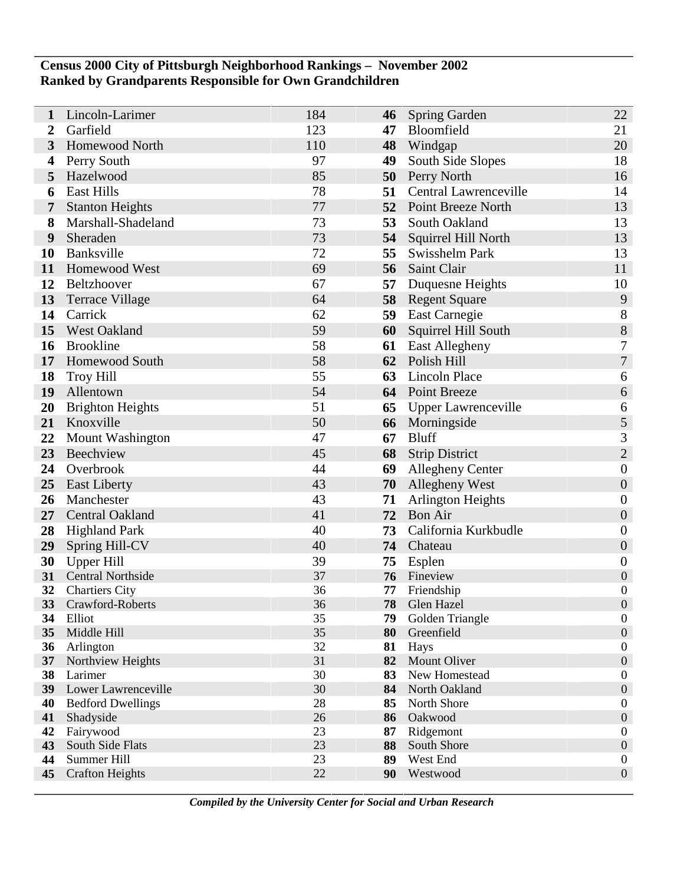## **Census 2000 City of Pittsburgh Neighborhood Rankings – November 2002 Ranked by Grandparents Responsible for Own Grandchildren**

| 1               | Lincoln-Larimer                           | 184      | 46       | Spring Garden                | 22                                   |
|-----------------|-------------------------------------------|----------|----------|------------------------------|--------------------------------------|
| 2               | Garfield                                  | 123      | 47       | Bloomfield                   | 21                                   |
| 3               | <b>Homewood North</b>                     | 110      | 48       | Windgap                      | 20                                   |
| 4               | Perry South                               | 97       | 49       | South Side Slopes            | 18                                   |
| 5               | Hazelwood                                 | 85       | 50       | Perry North                  | 16                                   |
| 6               | <b>East Hills</b>                         | 78       | 51       | <b>Central Lawrenceville</b> | 14                                   |
| 7               | <b>Stanton Heights</b>                    | 77       | 52       | <b>Point Breeze North</b>    | 13                                   |
| 8               | Marshall-Shadeland                        | 73       | 53       | South Oakland                | 13                                   |
| 9               | Sheraden                                  | 73       | 54       | Squirrel Hill North          | 13                                   |
| 10              | Banksville                                | 72       | 55       | Swisshelm Park               | 13                                   |
| 11              | Homewood West                             | 69       | 56       | Saint Clair                  | 11                                   |
| 12              | Beltzhoover                               | 67       | 57       | Duquesne Heights             | 10                                   |
| 13              | <b>Terrace Village</b>                    | 64       | 58       | <b>Regent Square</b>         | 9                                    |
| 14              | Carrick                                   | 62       | 59       | <b>East Carnegie</b>         | 8                                    |
| 15              | West Oakland                              | 59       | 60       | Squirrel Hill South          | $\,8\,$                              |
| 16              | <b>Brookline</b>                          | 58       | 61       | <b>East Allegheny</b>        | $\sqrt{ }$                           |
| 17              | <b>Homewood South</b>                     | 58       | 62       | Polish Hill                  | $\overline{7}$                       |
| 18              | <b>Troy Hill</b>                          | 55       | 63       | <b>Lincoln Place</b>         | 6                                    |
| 19              | Allentown                                 | 54       |          | 64 Point Breeze              | 6                                    |
| 20              | <b>Brighton Heights</b>                   | 51       | 65       | <b>Upper Lawrenceville</b>   | 6                                    |
| 21              | Knoxville                                 | 50       | 66       | Morningside                  | 5                                    |
| 22              | <b>Mount Washington</b>                   | 47       | 67       | <b>Bluff</b>                 | $\mathfrak{Z}$                       |
| 23              | Beechview                                 | 45       |          | <b>68</b> Strip District     | $\overline{2}$                       |
| 24              | Overbrook                                 | 44       | 69       | <b>Allegheny Center</b>      | $\boldsymbol{0}$                     |
| 25              | <b>East Liberty</b>                       | 43       | 70       | <b>Allegheny West</b>        | $\boldsymbol{0}$                     |
| 26              | Manchester                                | 43       | 71       | <b>Arlington Heights</b>     | $\boldsymbol{0}$                     |
| 27              | Central Oakland                           | 41       | 72       | <b>Bon Air</b>               | $\boldsymbol{0}$                     |
| 28              | <b>Highland Park</b>                      | 40       | 73       | California Kurkbudle         | $\boldsymbol{0}$                     |
| 29              | Spring Hill-CV                            | 40       |          | 74 Chateau                   | $\boldsymbol{0}$                     |
| 30              | <b>Upper Hill</b>                         | 39       | 75       | Esplen                       | $\boldsymbol{0}$                     |
| 31              | <b>Central Northside</b>                  | 37       | 76       | Fineview                     | $\boldsymbol{0}$                     |
| 32<br>33        | <b>Chartiers City</b><br>Crawford-Roberts | 36<br>36 | 77<br>78 | Friendship<br>Glen Hazel     | $\boldsymbol{0}$<br>$\mathbf{0}$     |
| 34              | Elliot                                    | 35       | 79       | Golden Triangle              | $\boldsymbol{0}$                     |
| 35              | Middle Hill                               | 35       | 80       | Greenfield                   | $\boldsymbol{0}$                     |
| 36              | Arlington                                 | 32       | 81       | Hays                         | $\boldsymbol{0}$                     |
| 37 <sup>2</sup> | Northview Heights                         | 31       | 82       | <b>Mount Oliver</b>          | $\boldsymbol{0}$                     |
| 38              | Larimer                                   | 30       | 83       | New Homestead                | $\boldsymbol{0}$                     |
| 39              | Lower Lawrenceville                       | 30       | 84       | North Oakland                | $\boldsymbol{0}$                     |
| 40              | <b>Bedford Dwellings</b>                  | 28       | 85       | North Shore                  | $\boldsymbol{0}$                     |
| 41              | Shadyside                                 | 26       | 86       | Oakwood                      | $\boldsymbol{0}$                     |
| 42              | Fairywood                                 | 23       | 87       | Ridgemont                    | $\boldsymbol{0}$                     |
| 43<br>44        | South Side Flats<br>Summer Hill           | 23<br>23 | 88<br>89 | South Shore<br>West End      | $\boldsymbol{0}$                     |
| 45              | <b>Crafton Heights</b>                    | 22       | 90       | Westwood                     | $\boldsymbol{0}$<br>$\boldsymbol{0}$ |
|                 |                                           |          |          |                              |                                      |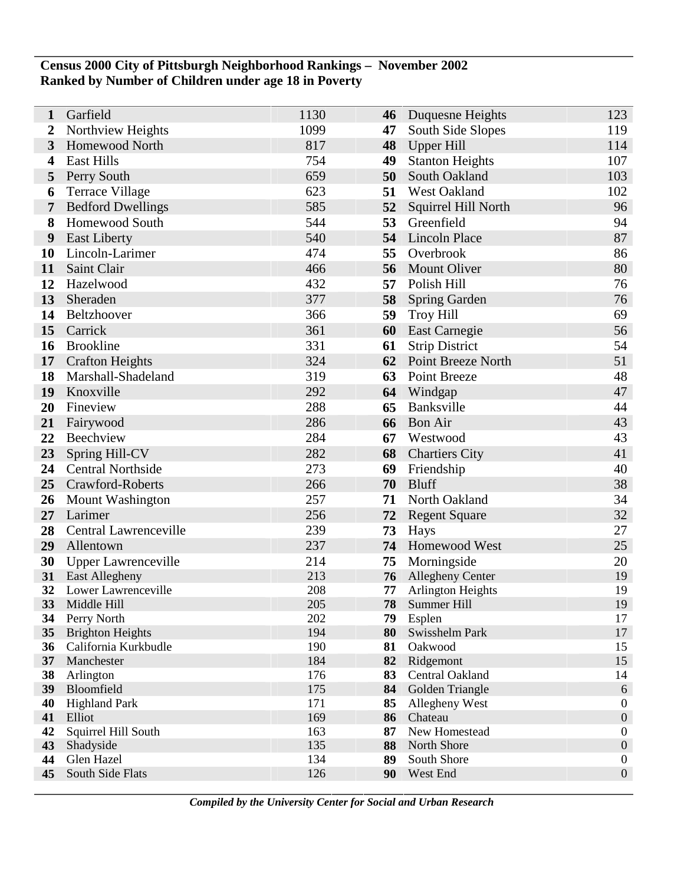#### **Census 2000 City of Pittsburgh Neighborhood Rankings – November 2002 Ranked by Number of Children under age 18 in Poverty**

| $\mathbf{1}$     | Garfield                           | 1130       | 46       | Duquesne Heights                        | 123                                  |
|------------------|------------------------------------|------------|----------|-----------------------------------------|--------------------------------------|
| $\boldsymbol{2}$ | Northview Heights                  | 1099       | 47       | South Side Slopes                       | 119                                  |
| $\mathbf{3}$     | <b>Homewood North</b>              | 817        | 48       | Upper Hill                              | 114                                  |
| 4                | <b>East Hills</b>                  | 754        | 49       | <b>Stanton Heights</b>                  | 107                                  |
| 5                | Perry South                        | 659        | 50       | South Oakland                           | 103                                  |
| 6                | <b>Terrace Village</b>             | 623        | 51       | West Oakland                            | 102                                  |
| $\overline{7}$   | <b>Bedford Dwellings</b>           | 585        | 52       | Squirrel Hill North                     | 96                                   |
| 8                | Homewood South                     | 544        | 53       | Greenfield                              | 94                                   |
| 9                | <b>East Liberty</b>                | 540        | 54       | Lincoln Place                           | 87                                   |
| 10               | Lincoln-Larimer                    | 474        | 55       | Overbrook                               | 86                                   |
| 11               | Saint Clair                        | 466        | 56       | <b>Mount Oliver</b>                     | 80                                   |
| 12               | Hazelwood                          | 432        | 57       | Polish Hill                             | 76                                   |
| 13               | Sheraden                           | 377        | 58       | <b>Spring Garden</b>                    | 76                                   |
| 14               | Beltzhoover                        | 366        | 59       | Troy Hill                               | 69                                   |
| 15               | Carrick                            | 361        | 60       | <b>East Carnegie</b>                    | 56                                   |
| 16               | <b>Brookline</b>                   | 331        | 61       | <b>Strip District</b>                   | 54                                   |
| 17               | <b>Crafton Heights</b>             | 324        | 62       | Point Breeze North                      | 51                                   |
| 18               | Marshall-Shadeland                 | 319        | 63       | Point Breeze                            | 48                                   |
| 19               | Knoxville                          | 292        | 64       | Windgap                                 | 47                                   |
| 20               | Fineview                           | 288        | 65       | Banksville                              | 44                                   |
| 21               | Fairywood                          | 286        | 66       | <b>Bon Air</b>                          | 43                                   |
| 22               | Beechview                          | 284        | 67       | Westwood                                | 43                                   |
| 23               | Spring Hill-CV                     | 282        |          | <b>68</b> Chartiers City                | 41                                   |
| 24               | <b>Central Northside</b>           | 273        | 69       | Friendship                              | 40                                   |
| 25               | Crawford-Roberts                   | 266        | 70       | <b>Bluff</b>                            | 38                                   |
| 26               | <b>Mount Washington</b>            | 257        | 71       | North Oakland                           | 34                                   |
| 27               | Larimer                            | 256        | 72       | <b>Regent Square</b>                    | 32                                   |
| 28               | Central Lawrenceville              | 239        | 73       | Hays                                    | 27                                   |
| 29               | Allentown                          | 237        | 74       | Homewood West                           | 25                                   |
| 30               | <b>Upper Lawrenceville</b>         | 214        | 75       | Morningside                             | 20                                   |
|                  | 31 East Allegheny                  | 213        | 76       | <b>Allegheny Center</b>                 | 19                                   |
| 32<br><b>33</b>  | Lower Lawrenceville<br>Middle Hill | 208<br>205 | 77<br>78 | <b>Arlington Heights</b><br>Summer Hill | 19<br>19                             |
| 34               | Perry North                        | 202        | 79       | Esplen                                  | 17                                   |
| 35               | <b>Brighton Heights</b>            | 194        | 80       | Swisshelm Park                          | 17                                   |
| 36               | California Kurkbudle               | 190        | 81       | Oakwood                                 | 15                                   |
| 37               | Manchester                         | 184        | 82       | Ridgemont                               | 15                                   |
| 38               | Arlington                          | 176        | 83       | Central Oakland                         | 14                                   |
| 39               | Bloomfield                         | 175        | 84       | Golden Triangle                         | 6                                    |
| 40               | <b>Highland Park</b>               | 171        | 85       | Allegheny West                          | $\boldsymbol{0}$                     |
| 41               | Elliot                             | 169        | 86       | Chateau                                 | $\boldsymbol{0}$                     |
| 42               | Squirrel Hill South                | 163        | 87       | New Homestead                           | $\boldsymbol{0}$                     |
| 43<br>44         | Shadyside<br>Glen Hazel            | 135<br>134 | 88<br>89 | North Shore<br>South Shore              | $\boldsymbol{0}$<br>$\boldsymbol{0}$ |
| 45               | South Side Flats                   | 126        | 90       | West End                                | $\boldsymbol{0}$                     |
|                  |                                    |            |          |                                         |                                      |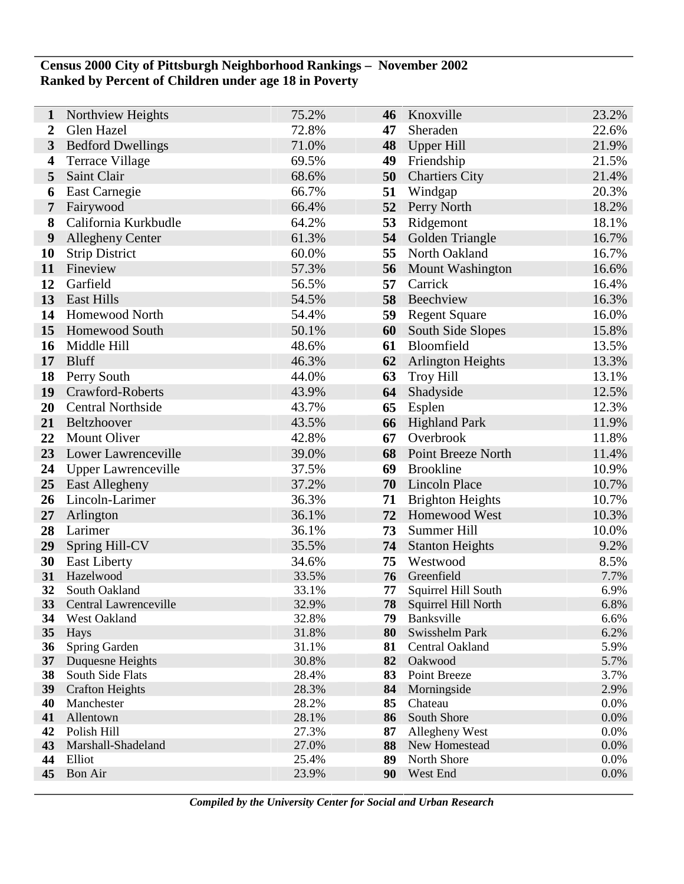## **Census 2000 City of Pittsburgh Neighborhood Rankings – November 2002 Ranked by Percent of Children under age 18 in Poverty**

| 1            | Northview Heights          | 75.2%          | 46       | Knoxville                         | 23.2%        |
|--------------|----------------------------|----------------|----------|-----------------------------------|--------------|
| 2            | Glen Hazel                 | 72.8%          | 47       | Sheraden                          | 22.6%        |
| $\mathbf{3}$ | <b>Bedford Dwellings</b>   | 71.0%          | 48       | Upper Hill                        | 21.9%        |
| 4            | <b>Terrace Village</b>     | 69.5%          | 49       | Friendship                        | 21.5%        |
| 5            | Saint Clair                | 68.6%          | 50       | <b>Chartiers City</b>             | 21.4%        |
| 6            | East Carnegie              | 66.7%          | 51       | Windgap                           | 20.3%        |
| 7            | Fairywood                  | 66.4%          | 52       | Perry North                       | 18.2%        |
| 8            | California Kurkbudle       | 64.2%          | 53       | Ridgemont                         | 18.1%        |
| 9            | <b>Allegheny Center</b>    | 61.3%          | 54       | Golden Triangle                   | 16.7%        |
| 10           | <b>Strip District</b>      | 60.0%          | 55       | North Oakland                     | 16.7%        |
| 11           | Fineview                   | 57.3%          | 56       | Mount Washington                  | 16.6%        |
| 12           | Garfield                   | 56.5%          | 57       | Carrick                           | 16.4%        |
| 13           | <b>East Hills</b>          | 54.5%          | 58       | Beechview                         | 16.3%        |
| 14           | <b>Homewood North</b>      | 54.4%          | 59       | <b>Regent Square</b>              | 16.0%        |
| 15           | Homewood South             | 50.1%          | 60       | South Side Slopes                 | 15.8%        |
| 16           | Middle Hill                | 48.6%          | 61       | Bloomfield                        | 13.5%        |
| 17           | <b>Bluff</b>               | 46.3%          | 62       | <b>Arlington Heights</b>          | 13.3%        |
| 18           | Perry South                | 44.0%          | 63       | <b>Troy Hill</b>                  | 13.1%        |
| 19           | Crawford-Roberts           | 43.9%          | 64       | Shadyside                         | 12.5%        |
| 20           | <b>Central Northside</b>   | 43.7%          | 65       | Esplen                            | 12.3%        |
| 21           | Beltzhoover                | 43.5%          | 66       | <b>Highland Park</b>              | 11.9%        |
| 22           | <b>Mount Oliver</b>        | 42.8%          | 67       | Overbrook                         | 11.8%        |
| 23           | Lower Lawrenceville        | 39.0%          | 68       | Point Breeze North                | 11.4%        |
| 24           | <b>Upper Lawrenceville</b> | 37.5%          | 69       | <b>Brookline</b>                  | 10.9%        |
| 25           | East Allegheny             | 37.2%          | 70       | <b>Lincoln Place</b>              | 10.7%        |
| 26           | Lincoln-Larimer            | 36.3%          | 71       | <b>Brighton Heights</b>           | 10.7%        |
| 27           | Arlington                  | 36.1%          | 72       | Homewood West                     | 10.3%        |
| 28           | Larimer                    | 36.1%          | 73       | Summer Hill                       | 10.0%        |
| 29           | Spring Hill-CV             | 35.5%          | 74       | <b>Stanton Heights</b>            | 9.2%         |
| 30           | <b>East Liberty</b>        | 34.6%          | 75       | Westwood                          | 8.5%         |
| 31           | Hazelwood                  | 33.5%          | 76       | Greenfield                        | 7.7%         |
| 32           | South Oakland              | 33.1%          | 77       | Squirrel Hill South               | 6.9%         |
| 33           | Central Lawrenceville      | 32.9%          | 78       | Squirrel Hill North               | 6.8%         |
| 34           | West Oakland               | 32.8%          | 79       | Banksville                        | 6.6%         |
| 35<br>36     | Hays<br>Spring Garden      | 31.8%<br>31.1% | 80<br>81 | Swisshelm Park<br>Central Oakland | 6.2%<br>5.9% |
| 37           | Duquesne Heights           | 30.8%          | 82       | Oakwood                           | 5.7%         |
| 38           | South Side Flats           | 28.4%          | 83       | Point Breeze                      | 3.7%         |
| 39           | <b>Crafton Heights</b>     | 28.3%          | 84       | Morningside                       | 2.9%         |
| 40           | Manchester                 | 28.2%          | 85       | Chateau                           | 0.0%         |
| 41           | Allentown                  | 28.1%          | 86       | South Shore                       | 0.0%         |
| 42           | Polish Hill                | 27.3%          | 87       | Allegheny West                    | 0.0%         |
| 43           | Marshall-Shadeland         | 27.0%          | 88       | New Homestead                     | 0.0%         |
| 44           | Elliot                     | 25.4%          | 89       | North Shore                       | 0.0%         |
| 45           | <b>Bon Air</b>             | 23.9%          | 90       | West End                          | 0.0%         |
|              |                            |                |          |                                   |              |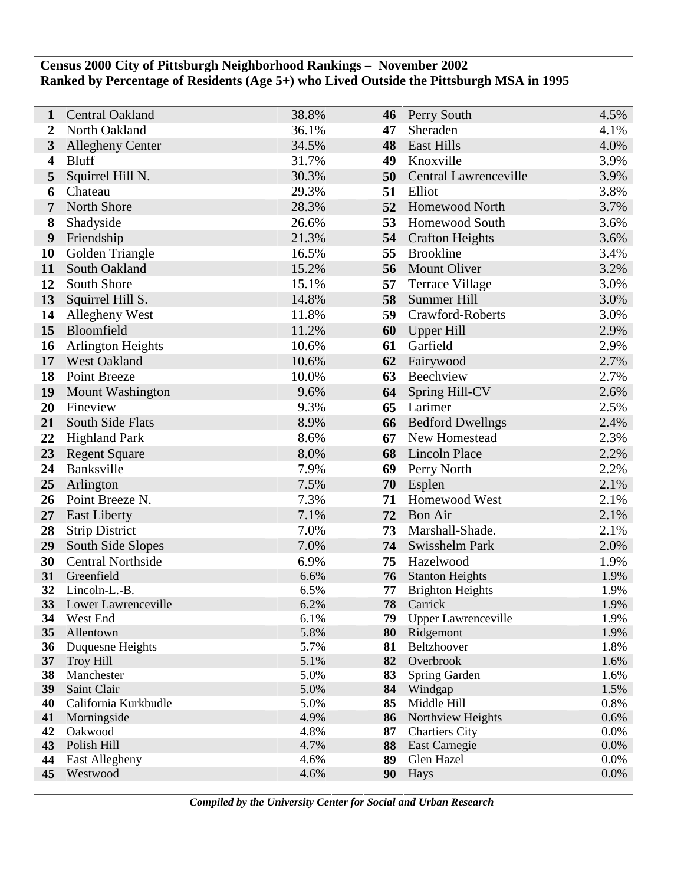## **Census 2000 City of Pittsburgh Neighborhood Rankings – November 2002 Ranked by Percentage of Residents (Age 5+) who Lived Outside the Pittsburgh MSA in 1995**

| 1                       | Central Oakland                         | 38.8%        | 46       | <b>Perry South</b>                 | 4.5%         |
|-------------------------|-----------------------------------------|--------------|----------|------------------------------------|--------------|
| $\overline{2}$          | North Oakland                           | 36.1%        | 47       | Sheraden                           | 4.1%         |
| 3                       | <b>Allegheny Center</b>                 | 34.5%        | 48       | <b>East Hills</b>                  | 4.0%         |
| $\overline{\mathbf{4}}$ | <b>Bluff</b>                            | 31.7%        | 49       | Knoxville                          | 3.9%         |
| 5                       | Squirrel Hill N.                        | 30.3%        | 50       | Central Lawrenceville              | 3.9%         |
| 6                       | Chateau                                 | 29.3%        | 51       | Elliot                             | 3.8%         |
| 7                       | North Shore                             | 28.3%        | 52       | <b>Homewood North</b>              | 3.7%         |
| 8                       | Shadyside                               | 26.6%        | 53       | Homewood South                     | 3.6%         |
| 9                       | Friendship                              | 21.3%        | 54       | <b>Crafton Heights</b>             | 3.6%         |
| 10                      | Golden Triangle                         | 16.5%        | 55       | <b>Brookline</b>                   | 3.4%         |
| 11                      | South Oakland                           | 15.2%        | 56       | Mount Oliver                       | 3.2%         |
| 12                      | South Shore                             | 15.1%        | 57       | <b>Terrace Village</b>             | 3.0%         |
| 13                      | Squirrel Hill S.                        | 14.8%        | 58       | Summer Hill                        | 3.0%         |
| 14                      | Allegheny West                          | 11.8%        | 59       | Crawford-Roberts                   | 3.0%         |
| 15                      | Bloomfield                              | 11.2%        | 60       | Upper Hill                         | 2.9%         |
| 16                      | <b>Arlington Heights</b>                | 10.6%        | 61       | Garfield                           | 2.9%         |
| 17                      | <b>West Oakland</b>                     | 10.6%        | 62       | Fairywood                          | 2.7%         |
| 18                      | Point Breeze                            | 10.0%        | 63       | Beechview                          | 2.7%         |
| 19                      | <b>Mount Washington</b>                 | 9.6%         | 64       | Spring Hill-CV                     | 2.6%         |
| 20                      | Fineview                                | 9.3%         | 65       | Larimer                            | 2.5%         |
| 21                      | South Side Flats                        | 8.9%         | 66       | <b>Bedford Dwellngs</b>            | 2.4%         |
| 22                      | <b>Highland Park</b>                    | 8.6%         | 67       | New Homestead                      | 2.3%         |
| 23                      | <b>Regent Square</b>                    | 8.0%         | 68       | <b>Lincoln Place</b>               | 2.2%         |
| 24                      | Banksville                              | 7.9%         | 69       | Perry North                        | 2.2%         |
| 25                      | Arlington                               | 7.5%         | 70       | Esplen                             | 2.1%         |
| 26                      | Point Breeze N.                         | 7.3%         | 71       | Homewood West                      | 2.1%         |
| 27                      | <b>East Liberty</b>                     | 7.1%         | 72       | <b>Bon Air</b>                     | 2.1%         |
| 28                      | <b>Strip District</b>                   | 7.0%         | 73       | Marshall-Shade.                    | 2.1%         |
| 29                      | South Side Slopes                       | 7.0%         | 74       | Swisshelm Park                     | 2.0%         |
| 30                      | <b>Central Northside</b>                | 6.9%         | 75       | Hazelwood                          | 1.9%         |
| 31                      | Greenfield                              | 6.6%         | 76       | <b>Stanton Heights</b>             | 1.9%         |
| 32                      | Lincoln-L.-B.<br>33 Lower Lawrenceville | 6.5%<br>6.2% | 77<br>78 | <b>Brighton Heights</b><br>Carrick | 1.9%<br>1.9% |
| 34                      | West End                                | 6.1%         | 79       | <b>Upper Lawrenceville</b>         | 1.9%         |
| 35                      | Allentown                               | 5.8%         | 80       | Ridgemont                          | 1.9%         |
| 36                      | Duquesne Heights                        | 5.7%         | 81       | Beltzhoover                        | 1.8%         |
| 37                      | <b>Troy Hill</b>                        | 5.1%         | 82       | Overbrook                          | 1.6%         |
| 38                      | Manchester                              | 5.0%         | 83       | Spring Garden                      | 1.6%         |
| 39                      | Saint Clair                             | 5.0%         | 84       | Windgap                            | 1.5%         |
| 40                      | California Kurkbudle                    | 5.0%         | 85       | Middle Hill                        | 0.8%         |
| 41                      | Morningside                             | 4.9%         | 86       | Northview Heights                  | 0.6%         |
| 42                      | Oakwood                                 | 4.8%         | 87       | <b>Chartiers City</b>              | 0.0%         |
| 43<br>44                | Polish Hill<br>East Allegheny           | 4.7%<br>4.6% | 88<br>89 | East Carnegie<br>Glen Hazel        | 0.0%<br>0.0% |
| 45                      | Westwood                                | 4.6%         | 90       | Hays                               | 0.0%         |
|                         |                                         |              |          |                                    |              |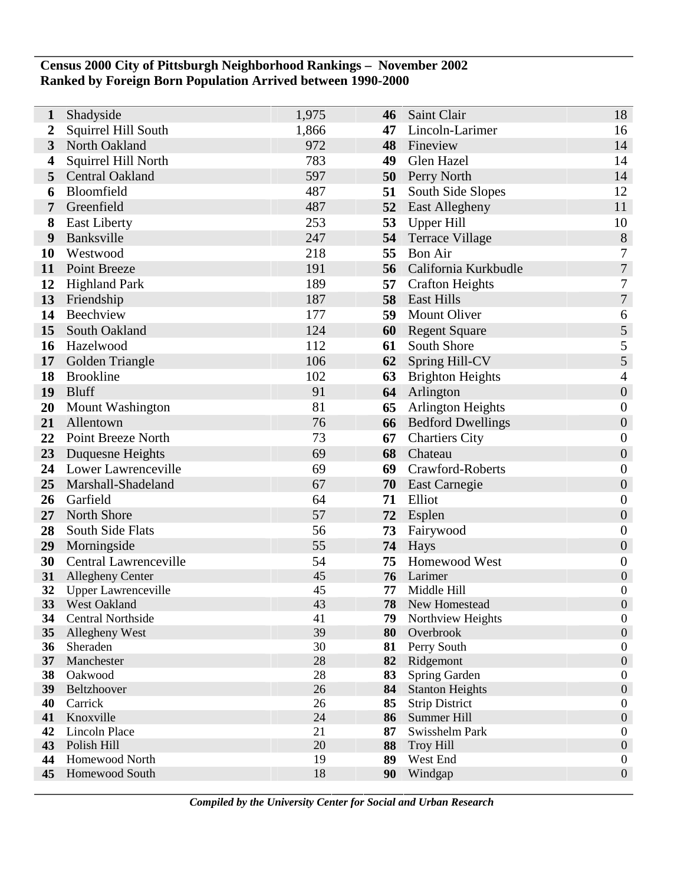## **Census 2000 City of Pittsburgh Neighborhood Rankings – November 2002 Ranked by Foreign Born Population Arrived between 1990-2000**

| 1                | Shadyside                  | 1,975    | 46       | Saint Clair              | 18                                   |
|------------------|----------------------------|----------|----------|--------------------------|--------------------------------------|
| $\boldsymbol{2}$ | Squirrel Hill South        | 1,866    | 47       | Lincoln-Larimer          | 16                                   |
| $\mathbf{3}$     | North Oakland              | 972      | 48       | Fineview                 | 14                                   |
| 4                | Squirrel Hill North        | 783      | 49       | Glen Hazel               | 14                                   |
| 5                | Central Oakland            | 597      | 50       | Perry North              | 14                                   |
| 6                | Bloomfield                 | 487      | 51       | South Side Slopes        | 12                                   |
| 7                | Greenfield                 | 487      | 52       | East Allegheny           | 11                                   |
| 8                | <b>East Liberty</b>        | 253      | 53       | <b>Upper Hill</b>        | 10                                   |
| 9                | Banksville                 | 247      | 54       | <b>Terrace Village</b>   | $8\,$                                |
| <b>10</b>        | Westwood                   | 218      | 55       | <b>Bon Air</b>           | 7                                    |
| 11               | Point Breeze               | 191      | 56       | California Kurkbudle     | $\overline{7}$                       |
| 12               | <b>Highland Park</b>       | 189      | 57       | <b>Crafton Heights</b>   | 7                                    |
| 13               | Friendship                 | 187      | 58       | <b>East Hills</b>        | $\boldsymbol{7}$                     |
| 14               | Beechview                  | 177      | 59       | <b>Mount Oliver</b>      | 6                                    |
| 15               | South Oakland              | 124      | 60       | <b>Regent Square</b>     | $\sqrt{5}$                           |
| 16               | Hazelwood                  | 112      | 61       | South Shore              | $\mathfrak s$                        |
| 17               | Golden Triangle            | 106      | 62       | Spring Hill-CV           | 5                                    |
| 18               | <b>Brookline</b>           | 102      | 63       | <b>Brighton Heights</b>  | 4                                    |
| 19               | <b>Bluff</b>               | 91       | 64       | Arlington                | $\boldsymbol{0}$                     |
| 20               | <b>Mount Washington</b>    | 81       | 65       | Arlington Heights        | $\boldsymbol{0}$                     |
| 21               | Allentown                  | 76       | 66       | <b>Bedford Dwellings</b> | $\boldsymbol{0}$                     |
| 22               | Point Breeze North         | 73       | 67       | <b>Chartiers City</b>    | $\boldsymbol{0}$                     |
| 23               | Duquesne Heights           | 69       | 68       | Chateau                  | $\boldsymbol{0}$                     |
| 24               | Lower Lawrenceville        | 69       | 69       | Crawford-Roberts         | $\boldsymbol{0}$                     |
| 25               | Marshall-Shadeland         | 67       | 70       | <b>East Carnegie</b>     | $\boldsymbol{0}$                     |
| 26               | Garfield                   | 64       | 71       | Elliot                   | $\boldsymbol{0}$                     |
| 27               | North Shore                | 57       | 72       | Esplen                   | $\boldsymbol{0}$                     |
| 28               | South Side Flats           | 56       | 73       | Fairywood                | $\boldsymbol{0}$                     |
| 29               | Morningside                | 55       | 74       | Hays                     | $\boldsymbol{0}$                     |
| 30               | Central Lawrenceville      | 54       | 75       | Homewood West            | $\boldsymbol{0}$                     |
| 31               | <b>Allegheny Center</b>    | 45       | 76       | Larimer                  | $\boldsymbol{0}$                     |
| 32               | <b>Upper Lawrenceville</b> | 45       | 77       | Middle Hill              | $\boldsymbol{0}$                     |
| 33 <sup>°</sup>  | <b>West Oakland</b>        | 43       | 78       | New Homestead            | $\boldsymbol{0}$                     |
| 34               | <b>Central Northside</b>   | 41       | 79       | Northview Heights        | $\boldsymbol{0}$                     |
| 35               | Allegheny West<br>Sheraden | 39<br>30 | 80       | Overbrook                | $\boldsymbol{0}$<br>$\boldsymbol{0}$ |
| 36<br>37         | Manchester                 | 28       | 81<br>82 | Perry South<br>Ridgemont | $\boldsymbol{0}$                     |
| 38               | Oakwood                    | 28       | 83       | Spring Garden            | $\boldsymbol{0}$                     |
| 39               | Beltzhoover                | 26       | 84       | <b>Stanton Heights</b>   | $\boldsymbol{0}$                     |
| 40               | Carrick                    | 26       | 85       | <b>Strip District</b>    | $\boldsymbol{0}$                     |
| 41               | Knoxville                  | 24       | 86       | Summer Hill              | $\boldsymbol{0}$                     |
| 42               | <b>Lincoln Place</b>       | 21       | 87       | Swisshelm Park           | $\boldsymbol{0}$                     |
| 43               | Polish Hill                | 20       | 88       | <b>Troy Hill</b>         | $\boldsymbol{0}$                     |
| 44               | Homewood North             | 19       | 89       | West End                 | $\boldsymbol{0}$                     |
| 45               | Homewood South             | 18       | 90       | Windgap                  | $\boldsymbol{0}$                     |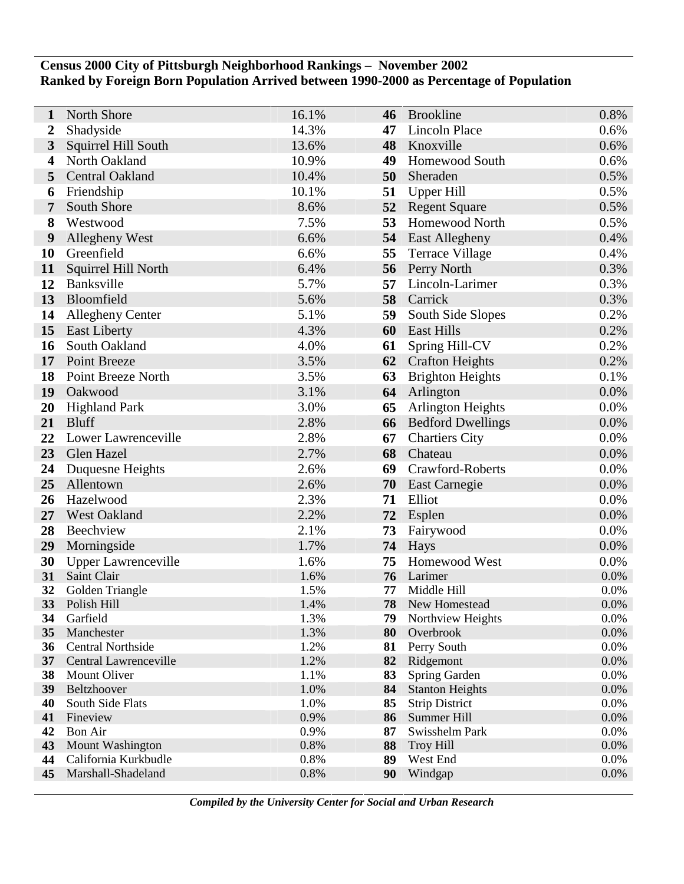## **Census 2000 City of Pittsburgh Neighborhood Rankings – November 2002 Ranked by Foreign Born Population Arrived between 1990-2000 as Percentage of Population**

| 1                | North Shore                                | 16.1%        | 46       | <b>Brookline</b>             | 0.8%         |
|------------------|--------------------------------------------|--------------|----------|------------------------------|--------------|
| $\boldsymbol{2}$ | Shadyside                                  | 14.3%        | 47       | <b>Lincoln Place</b>         | 0.6%         |
| $\mathbf{3}$     | Squirrel Hill South                        | 13.6%        | 48       | Knoxville                    | 0.6%         |
| $\boldsymbol{4}$ | North Oakland                              | 10.9%        | 49       | <b>Homewood South</b>        | 0.6%         |
| 5                | <b>Central Oakland</b>                     | 10.4%        | 50       | Sheraden                     | 0.5%         |
| 6                | Friendship                                 | 10.1%        | 51       | <b>Upper Hill</b>            | 0.5%         |
| 7                | South Shore                                | 8.6%         | 52       | <b>Regent Square</b>         | 0.5%         |
| 8                | Westwood                                   | 7.5%         | 53       | <b>Homewood North</b>        | 0.5%         |
| 9                | <b>Allegheny West</b>                      | 6.6%         |          | 54 East Allegheny            | 0.4%         |
| 10               | Greenfield                                 | 6.6%         | 55       | <b>Terrace Village</b>       | 0.4%         |
| 11               | Squirrel Hill North                        | 6.4%         | 56       | Perry North                  | 0.3%         |
| 12               | Banksville                                 | 5.7%         | 57       | Lincoln-Larimer              | 0.3%         |
| 13               | Bloomfield                                 | 5.6%         | 58       | Carrick                      | 0.3%         |
| 14               | <b>Allegheny Center</b>                    | 5.1%         | 59       | South Side Slopes            | 0.2%         |
| 15               | <b>East Liberty</b>                        | 4.3%         | 60       | <b>East Hills</b>            | 0.2%         |
| 16               | South Oakland                              | 4.0%         | 61       | Spring Hill-CV               | 0.2%         |
| 17               | Point Breeze                               | 3.5%         | 62       | <b>Crafton Heights</b>       | 0.2%         |
| 18               | Point Breeze North                         | 3.5%         | 63       | <b>Brighton Heights</b>      | 0.1%         |
| 19               | Oakwood                                    | 3.1%         | 64       | Arlington                    | 0.0%         |
| <b>20</b>        | <b>Highland Park</b>                       | 3.0%         | 65       | Arlington Heights            | 0.0%         |
| 21               | <b>Bluff</b>                               | 2.8%         | 66       | <b>Bedford Dwellings</b>     | 0.0%         |
| 22               | Lower Lawrenceville                        | 2.8%         | 67       | <b>Chartiers City</b>        | 0.0%         |
| 23               | Glen Hazel                                 | 2.7%         | 68       | Chateau                      | 0.0%         |
| 24               | Duquesne Heights                           | 2.6%         | 69       | Crawford-Roberts             | 0.0%         |
| 25               | Allentown                                  | 2.6%         | 70       | <b>East Carnegie</b>         | 0.0%         |
| 26               | Hazelwood                                  | 2.3%         | 71       | Elliot                       | 0.0%         |
| 27               | West Oakland                               | 2.2%         | 72       | Esplen                       | 0.0%         |
| 28               | Beechview                                  | 2.1%         | 73       | Fairywood                    | 0.0%         |
| 29               | Morningside                                | 1.7%         | 74       | Hays                         | 0.0%         |
| 30               | <b>Upper Lawrenceville</b>                 | 1.6%         | 75       | Homewood West                | 0.0%         |
| 31               | Saint Clair                                | 1.6%         | 76       | Larimer                      | 0.0%         |
| 32<br>33         | Golden Triangle<br>Polish Hill             | 1.5%<br>1.4% | 77<br>78 | Middle Hill<br>New Homestead | 0.0%<br>0.0% |
| 34               | Garfield                                   | 1.3%         | 79       | Northview Heights            | 0.0%         |
| 35               | Manchester                                 | 1.3%         | 80       | Overbrook                    | 0.0%         |
| 36               | Central Northside                          | 1.2%         | 81       | Perry South                  | 0.0%         |
| 37               | Central Lawrenceville                      | 1.2%         | 82       | Ridgemont                    | 0.0%         |
| 38               | Mount Oliver                               | 1.1%         | 83       | Spring Garden                | 0.0%         |
| 39               | Beltzhoover                                | 1.0%         | 84       | <b>Stanton Heights</b>       | 0.0%         |
| 40               | South Side Flats                           | 1.0%         | 85       | <b>Strip District</b>        | 0.0%         |
| 41               | Fineview                                   | 0.9%         | 86       | Summer Hill                  | 0.0%         |
| 42               | Bon Air                                    | 0.9%         | 87       | Swisshelm Park               | 0.0%         |
| 43<br>44         | Mount Washington                           | 0.8%         | 88<br>89 | <b>Troy Hill</b>             | 0.0%<br>0.0% |
| 45               | California Kurkbudle<br>Marshall-Shadeland | 0.8%<br>0.8% | 90       | West End<br>Windgap          | 0.0%         |
|                  |                                            |              |          |                              |              |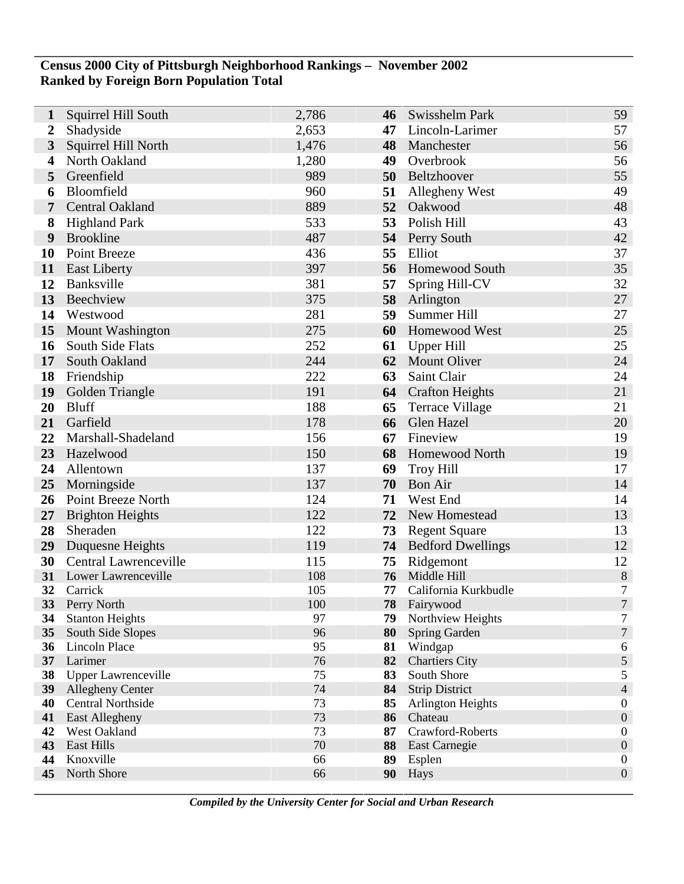## **Census 2000 City of Pittsburgh Neighborhood Rankings – November 2002 Ranked by Foreign Born Population Total**

| $\mathbf{1}$     | Squirrel Hill South        | 2,786      | 46       | Swisshelm Park                    | 59                                   |
|------------------|----------------------------|------------|----------|-----------------------------------|--------------------------------------|
| $\boldsymbol{2}$ | Shadyside                  | 2,653      | 47       | Lincoln-Larimer                   | 57                                   |
| $\mathbf{3}$     | Squirrel Hill North        | 1,476      | 48       | Manchester                        | 56                                   |
| 4                | North Oakland              | 1,280      | 49       | Overbrook                         | 56                                   |
| 5                | Greenfield                 | 989        | 50       | Beltzhoover                       | 55                                   |
| 6                | Bloomfield                 | 960        | 51       | Allegheny West                    | 49                                   |
| 7                | <b>Central Oakland</b>     | 889        | 52       | Oakwood                           | 48                                   |
| 8                | <b>Highland Park</b>       | 533        | 53       | Polish Hill                       | 43                                   |
| 9                | <b>Brookline</b>           | 487        |          | 54 Perry South                    | 42                                   |
| 10               | <b>Point Breeze</b>        | 436        | 55       | Elliot                            | 37                                   |
| 11               | <b>East Liberty</b>        | 397        | 56       | <b>Homewood South</b>             | 35                                   |
| 12               | Banksville                 | 381        | 57       | Spring Hill-CV                    | 32                                   |
| 13               | Beechview                  | 375        | 58       | Arlington                         | 27                                   |
| 14               | Westwood                   | 281        | 59       | Summer Hill                       | 27                                   |
| 15               | Mount Washington           | 275        | 60       | Homewood West                     | 25                                   |
| 16               | South Side Flats           | 252        | 61       | Upper Hill                        | 25                                   |
| 17               | South Oakland              | 244        | 62       | <b>Mount Oliver</b>               | 24                                   |
| 18               | Friendship                 | 222        | 63       | Saint Clair                       | 24                                   |
| 19               | Golden Triangle            | 191        |          | <b>64</b> Crafton Heights         | 21                                   |
| 20               | <b>Bluff</b>               | 188        | 65       | <b>Terrace Village</b>            | 21                                   |
| 21               | Garfield                   | 178        | 66       | Glen Hazel                        | 20                                   |
| 22               | Marshall-Shadeland         | 156        | 67       | Fineview                          | 19                                   |
| 23               | Hazelwood                  | 150        | 68       | <b>Homewood North</b>             | 19                                   |
| 24               | Allentown                  | 137        | 69       | <b>Troy Hill</b>                  | 17                                   |
| 25               | Morningside                | 137        | 70       | <b>Bon Air</b>                    | 14                                   |
| 26               | Point Breeze North         | 124        | 71       | West End                          | 14                                   |
| 27               | <b>Brighton Heights</b>    | 122        | 72       | New Homestead                     | 13                                   |
| 28               | Sheraden                   | 122        | 73       | <b>Regent Square</b>              | 13                                   |
| 29               | Duquesne Heights           | 119        |          | <b>74</b> Bedford Dwellings       | 12                                   |
| 30               | Central Lawrenceville      | 115        | 75       | Ridgemont                         | 12                                   |
| 31               | Lower Lawrenceville        | 108        | 76       | Middle Hill                       | $\,8\,$                              |
| 32<br>33         | Carrick<br>Perry North     | 105<br>100 | 77<br>78 | California Kurkbudle<br>Fairywood | 7<br>$\overline{7}$                  |
| 34               | <b>Stanton Heights</b>     | 97         | 79       | Northview Heights                 | 7                                    |
| 35               | South Side Slopes          | 96         | 80       | Spring Garden                     | $\boldsymbol{7}$                     |
| 36               | Lincoln Place              | 95         | 81       | Windgap                           | 6                                    |
| 37               | Larimer                    | 76         | 82       | <b>Chartiers City</b>             | $\sqrt{5}$                           |
| 38               | <b>Upper Lawrenceville</b> | 75         | 83       | South Shore                       | $\mathfrak{S}$                       |
| 39               | <b>Allegheny Center</b>    | 74         | 84       | <b>Strip District</b>             | $\overline{4}$                       |
| 40               | <b>Central Northside</b>   | 73         | 85       | Arlington Heights                 | $\boldsymbol{0}$                     |
| 41               | East Allegheny             | 73         | 86       | Chateau                           | $\boldsymbol{0}$                     |
| 42               | West Oakland               | 73         | 87       | Crawford-Roberts                  | $\boldsymbol{0}$                     |
| 43<br>44         | East Hills<br>Knoxville    | 70<br>66   | 88<br>89 | East Carnegie<br>Esplen           | $\boldsymbol{0}$<br>$\boldsymbol{0}$ |
| 45               | North Shore                | 66         | 90       | Hays                              | $\boldsymbol{0}$                     |
|                  |                            |            |          |                                   |                                      |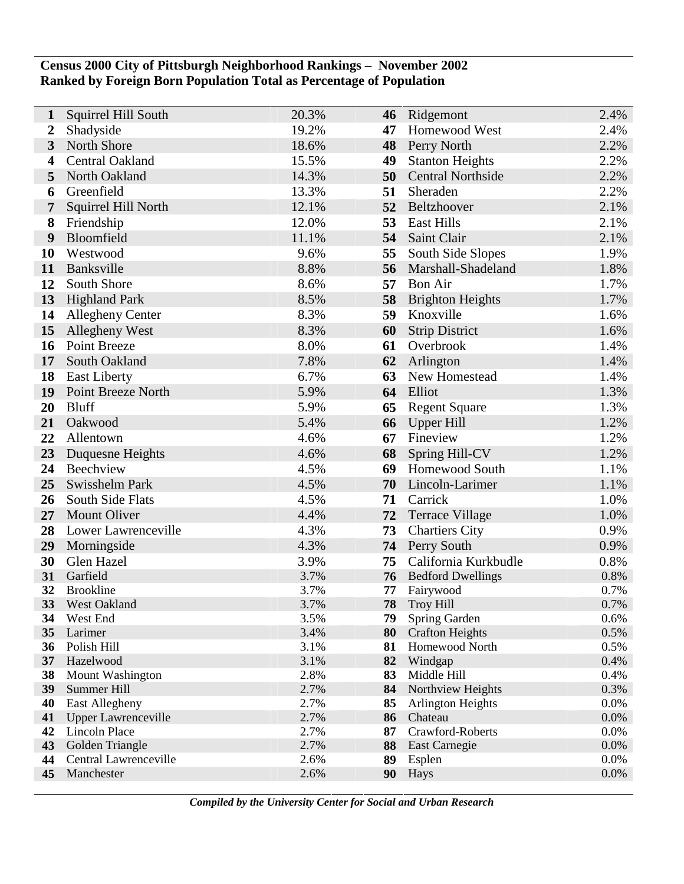## **Census 2000 City of Pittsburgh Neighborhood Rankings – November 2002 Ranked by Foreign Born Population Total as Percentage of Population**

Ī

| $\mathbf{1}$            | Squirrel Hill South        | 20.3%        | 46       | Ridgemont                               | 2.4%         |
|-------------------------|----------------------------|--------------|----------|-----------------------------------------|--------------|
| $\boldsymbol{2}$        | Shadyside                  | 19.2%        | 47       | Homewood West                           | 2.4%         |
| $\overline{\mathbf{3}}$ | North Shore                | 18.6%        | 48       | <b>Perry North</b>                      | 2.2%         |
| 4                       | Central Oakland            | 15.5%        | 49       | <b>Stanton Heights</b>                  | 2.2%         |
| 5                       | North Oakland              | 14.3%        | 50       | <b>Central Northside</b>                | 2.2%         |
| 6                       | Greenfield                 | 13.3%        | 51       | Sheraden                                | 2.2%         |
| 7                       | Squirrel Hill North        | 12.1%        | 52       | Beltzhoover                             | 2.1%         |
| 8                       | Friendship                 | 12.0%        | 53       | <b>East Hills</b>                       | 2.1%         |
| 9                       | Bloomfield                 | 11.1%        | 54       | Saint Clair                             | 2.1%         |
| 10                      | Westwood                   | 9.6%         | 55       | South Side Slopes                       | 1.9%         |
| 11                      | Banksville                 | 8.8%         | 56       | Marshall-Shadeland                      | 1.8%         |
| 12                      | South Shore                | 8.6%         | 57       | <b>Bon Air</b>                          | 1.7%         |
| 13                      | <b>Highland Park</b>       | 8.5%         | 58       | <b>Brighton Heights</b>                 | 1.7%         |
| 14                      | <b>Allegheny Center</b>    | 8.3%         | 59       | Knoxville                               | 1.6%         |
| 15                      | <b>Allegheny West</b>      | 8.3%         | 60       | <b>Strip District</b>                   | 1.6%         |
| 16                      | Point Breeze               | 8.0%         | 61       | Overbrook                               | 1.4%         |
| 17                      | South Oakland              | 7.8%         | 62       | Arlington                               | 1.4%         |
| 18                      | <b>East Liberty</b>        | 6.7%         | 63       | New Homestead                           | 1.4%         |
| 19                      | Point Breeze North         | 5.9%         | 64       | Elliot                                  | 1.3%         |
| 20                      | <b>Bluff</b>               | 5.9%         | 65       | <b>Regent Square</b>                    | 1.3%         |
| 21                      | Oakwood                    | 5.4%         | 66       | <b>Upper Hill</b>                       | 1.2%         |
| 22                      | Allentown                  | 4.6%         | 67       | Fineview                                | 1.2%         |
| 23                      | Duquesne Heights           | 4.6%         | 68       | <b>Spring Hill-CV</b>                   | 1.2%         |
| 24                      | Beechview                  | 4.5%         | 69       | Homewood South                          | 1.1%         |
| 25                      | Swisshelm Park             | 4.5%         | 70       | Lincoln-Larimer                         | 1.1%         |
| 26                      | South Side Flats           | 4.5%         | 71       | Carrick                                 | 1.0%         |
| 27                      | <b>Mount Oliver</b>        | 4.4%         | 72       | <b>Terrace Village</b>                  | 1.0%         |
| 28                      | Lower Lawrenceville        | 4.3%         | 73       | <b>Chartiers City</b>                   | 0.9%         |
| 29                      | Morningside                | 4.3%         | 74       | Perry South                             | 0.9%         |
| 30                      | Glen Hazel                 | 3.9%         | 75       | California Kurkbudle                    | 0.8%         |
| 31                      | Garfield                   | 3.7%         | 76       | <b>Bedford Dwellings</b>                | 0.8%         |
| 32                      | <b>Brookline</b>           | 3.7%         | 77       | Fairywood                               | 0.7%         |
| 33                      | <b>West Oakland</b>        | 3.7%         | 78       | <b>Troy Hill</b>                        | 0.7%<br>0.6% |
| 34<br>35                | West End<br>Larimer        | 3.5%<br>3.4% | 79<br>80 | Spring Garden<br><b>Crafton Heights</b> | 0.5%         |
| 36                      | Polish Hill                | 3.1%         | 81       | Homewood North                          | 0.5%         |
| 37                      | Hazelwood                  | 3.1%         | 82       | Windgap                                 | 0.4%         |
| 38                      | Mount Washington           | 2.8%         | 83       | Middle Hill                             | 0.4%         |
| 39                      | Summer Hill                | 2.7%         | 84       | Northview Heights                       | 0.3%         |
| 40                      | East Allegheny             | 2.7%         | 85       | <b>Arlington Heights</b>                | 0.0%         |
| 41                      | <b>Upper Lawrenceville</b> | 2.7%         | 86       | Chateau                                 | 0.0%         |
| 42                      | <b>Lincoln Place</b>       | 2.7%         | 87       | Crawford-Roberts                        | 0.0%         |
| 43                      | Golden Triangle            | 2.7%         | 88       | East Carnegie                           | 0.0%         |
| 44                      | Central Lawrenceville      | 2.6%         | 89       | Esplen                                  | 0.0%         |
| 45                      | Manchester                 | 2.6%         | 90       | Hays                                    | 0.0%         |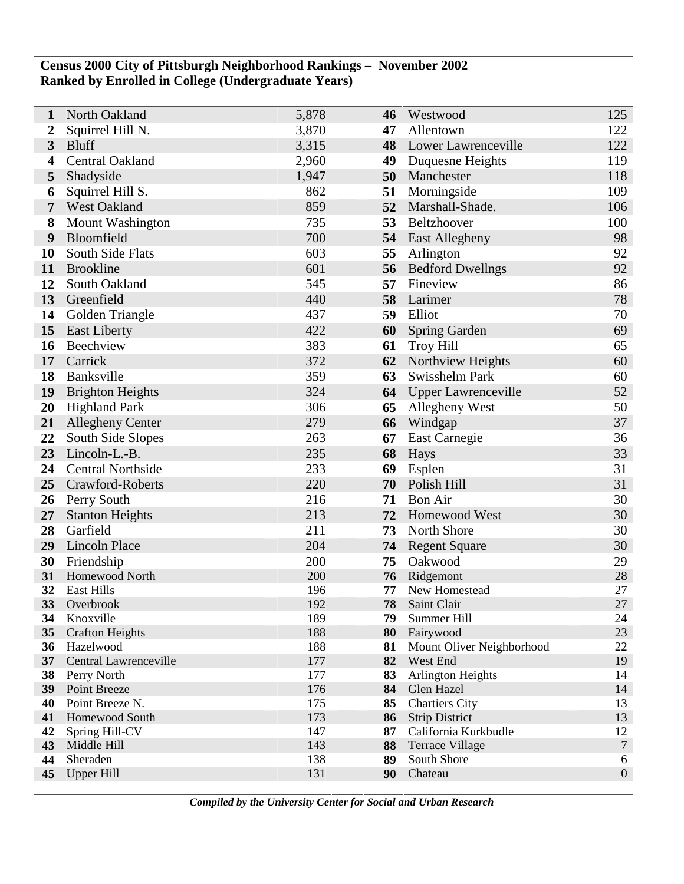## **Census 2000 City of Pittsburgh Neighborhood Rankings – November 2002 Ranked by Enrolled in College (Undergraduate Years)**

| 1               | North Oakland                       | 5,878      | 46       | Westwood                  | 125              |
|-----------------|-------------------------------------|------------|----------|---------------------------|------------------|
| 2               | Squirrel Hill N.                    | 3,870      | 47       | Allentown                 | 122              |
| $\overline{3}$  | <b>Bluff</b>                        | 3,315      | 48       | Lower Lawrenceville       | 122              |
| 4               | Central Oakland                     | 2,960      | 49       | Duquesne Heights          | 119              |
| 5               | Shadyside                           | 1,947      | 50       | Manchester                | 118              |
| 6               | Squirrel Hill S.                    | 862        | 51       | Morningside               | 109              |
| 7               | <b>West Oakland</b>                 | 859        | 52       | Marshall-Shade.           | 106              |
| 8               | <b>Mount Washington</b>             | 735        | 53       | Beltzhoover               | 100              |
| 9               | Bloomfield                          | 700        |          | 54 East Allegheny         | 98               |
| 10              | South Side Flats                    | 603        | 55       | Arlington                 | 92               |
| 11              | <b>Brookline</b>                    | 601        | 56       | <b>Bedford Dwellngs</b>   | 92               |
| 12              | South Oakland                       | 545        | 57       | Fineview                  | 86               |
| 13              | Greenfield                          | 440        | 58       | Larimer                   | 78               |
| 14              | Golden Triangle                     | 437        | 59       | Elliot                    | 70               |
| 15              | <b>East Liberty</b>                 | 422        | 60       | Spring Garden             | 69               |
| 16              | Beechview                           | 383        | 61       | <b>Troy Hill</b>          | 65               |
| 17              | Carrick                             | 372        | 62       | Northview Heights         | 60               |
| 18              | Banksville                          | 359        | 63       | Swisshelm Park            | 60               |
| 19              | <b>Brighton Heights</b>             | 324        |          | 64 Upper Lawrenceville    | 52               |
| 20              | <b>Highland Park</b>                | 306        | 65       | <b>Allegheny West</b>     | 50               |
| 21              | <b>Allegheny Center</b>             | 279        | 66       | Windgap                   | 37               |
| 22              | South Side Slopes                   | 263        | 67       | East Carnegie             | 36               |
| 23              | Lincoln-L.-B.                       | 235        | 68       | Hays                      | 33               |
| 24              | <b>Central Northside</b>            | 233        | 69       | Esplen                    | 31               |
| 25              | Crawford-Roberts                    | 220        | 70       | Polish Hill               | 31               |
| 26              | Perry South                         | 216        | 71       | <b>Bon Air</b>            | 30               |
| 27              | <b>Stanton Heights</b>              | 213        | 72       | <b>Homewood West</b>      | 30               |
| 28              | Garfield                            | 211        | 73       | North Shore               | 30               |
| 29              | Lincoln Place                       | 204        | 74       | <b>Regent Square</b>      | 30               |
| 30              | Friendship                          | 200        | 75       | Oakwood                   | 29               |
| 31              | Homewood North                      | 200        | 76       | Ridgemont                 | 28               |
| 32              | <b>East Hills</b>                   | 196        | 77       | New Homestead             | 27               |
| 33              | Overbrook                           | 192        | 78       | Saint Clair               | 27               |
| 34<br>35        | Knoxville<br><b>Crafton Heights</b> | 189<br>188 | 79<br>80 | Summer Hill<br>Fairywood  | 24<br>23         |
| 36              | Hazelwood                           | 188        | 81       | Mount Oliver Neighborhood | 22               |
| 37 <sup>2</sup> | Central Lawrenceville               | 177        | 82       | West End                  | 19               |
| 38              | Perry North                         | 177        | 83       | <b>Arlington Heights</b>  | 14               |
| 39              | Point Breeze                        | 176        | 84       | Glen Hazel                | 14               |
| 40              | Point Breeze N.                     | 175        | 85       | <b>Chartiers City</b>     | 13               |
| 41              | Homewood South                      | 173        | 86       | <b>Strip District</b>     | 13               |
| 42              | Spring Hill-CV                      | 147        | 87       | California Kurkbudle      | 12               |
| 43              | Middle Hill                         | 143        | 88       | <b>Terrace Village</b>    | $\overline{7}$   |
| 44              | Sheraden                            | 138        | 89       | South Shore               | 6                |
| 45              | <b>Upper Hill</b>                   | 131        | 90       | Chateau                   | $\boldsymbol{0}$ |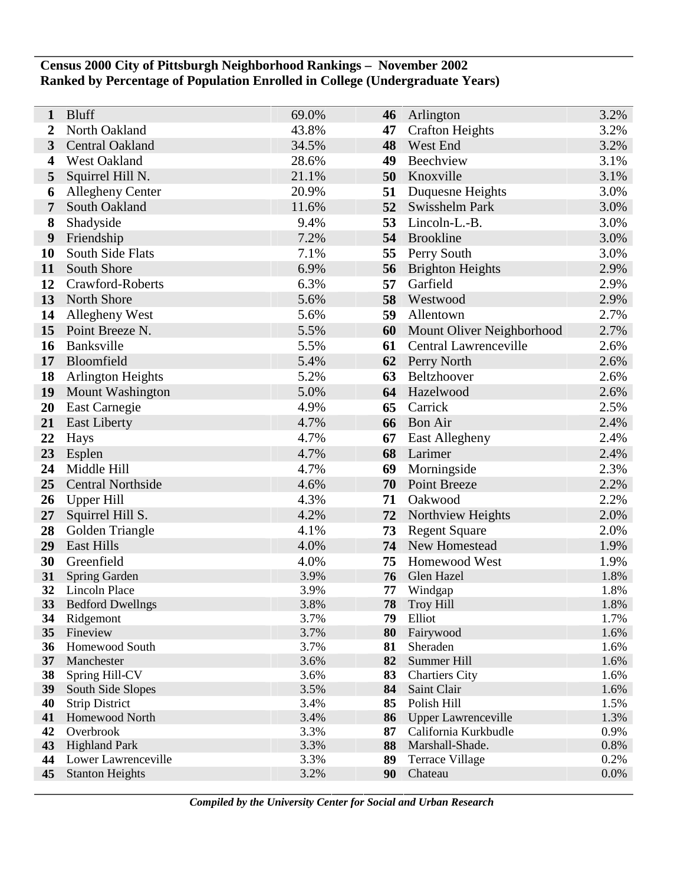# **Census 2000 City of Pittsburgh Neighborhood Rankings – November 2002 Ranked by Percentage of Population Enrolled in College (Undergraduate Years)**

| 1         | <b>Bluff</b>                      | 69.0%        | 46       | Arlington                               | 3.2%         |
|-----------|-----------------------------------|--------------|----------|-----------------------------------------|--------------|
| 2         | North Oakland                     | 43.8%        | 47       | <b>Crafton Heights</b>                  | 3.2%         |
| 3         | Central Oakland                   | 34.5%        | 48       | West End                                | 3.2%         |
| 4         | West Oakland                      | 28.6%        | 49       | Beechview                               | 3.1%         |
| 5         | Squirrel Hill N.                  | 21.1%        | 50       | Knoxville                               | 3.1%         |
| 6         | <b>Allegheny Center</b>           | 20.9%        | 51       | Duquesne Heights                        | 3.0%         |
| 7         | South Oakland                     | 11.6%        | 52       | Swisshelm Park                          | 3.0%         |
| 8         | Shadyside                         | 9.4%         | 53       | Lincoln-L.-B.                           | 3.0%         |
| 9         | Friendship                        | 7.2%         | 54       | Brookline                               | 3.0%         |
| <b>10</b> | South Side Flats                  | 7.1%         | 55       | Perry South                             | 3.0%         |
| 11        | South Shore                       | 6.9%         | 56       | <b>Brighton Heights</b>                 | 2.9%         |
| 12        | Crawford-Roberts                  | 6.3%         | 57       | Garfield                                | 2.9%         |
| 13        | North Shore                       | 5.6%         | 58       | Westwood                                | 2.9%         |
| 14        | Allegheny West                    | 5.6%         | 59       | Allentown                               | 2.7%         |
| 15        | Point Breeze N.                   | 5.5%         | 60       | Mount Oliver Neighborhood               | 2.7%         |
| 16        | Banksville                        | 5.5%         | 61       | Central Lawrenceville                   | 2.6%         |
| 17        | Bloomfield                        | 5.4%         | 62       | Perry North                             | 2.6%         |
| 18        | <b>Arlington Heights</b>          | 5.2%         | 63       | Beltzhoover                             | 2.6%         |
| 19        | Mount Washington                  | 5.0%         | 64       | Hazelwood                               | 2.6%         |
| 20        | East Carnegie                     | 4.9%         | 65       | Carrick                                 | 2.5%         |
| 21        | <b>East Liberty</b>               | 4.7%         | 66       | <b>Bon Air</b>                          | 2.4%         |
| 22        | Hays                              | 4.7%         | 67       | East Allegheny                          | 2.4%         |
| 23        | Esplen                            | 4.7%         | 68       | Larimer                                 | 2.4%         |
| 24        | Middle Hill                       | 4.7%         | 69       | Morningside                             | 2.3%         |
| 25        | <b>Central Northside</b>          | 4.6%         | 70       | <b>Point Breeze</b>                     | 2.2%         |
| 26        | <b>Upper Hill</b>                 | 4.3%         | 71       | Oakwood                                 | 2.2%         |
| 27        | Squirrel Hill S.                  | 4.2%         | 72       | Northview Heights                       | 2.0%         |
| 28        | Golden Triangle                   | 4.1%         | 73       | <b>Regent Square</b>                    | 2.0%         |
| 29        | <b>East Hills</b>                 | 4.0%         | 74       | New Homestead                           | 1.9%         |
| 30        | Greenfield                        | 4.0%         | 75       | Homewood West                           | 1.9%         |
| 31<br>32  | Spring Garden<br>Lincoln Place    | 3.9%<br>3.9% | 76<br>77 | Glen Hazel                              | 1.8%<br>1.8% |
| 33        | <b>Bedford Dwellngs</b>           | 3.8%         | 78       | Windgap<br>Troy Hill                    | 1.8%         |
| 34        | Ridgemont                         | 3.7%         | 79       | Elliot                                  | 1.7%         |
| 35        | Fineview                          | 3.7%         | 80       | Fairywood                               | 1.6%         |
| 36        | Homewood South                    | 3.7%         | 81       | Sheraden                                | 1.6%         |
| 37        | Manchester                        | 3.6%         | 82       | Summer Hill                             | 1.6%         |
| 38        | Spring Hill-CV                    | 3.6%         | 83       | <b>Chartiers City</b>                   | 1.6%         |
| 39        | South Side Slopes                 | 3.5%         | 84       | Saint Clair                             | 1.6%         |
| 40        | <b>Strip District</b>             | 3.4%         | 85       | Polish Hill                             | 1.5%         |
| 41        | Homewood North                    | 3.4%         | 86       | <b>Upper Lawrenceville</b>              | 1.3%         |
| 42<br>43  | Overbrook<br><b>Highland Park</b> | 3.3%<br>3.3% | 87<br>88 | California Kurkbudle<br>Marshall-Shade. | 0.9%<br>0.8% |
| 44        | Lower Lawrenceville               | 3.3%         | 89       | <b>Terrace Village</b>                  | 0.2%         |
| 45        | <b>Stanton Heights</b>            | 3.2%         | 90       | Chateau                                 | 0.0%         |
|           |                                   |              |          |                                         |              |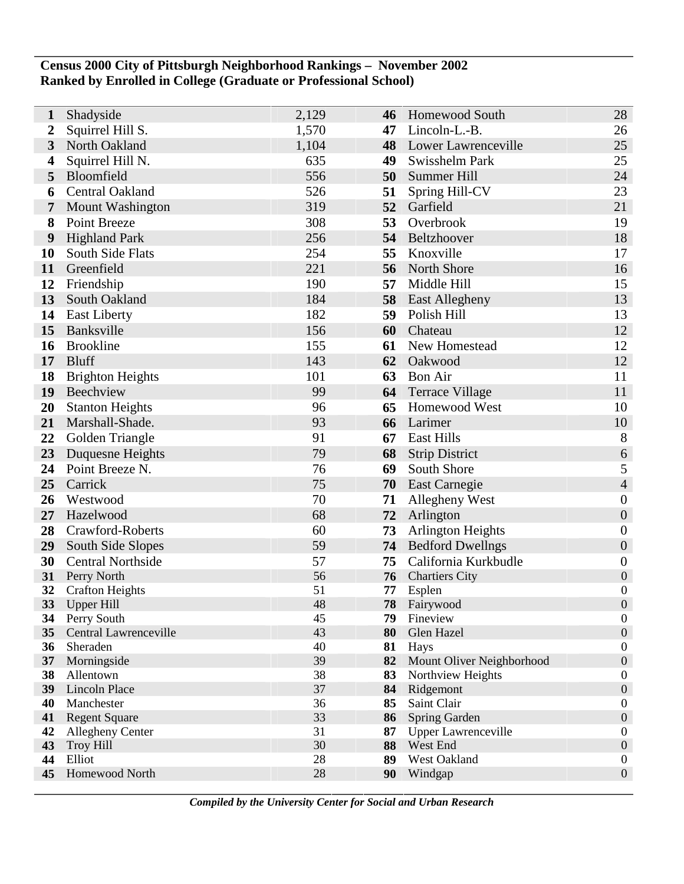## **Census 2000 City of Pittsburgh Neighborhood Rankings – November 2002 Ranked by Enrolled in College (Graduate or Professional School)**

| 1                | Shadyside                             | 2,129    | 46       | <b>Homewood South</b>                  | 28                                   |
|------------------|---------------------------------------|----------|----------|----------------------------------------|--------------------------------------|
| $\boldsymbol{2}$ | Squirrel Hill S.                      | 1,570    | 47       | Lincoln-L.-B.                          | 26                                   |
| 3                | North Oakland                         | 1,104    | 48       | Lower Lawrenceville                    | 25                                   |
| 4                | Squirrel Hill N.                      | 635      | 49       | Swisshelm Park                         | 25                                   |
| 5                | Bloomfield                            | 556      | 50       | Summer Hill                            | 24                                   |
| 6                | <b>Central Oakland</b>                | 526      | 51       | Spring Hill-CV                         | 23                                   |
| 7                | <b>Mount Washington</b>               | 319      | 52       | Garfield                               | 21                                   |
| 8                | Point Breeze                          | 308      | 53       | Overbrook                              | 19                                   |
| 9                | <b>Highland Park</b>                  | 256      |          | 54 Beltzhoover                         | 18                                   |
| <b>10</b>        | South Side Flats                      | 254      | 55       | Knoxville                              | 17                                   |
| 11               | Greenfield                            | 221      | 56       | North Shore                            | 16                                   |
| 12               | Friendship                            | 190      | 57       | Middle Hill                            | 15                                   |
| 13               | South Oakland                         | 184      | 58       | <b>East Allegheny</b>                  | 13                                   |
| 14               | <b>East Liberty</b>                   | 182      | 59       | Polish Hill                            | 13                                   |
| 15               | Banksville                            | 156      | 60       | Chateau                                | 12                                   |
| 16               | <b>Brookline</b>                      | 155      | 61       | New Homestead                          | 12                                   |
| 17               | <b>Bluff</b>                          | 143      | 62       | Oakwood                                | 12                                   |
| 18               | <b>Brighton Heights</b>               | 101      | 63       | <b>Bon Air</b>                         | 11                                   |
| 19               | Beechview                             | 99       | 64       | <b>Terrace Village</b>                 | 11                                   |
| <b>20</b>        | <b>Stanton Heights</b>                | 96       | 65       | <b>Homewood West</b>                   | 10                                   |
| 21               | Marshall-Shade.                       | 93       | 66       | Larimer                                | 10                                   |
| 22               | Golden Triangle                       | 91       | 67       | <b>East Hills</b>                      | 8                                    |
| 23               | Duquesne Heights                      | 79       | 68       | <b>Strip District</b>                  | 6                                    |
| 24               | Point Breeze N.                       | 76       | 69       | South Shore                            | $\mathfrak{S}$                       |
| 25               | Carrick                               | 75       | 70       | <b>East Carnegie</b>                   | $\overline{4}$                       |
| 26               | Westwood                              | 70       | 71       | Allegheny West                         | $\boldsymbol{0}$                     |
| 27               | Hazelwood                             | 68       | 72       | Arlington                              | $\boldsymbol{0}$                     |
| 28               | Crawford-Roberts                      | 60       | 73       | <b>Arlington Heights</b>               | $\boldsymbol{0}$                     |
| 29               | South Side Slopes                     | 59       |          | <b>74</b> Bedford Dwellngs             | $\boldsymbol{0}$                     |
| 30               | <b>Central Northside</b>              | 57       | 75       | California Kurkbudle                   | $\boldsymbol{0}$                     |
| 31<br>32         | Perry North<br><b>Crafton Heights</b> | 56<br>51 | 76<br>77 | <b>Chartiers City</b>                  | $\boldsymbol{0}$<br>$\boldsymbol{0}$ |
| 33               | <b>Upper Hill</b>                     | 48       | 78       | Esplen<br>Fairywood                    | $\boldsymbol{0}$                     |
| 34               | Perry South                           | 45       | 79       | Fineview                               | $\boldsymbol{0}$                     |
| 35               | Central Lawrenceville                 | 43       | 80       | Glen Hazel                             | $\boldsymbol{0}$                     |
| 36               | Sheraden                              | 40       | 81       | Hays                                   | $\boldsymbol{0}$                     |
| 37 <sup>2</sup>  | Morningside                           | 39       |          | 82 Mount Oliver Neighborhood           | $\boldsymbol{0}$                     |
| 38               | Allentown                             | 38       | 83       | Northview Heights                      | $\boldsymbol{0}$                     |
| 39               | <b>Lincoln Place</b>                  | 37       | 84       | Ridgemont                              | $\boldsymbol{0}$                     |
| 40               | Manchester                            | 36       | 85       | Saint Clair                            | $\boldsymbol{0}$                     |
| 41               | <b>Regent Square</b>                  | 33<br>31 | 86       | Spring Garden                          | $\boldsymbol{0}$<br>$\boldsymbol{0}$ |
| 42<br>43         | Allegheny Center<br><b>Troy Hill</b>  | 30       | 87<br>88 | <b>Upper Lawrenceville</b><br>West End | $\boldsymbol{0}$                     |
| 44               | Elliot                                | 28       | 89       | West Oakland                           | $\boldsymbol{0}$                     |
| 45               | Homewood North                        | 28       | 90       | Windgap                                | $\boldsymbol{0}$                     |
|                  |                                       |          |          |                                        |                                      |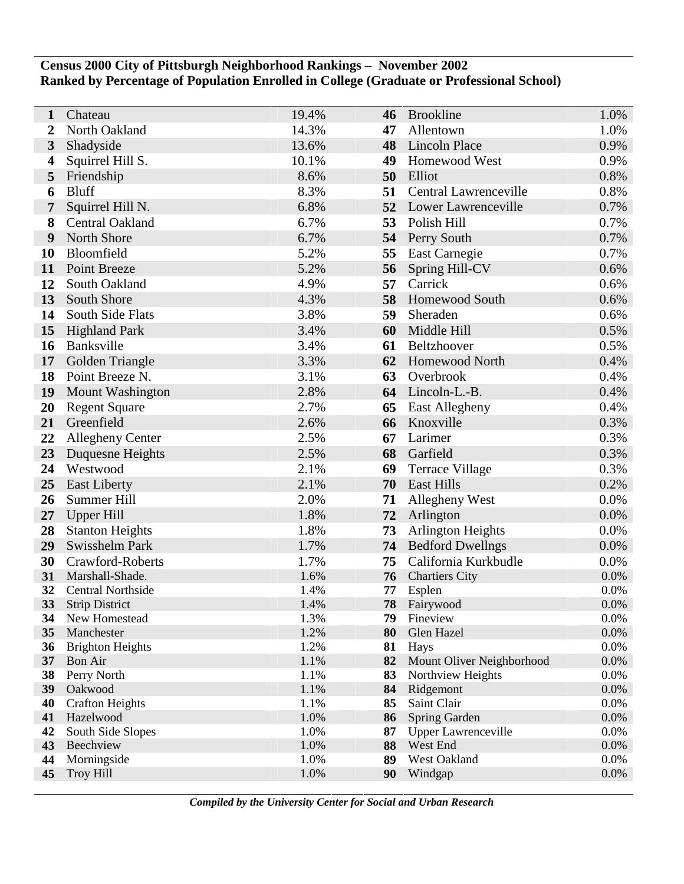# **Census 2000 City of Pittsburgh Neighborhood Rankings – November 2002 Ranked by Percentage of Population Enrolled in College (Graduate or Professional School)**

| 1                | Chateau                                | 19.4%        | 46       | <b>Brookline</b>           | 1.0%            |
|------------------|----------------------------------------|--------------|----------|----------------------------|-----------------|
| $\boldsymbol{2}$ | North Oakland                          | 14.3%        | 47       | Allentown                  | 1.0%            |
| 3                | Shadyside                              | 13.6%        | 48       | Lincoln Place              | 0.9%            |
| 4                | Squirrel Hill S.                       | 10.1%        | 49       | Homewood West              | 0.9%            |
| 5                | Friendship                             | 8.6%         | 50       | Elliot                     | 0.8%            |
| 6                | <b>Bluff</b>                           | 8.3%         | 51       | Central Lawrenceville      | 0.8%            |
| 7                | Squirrel Hill N.                       | 6.8%         | 52       | Lower Lawrenceville        | 0.7%            |
| 8                | Central Oakland                        | 6.7%         | 53       | Polish Hill                | 0.7%            |
| 9                | North Shore                            | 6.7%         | 54       | Perry South                | 0.7%            |
| <b>10</b>        | Bloomfield                             | 5.2%         | 55       | East Carnegie              | 0.7%            |
| 11               | Point Breeze                           | 5.2%         | 56       | Spring Hill-CV             | 0.6%            |
| 12               | South Oakland                          | 4.9%         | 57       | Carrick                    | 0.6%            |
| 13               | South Shore                            | 4.3%         | 58       | <b>Homewood South</b>      | 0.6%            |
| 14               | South Side Flats                       | 3.8%         | 59       | Sheraden                   | 0.6%            |
| 15               | <b>Highland Park</b>                   | 3.4%         | 60       | Middle Hill                | 0.5%            |
| 16               | Banksville                             | 3.4%         | 61       | Beltzhoover                | 0.5%            |
| 17               | Golden Triangle                        | 3.3%         | 62       | Homewood North             | 0.4%            |
| 18               | Point Breeze N.                        | 3.1%         | 63       | Overbrook                  | 0.4%            |
| 19               | <b>Mount Washington</b>                | 2.8%         | 64       | Lincoln-L.-B.              | 0.4%            |
| 20               | <b>Regent Square</b>                   | 2.7%         | 65       | <b>East Allegheny</b>      | 0.4%            |
| 21               | Greenfield                             | 2.6%         | 66       | Knoxville                  | 0.3%            |
| 22               | <b>Allegheny Center</b>                | 2.5%         | 67       | Larimer                    | 0.3%            |
| 23               | Duquesne Heights                       | 2.5%         | 68       | Garfield                   | 0.3%            |
| 24               | Westwood                               | 2.1%         | 69       | Terrace Village            | 0.3%            |
| 25               | <b>East Liberty</b>                    | 2.1%         | 70       | <b>East Hills</b>          | 0.2%            |
| 26               | Summer Hill                            | 2.0%         | 71       | Allegheny West             | 0.0%            |
| 27               | <b>Upper Hill</b>                      | 1.8%         | 72       | Arlington                  | 0.0%            |
| 28               | <b>Stanton Heights</b>                 | 1.8%         | 73       | <b>Arlington Heights</b>   | 0.0%            |
| 29               | Swisshelm Park                         | 1.7%         | 74       | <b>Bedford Dwellngs</b>    | 0.0%            |
| 30               | Crawford-Roberts                       | 1.7%         | 75       | California Kurkbudle       | 0.0%            |
| 31               | Marshall-Shade.                        | 1.6%         | 76       | <b>Chartiers City</b>      | 0.0%            |
| 32               | <b>Central Northside</b>               | 1.4%         | 77       | Esplen                     | 0.0%            |
| 33<br>34         | <b>Strip District</b><br>New Homestead | 1.4%<br>1.3% | 78<br>79 | Fairywood<br>Fineview      | $0.0\%$<br>0.0% |
| 35               | Manchester                             | 1.2%         | 80       | Glen Hazel                 | $0.0\%$         |
| 36               | <b>Brighton Heights</b>                | 1.2%         | 81       | Hays                       | 0.0%            |
|                  | 37 Bon Air                             | 1.1%         | 82       | Mount Oliver Neighborhood  | 0.0%            |
| 38               | Perry North                            | 1.1%         | 83       | Northview Heights          | 0.0%            |
| 39               | Oakwood                                | 1.1%         | 84       | Ridgemont                  | 0.0%            |
| 40               | <b>Crafton Heights</b>                 | 1.1%         | 85       | Saint Clair                | 0.0%            |
| 41               | Hazelwood                              | 1.0%         | 86       | Spring Garden              | 0.0%            |
| 42               | South Side Slopes                      | 1.0%         | 87       | <b>Upper Lawrenceville</b> | 0.0%            |
| 43               | Beechview                              | 1.0%         | 88       | West End                   | 0.0%            |
| 44               | Morningside                            | 1.0%         | 89       | West Oakland               | 0.0%            |
| 45               | <b>Troy Hill</b>                       | 1.0%         | 90       | Windgap                    | 0.0%            |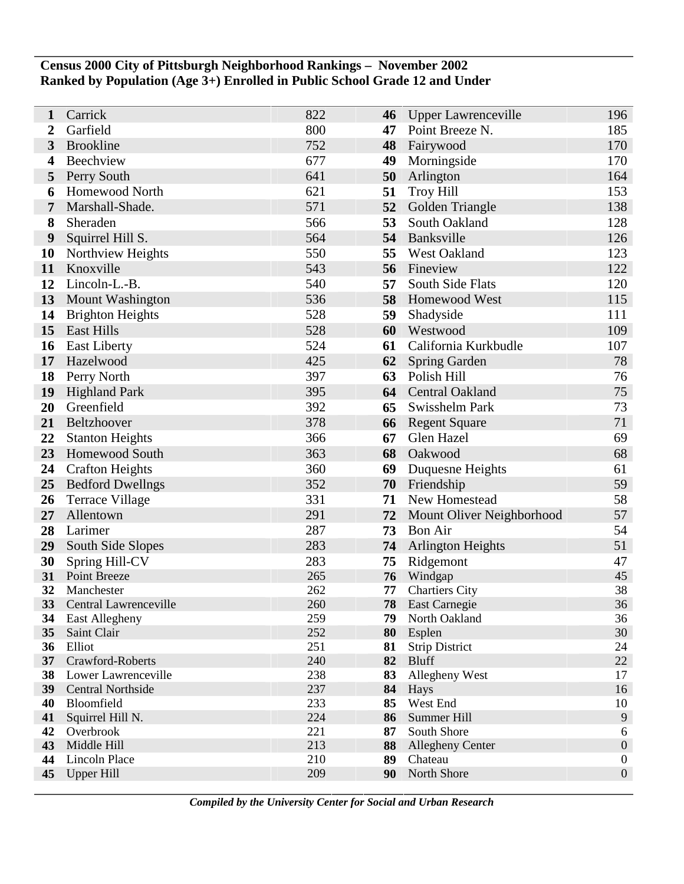# **Census 2000 City of Pittsburgh Neighborhood Rankings – November 2002 Ranked by Population (Age 3+) Enrolled in Public School Grade 12 and Under**

| 1                | Carrick                             | 822        | 46       | <b>Upper Lawrenceville</b>     | 196                                  |
|------------------|-------------------------------------|------------|----------|--------------------------------|--------------------------------------|
| 2                | Garfield                            | 800        | 47       | Point Breeze N.                | 185                                  |
| 3                | <b>Brookline</b>                    | 752        | 48       | Fairywood                      | 170                                  |
| 4                | Beechview                           | 677        | 49       | Morningside                    | 170                                  |
| 5                | Perry South                         | 641        | 50       | Arlington                      | 164                                  |
| 6                | Homewood North                      | 621        | 51       | <b>Troy Hill</b>               | 153                                  |
| 7                | Marshall-Shade.                     | 571        | 52       | Golden Triangle                | 138                                  |
| 8                | Sheraden                            | 566        | 53       | South Oakland                  | 128                                  |
| $\boldsymbol{9}$ | Squirrel Hill S.                    | 564        | 54       | Banksville                     | 126                                  |
| 10               | Northview Heights                   | 550        | 55       | <b>West Oakland</b>            | 123                                  |
| 11               | Knoxville                           | 543        | 56       | Fineview                       | 122                                  |
| 12               | Lincoln-L.-B.                       | 540        | 57       | South Side Flats               | 120                                  |
| 13               | Mount Washington                    | 536        | 58       | Homewood West                  | 115                                  |
| 14               | <b>Brighton Heights</b>             | 528        | 59       | Shadyside                      | 111                                  |
| 15               | <b>East Hills</b>                   | 528        | 60       | Westwood                       | 109                                  |
| 16               | <b>East Liberty</b>                 | 524        | 61       | California Kurkbudle           | 107                                  |
| 17               | Hazelwood                           | 425        | 62       | <b>Spring Garden</b>           | 78                                   |
| 18               | Perry North                         | 397        | 63       | Polish Hill                    | 76                                   |
| 19               | <b>Highland Park</b>                | 395        |          | 64 Central Oakland             | 75                                   |
| 20               | Greenfield                          | 392        | 65       | Swisshelm Park                 | 73                                   |
| 21               | Beltzhoover                         | 378        | 66       | <b>Regent Square</b>           | 71                                   |
| 22               | <b>Stanton Heights</b>              | 366        | 67       | Glen Hazel                     | 69                                   |
| 23               | <b>Homewood South</b>               | 363        | 68       | Oakwood                        | 68                                   |
| 24               | <b>Crafton Heights</b>              | 360        | 69       | Duquesne Heights               | 61                                   |
| 25               | <b>Bedford Dwellngs</b>             | 352        | 70       | Friendship                     | 59                                   |
| 26               | <b>Terrace Village</b>              | 331        | 71       | New Homestead                  | 58                                   |
| 27               | Allentown                           | 291        | 72       | Mount Oliver Neighborhood      | 57                                   |
| 28               | Larimer                             | 287        | 73       | <b>Bon Air</b>                 | 54                                   |
| 29               | South Side Slopes                   | 283        | 74       | <b>Arlington Heights</b>       | 51                                   |
| 30               | Spring Hill-CV                      | 283        | 75       | Ridgemont                      | 47                                   |
| 31               | Point Breeze                        | 265        | 76       | Windgap                        | 45                                   |
| 32<br>33         | Manchester<br>Central Lawrenceville | 262        | 77       | <b>Chartiers City</b>          | 38                                   |
| 34               | East Allegheny                      | 260<br>259 | 78<br>79 | East Carnegie<br>North Oakland | 36<br>36                             |
| 35               | Saint Clair                         | 252        | 80       | Esplen                         | 30                                   |
| 36               | Elliot                              | 251        | 81       | <b>Strip District</b>          | 24                                   |
| 37 <sup>7</sup>  | Crawford-Roberts                    | 240        |          | 82 Bluff                       | $22\,$                               |
| 38               | Lower Lawrenceville                 | 238        | 83       | Allegheny West                 | 17                                   |
| 39               | Central Northside                   | 237        | 84       | Hays                           | 16                                   |
| 40               | Bloomfield                          | 233        | 85       | West End                       | 10                                   |
| 41               | Squirrel Hill N.                    | 224        | 86       | Summer Hill                    | 9                                    |
| 42               | Overbrook                           | 221        | 87       | South Shore                    | 6                                    |
| 43               | Middle Hill                         | 213        | 88       | <b>Allegheny Center</b>        | $\boldsymbol{0}$                     |
| 44               | <b>Lincoln Place</b>                | 210<br>209 | 89<br>90 | Chateau<br>North Shore         | $\boldsymbol{0}$<br>$\boldsymbol{0}$ |
| 45               | <b>Upper Hill</b>                   |            |          |                                |                                      |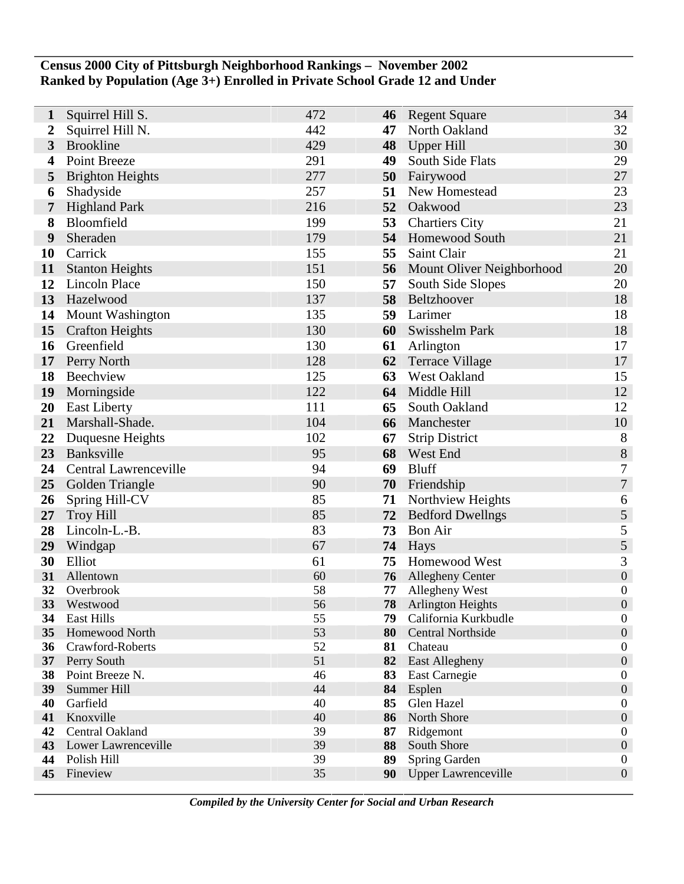## **Census 2000 City of Pittsburgh Neighborhood Rankings – November 2002 Ranked by Population (Age 3+) Enrolled in Private School Grade 12 and Under**

| 1                       | Squirrel Hill S.                   | 472      | 46       | <b>Regent Square</b>                | 34                                   |
|-------------------------|------------------------------------|----------|----------|-------------------------------------|--------------------------------------|
| 2                       | Squirrel Hill N.                   | 442      | 47       | North Oakland                       | 32                                   |
| $\overline{\mathbf{3}}$ | <b>Brookline</b>                   | 429      | 48       | Upper Hill                          | 30                                   |
| 4                       | <b>Point Breeze</b>                | 291      | 49       | South Side Flats                    | 29                                   |
| 5                       | <b>Brighton Heights</b>            | 277      | 50       | Fairywood                           | 27                                   |
| 6                       | Shadyside                          | 257      | 51       | New Homestead                       | 23                                   |
| 7                       | <b>Highland Park</b>               | 216      |          | 52 Oakwood                          | 23                                   |
| 8                       | Bloomfield                         | 199      | 53       | <b>Chartiers City</b>               | 21                                   |
| 9                       | Sheraden                           | 179      | 54       | <b>Homewood South</b>               | 21                                   |
| 10                      | Carrick                            | 155      | 55       | Saint Clair                         | 21                                   |
| 11                      | <b>Stanton Heights</b>             | 151      | 56       | Mount Oliver Neighborhood           | 20                                   |
| 12                      | <b>Lincoln Place</b>               | 150      | 57       | South Side Slopes                   | 20                                   |
| 13                      | Hazelwood                          | 137      | 58       | Beltzhoover                         | 18                                   |
| 14                      | Mount Washington                   | 135      | 59       | Larimer                             | 18                                   |
| 15                      | <b>Crafton Heights</b>             | 130      | 60       | <b>Swisshelm Park</b>               | 18                                   |
| 16                      | Greenfield                         | 130      | 61       | Arlington                           | 17                                   |
| 17                      | Perry North                        | 128      | 62       | <b>Terrace Village</b>              | 17                                   |
| 18                      | Beechview                          | 125      | 63       | West Oakland                        | 15                                   |
| 19                      | Morningside                        | 122      | 64       | Middle Hill                         | 12                                   |
| 20                      | <b>East Liberty</b>                | 111      | 65       | South Oakland                       | 12                                   |
| 21                      | Marshall-Shade.                    | 104      | 66       | Manchester                          | 10                                   |
| 22                      | Duquesne Heights                   | 102      | 67       | <b>Strip District</b>               | 8                                    |
| 23                      | Banksville                         | 95       | 68       | West End                            | $\boldsymbol{8}$                     |
| 24                      | <b>Central Lawrenceville</b>       | 94       | 69       | <b>Bluff</b>                        | $\boldsymbol{7}$                     |
| 25                      | Golden Triangle                    | 90       | 70       | Friendship                          | $\overline{7}$                       |
| 26                      | Spring Hill-CV                     | 85       | 71       | Northview Heights                   | 6                                    |
| 27                      | <b>Troy Hill</b>                   | 85       | 72       | <b>Bedford Dwellngs</b>             | $\sqrt{5}$                           |
| 28                      | Lincoln-L.-B.                      | 83       | 73       | <b>Bon Air</b>                      | 5                                    |
| 29                      | Windgap                            | 67       | 74       | Hays                                | 5                                    |
| 30                      | Elliot                             | 61       | 75       | Homewood West                       | 3                                    |
| 31                      | Allentown                          | 60       | 76       | <b>Allegheny Center</b>             | $\boldsymbol{0}$                     |
| 32                      | Overbrook                          | 58       | 77       | Allegheny West                      | $\boldsymbol{0}$                     |
| 33                      | Westwood                           | 56       | 78       | <b>Arlington Heights</b>            | $\mathbf{0}$                         |
| 34                      | East Hills                         | 55<br>53 | 79       | California Kurkbudle                | $\boldsymbol{0}$                     |
| 35<br>36                | Homewood North<br>Crawford-Roberts | 52       | 80<br>81 | <b>Central Northside</b><br>Chateau | $\boldsymbol{0}$<br>$\boldsymbol{0}$ |
|                         | 37 Perry South                     | 51       | 82       | <b>East Allegheny</b>               | $\boldsymbol{0}$                     |
| 38                      | Point Breeze N.                    | 46       | 83       | East Carnegie                       | $\boldsymbol{0}$                     |
| 39                      | Summer Hill                        | 44       | 84       | Esplen                              | $\boldsymbol{0}$                     |
| 40                      | Garfield                           | 40       | 85       | Glen Hazel                          | $\boldsymbol{0}$                     |
| 41                      | Knoxville                          | 40       | 86       | North Shore                         | $\boldsymbol{0}$                     |
| 42                      | Central Oakland                    | 39       | 87       | Ridgemont                           | $\boldsymbol{0}$                     |
| 43                      | Lower Lawrenceville                | 39       | 88       | South Shore                         | $\boldsymbol{0}$                     |
| 44                      | Polish Hill                        | 39       | 89       | Spring Garden                       | $\boldsymbol{0}$                     |
| 45                      | Fineview                           | 35       | 90       | <b>Upper Lawrenceville</b>          | $\boldsymbol{0}$                     |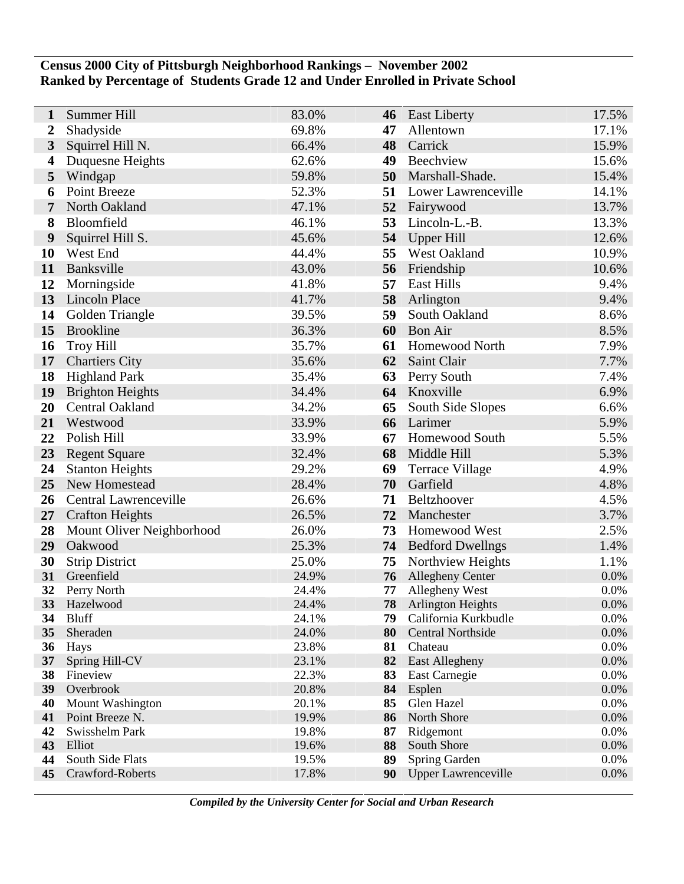## **Census 2000 City of Pittsburgh Neighborhood Rankings – November 2002 Ranked by Percentage of Students Grade 12 and Under Enrolled in Private School**

| $\mathbf{1}$            | Summer Hill               | 83.0%          | 46       | <b>East Liberty</b>              | 17.5%        |
|-------------------------|---------------------------|----------------|----------|----------------------------------|--------------|
| $\boldsymbol{2}$        | Shadyside                 | 69.8%          | 47       | Allentown                        | 17.1%        |
| $\overline{\mathbf{3}}$ | Squirrel Hill N.          | 66.4%          | 48       | Carrick                          | 15.9%        |
| 4                       | Duquesne Heights          | 62.6%          | 49       | Beechview                        | 15.6%        |
| 5                       | Windgap                   | 59.8%          | 50       | Marshall-Shade.                  | 15.4%        |
| 6                       | Point Breeze              | 52.3%          | 51       | Lower Lawrenceville              | 14.1%        |
| 7                       | North Oakland             | 47.1%          | 52       | Fairywood                        | 13.7%        |
| 8                       | Bloomfield                | 46.1%          | 53       | Lincoln-L.-B.                    | 13.3%        |
| 9                       | Squirrel Hill S.          | 45.6%          | 54       | Upper Hill                       | 12.6%        |
| 10                      | West End                  | 44.4%          | 55       | <b>West Oakland</b>              | 10.9%        |
| 11                      | Banksville                | 43.0%          | 56       | Friendship                       | 10.6%        |
| 12                      | Morningside               | 41.8%          | 57       | <b>East Hills</b>                | 9.4%         |
| 13                      | Lincoln Place             | 41.7%          | 58       | Arlington                        | 9.4%         |
| 14                      | Golden Triangle           | 39.5%          | 59       | South Oakland                    | 8.6%         |
| 15                      | <b>Brookline</b>          | 36.3%          | 60       | <b>Bon Air</b>                   | 8.5%         |
| 16                      | <b>Troy Hill</b>          | 35.7%          | 61       | <b>Homewood North</b>            | 7.9%         |
| 17                      | <b>Chartiers City</b>     | 35.6%          | 62       | Saint Clair                      | 7.7%         |
| 18                      | <b>Highland Park</b>      | 35.4%          | 63       | Perry South                      | 7.4%         |
| 19                      | <b>Brighton Heights</b>   | 34.4%          | 64       | Knoxville                        | 6.9%         |
| 20                      | Central Oakland           | 34.2%          | 65       | South Side Slopes                | 6.6%         |
| 21                      | Westwood                  | 33.9%          | 66       | Larimer                          | 5.9%         |
| 22                      | Polish Hill               | 33.9%          | 67       | Homewood South                   | 5.5%         |
| 23                      | <b>Regent Square</b>      | 32.4%          | 68       | Middle Hill                      | 5.3%         |
| 24                      | <b>Stanton Heights</b>    | 29.2%          | 69       | Terrace Village                  | 4.9%         |
| 25                      | New Homestead             | 28.4%          | 70       | Garfield                         | 4.8%         |
| 26                      | Central Lawrenceville     | 26.6%          | 71       | Beltzhoover                      | 4.5%         |
| 27                      | <b>Crafton Heights</b>    | 26.5%          | 72       | Manchester                       | 3.7%         |
| 28                      | Mount Oliver Neighborhood | 26.0%          | 73       | Homewood West                    | 2.5%         |
| 29                      | Oakwood                   | 25.3%          | 74       | <b>Bedford Dwellngs</b>          | 1.4%         |
| 30                      | <b>Strip District</b>     | 25.0%          | 75       | Northview Heights                | 1.1%         |
| 31                      | Greenfield                | 24.9%          | 76       | <b>Allegheny Center</b>          | 0.0%         |
| 32                      | Perry North               | 24.4%          | 77       | Allegheny West                   | 0.0%         |
| 33                      | Hazelwood                 | 24.4%          | 78       | <b>Arlington Heights</b>         | 0.0%         |
| 34                      | <b>Bluff</b>              | 24.1%          | 79       | California Kurkbudle             | 0.0%         |
| 35                      | Sheraden                  | 24.0%<br>23.8% | 80       | <b>Central Northside</b>         | 0.0%         |
| 36<br>37 <sup>7</sup>   | Hays<br>Spring Hill-CV    | 23.1%          | 81<br>82 | Chateau<br><b>East Allegheny</b> | 0.0%<br>0.0% |
| 38                      | Fineview                  | 22.3%          | 83       | East Carnegie                    | 0.0%         |
| 39                      | Overbrook                 | 20.8%          | 84       | Esplen                           | 0.0%         |
| 40                      | Mount Washington          | 20.1%          | 85       | Glen Hazel                       | 0.0%         |
| 41                      | Point Breeze N.           | 19.9%          | 86       | North Shore                      | 0.0%         |
| 42                      | Swisshelm Park            | 19.8%          | 87       | Ridgemont                        | 0.0%         |
| 43                      | Elliot                    | 19.6%          | 88       | South Shore                      | 0.0%         |
| 44                      | South Side Flats          | 19.5%          | 89       | Spring Garden                    | 0.0%         |
| 45                      | Crawford-Roberts          | 17.8%          | 90       | <b>Upper Lawrenceville</b>       | 0.0%         |
|                         |                           |                |          |                                  |              |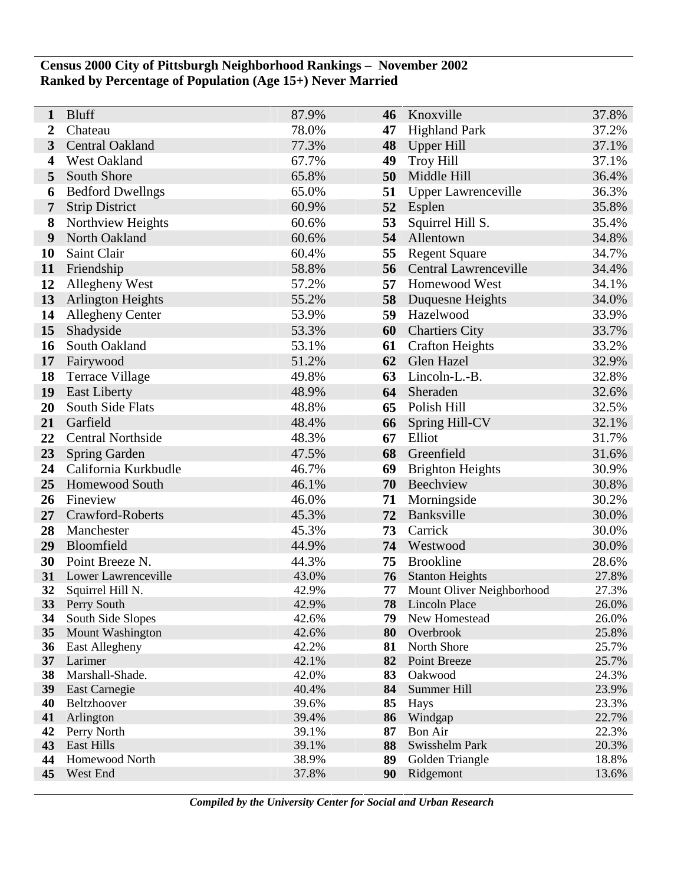## **Census 2000 City of Pittsburgh Neighborhood Rankings – November 2002 Ranked by Percentage of Population (Age 15+) Never Married**

| 1                     | <b>Bluff</b>                     | 87.9%          | 46       | Knoxville                      | 37.8%          |
|-----------------------|----------------------------------|----------------|----------|--------------------------------|----------------|
| $\boldsymbol{2}$      | Chateau                          | 78.0%          | 47       | <b>Highland Park</b>           | 37.2%          |
| 3                     | Central Oakland                  | 77.3%          | 48       | <b>Upper Hill</b>              | 37.1%          |
| 4                     | West Oakland                     | 67.7%          | 49       | <b>Troy Hill</b>               | 37.1%          |
| 5                     | South Shore                      | 65.8%          | 50       | Middle Hill                    | 36.4%          |
| 6                     | <b>Bedford Dwellngs</b>          | 65.0%          | 51       | <b>Upper Lawrenceville</b>     | 36.3%          |
| 7                     | <b>Strip District</b>            | 60.9%          | 52       | Esplen                         | 35.8%          |
| 8                     | Northview Heights                | 60.6%          | 53       | Squirrel Hill S.               | 35.4%          |
| 9                     | North Oakland                    | 60.6%          | 54       | Allentown                      | 34.8%          |
| 10                    | Saint Clair                      | 60.4%          | 55       | <b>Regent Square</b>           | 34.7%          |
| 11                    | Friendship                       | 58.8%          | 56       | Central Lawrenceville          | 34.4%          |
| 12                    | Allegheny West                   | 57.2%          | 57       | Homewood West                  | 34.1%          |
| 13                    | <b>Arlington Heights</b>         | 55.2%          | 58       | Duquesne Heights               | 34.0%          |
| 14                    | <b>Allegheny Center</b>          | 53.9%          | 59       | Hazelwood                      | 33.9%          |
| 15                    | Shadyside                        | 53.3%          | 60       | <b>Chartiers City</b>          | 33.7%          |
| 16                    | South Oakland                    | 53.1%          | 61       | <b>Crafton Heights</b>         | 33.2%          |
| 17                    | Fairywood                        | 51.2%          | 62       | Glen Hazel                     | 32.9%          |
| 18                    | <b>Terrace Village</b>           | 49.8%          | 63       | Lincoln-L.-B.                  | 32.8%          |
| 19                    | <b>East Liberty</b>              | 48.9%          | 64       | Sheraden                       | 32.6%          |
| 20                    | South Side Flats                 | 48.8%          | 65       | Polish Hill                    | 32.5%          |
| 21                    | Garfield                         | 48.4%          | 66       | Spring Hill-CV                 | 32.1%          |
| 22                    | <b>Central Northside</b>         | 48.3%          | 67       | Elliot                         | 31.7%          |
| 23                    | <b>Spring Garden</b>             | 47.5%          | 68       | Greenfield                     | 31.6%          |
| 24                    | California Kurkbudle             | 46.7%          | 69       | <b>Brighton Heights</b>        | 30.9%          |
| 25                    | Homewood South                   | 46.1%          | 70       | Beechview                      | 30.8%          |
| 26                    | Fineview                         | 46.0%          | 71       | Morningside                    | 30.2%          |
| 27                    | Crawford-Roberts                 | 45.3%          | 72       | Banksville                     | 30.0%          |
| 28                    | Manchester                       | 45.3%          | 73       | Carrick                        | 30.0%          |
| 29                    | Bloomfield                       | 44.9%          | 74       | Westwood                       | 30.0%          |
| 30                    | Point Breeze N.                  | 44.3%          | 75       | <b>Brookline</b>               | 28.6%          |
| 31                    | Lower Lawrenceville              | 43.0%          | 76       | <b>Stanton Heights</b>         | 27.8%          |
| 32                    | Squirrel Hill N.                 | 42.9%          | 77<br>78 | Mount Oliver Neighborhood      | 27.3%          |
| 33 <sup>°</sup><br>34 | Perry South<br>South Side Slopes | 42.9%<br>42.6% | 79       | Lincoln Place<br>New Homestead | 26.0%<br>26.0% |
| 35                    | Mount Washington                 | 42.6%          | 80       | Overbrook                      | 25.8%          |
| 36                    | <b>East Allegheny</b>            | 42.2%          | 81       | North Shore                    | 25.7%          |
| 37                    | Larimer                          | 42.1%          | 82       | Point Breeze                   | 25.7%          |
| 38                    | Marshall-Shade.                  | 42.0%          | 83       | Oakwood                        | 24.3%          |
| 39                    | East Carnegie                    | 40.4%          | 84       | Summer Hill                    | 23.9%          |
| 40                    | Beltzhoover                      | 39.6%          | 85       | Hays                           | 23.3%          |
| 41                    | Arlington                        | 39.4%          | 86       | Windgap                        | 22.7%          |
| 42                    | Perry North                      | 39.1%          | 87       | Bon Air                        | 22.3%          |
| 43                    | East Hills                       | 39.1%          | 88       | Swisshelm Park                 | 20.3%          |
| 44<br>45              | Homewood North<br>West End       | 38.9%<br>37.8% | 89<br>90 | Golden Triangle<br>Ridgemont   | 18.8%<br>13.6% |
|                       |                                  |                |          |                                |                |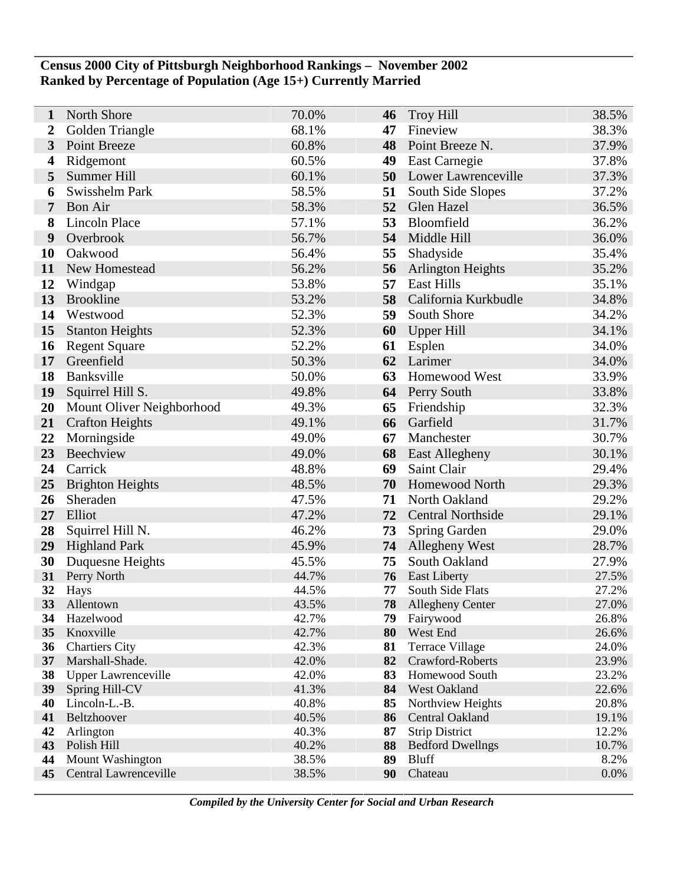## **Census 2000 City of Pittsburgh Neighborhood Rankings – November 2002 Ranked by Percentage of Population (Age 15+) Currently Married**

| 1        | North Shore                     | 70.0%          | 46       | <b>Troy Hill</b>               | 38.5%          |
|----------|---------------------------------|----------------|----------|--------------------------------|----------------|
| 2        | Golden Triangle                 | 68.1%          | 47       | Fineview                       | 38.3%          |
| 3        | Point Breeze                    | 60.8%          | 48       | Point Breeze N.                | 37.9%          |
| 4        | Ridgemont                       | 60.5%          | 49       | East Carnegie                  | 37.8%          |
| 5        | Summer Hill                     | 60.1%          | 50       | Lower Lawrenceville            | 37.3%          |
| 6        | Swisshelm Park                  | 58.5%          | 51       | South Side Slopes              | 37.2%          |
| 7        | <b>Bon Air</b>                  | 58.3%          | 52       | Glen Hazel                     | 36.5%          |
| 8        | <b>Lincoln Place</b>            | 57.1%          | 53       | Bloomfield                     | 36.2%          |
| 9        | Overbrook                       | 56.7%          | 54       | Middle Hill                    | 36.0%          |
| 10       | Oakwood                         | 56.4%          | 55       | Shadyside                      | 35.4%          |
| 11       | New Homestead                   | 56.2%          | 56       | <b>Arlington Heights</b>       | 35.2%          |
| 12       | Windgap                         | 53.8%          | 57       | <b>East Hills</b>              | 35.1%          |
| 13       | <b>Brookline</b>                | 53.2%          | 58       | California Kurkbudle           | 34.8%          |
| 14       | Westwood                        | 52.3%          | 59       | South Shore                    | 34.2%          |
| 15       | <b>Stanton Heights</b>          | 52.3%          | 60       | <b>Upper Hill</b>              | 34.1%          |
| 16       | <b>Regent Square</b>            | 52.2%          | 61       | Esplen                         | 34.0%          |
| 17       | Greenfield                      | 50.3%          | 62       | Larimer                        | 34.0%          |
| 18       | Banksville                      | 50.0%          | 63       | Homewood West                  | 33.9%          |
| 19       | Squirrel Hill S.                | 49.8%          | 64       | Perry South                    | 33.8%          |
| 20       | Mount Oliver Neighborhood       | 49.3%          | 65       | Friendship                     | 32.3%          |
| 21       | <b>Crafton Heights</b>          | 49.1%          | 66       | Garfield                       | 31.7%          |
| 22       | Morningside                     | 49.0%          | 67       | Manchester                     | 30.7%          |
| 23       | Beechview                       | 49.0%          | 68       | <b>East Allegheny</b>          | 30.1%          |
| 24       | Carrick                         | 48.8%          | 69       | Saint Clair                    | 29.4%          |
| 25       | <b>Brighton Heights</b>         | 48.5%          | 70       | Homewood North                 | 29.3%          |
| 26       | Sheraden                        | 47.5%          | 71       | North Oakland                  | 29.2%          |
| 27       | Elliot                          | 47.2%          | 72       | <b>Central Northside</b>       | 29.1%          |
| 28       | Squirrel Hill N.                | 46.2%          | 73       | Spring Garden                  | 29.0%          |
| 29       | <b>Highland Park</b>            | 45.9%          | 74       | Allegheny West                 | 28.7%          |
| 30       | Duquesne Heights                | 45.5%          | 75       | South Oakland                  | 27.9%          |
| 31       | Perry North                     | 44.7%          | 76       | <b>East Liberty</b>            | 27.5%          |
| 32       | Hays                            | 44.5%          | 77       | South Side Flats               | 27.2%          |
| 33       | Allentown                       | 43.5%          | 78       | <b>Allegheny Center</b>        | 27.0%          |
| 34       | Hazelwood                       | 42.7%          | 79       | Fairywood                      | 26.8%          |
| 35       | Knoxville                       | 42.7%          | 80       | West End                       | 26.6%          |
| 36       | <b>Chartiers City</b>           | 42.3%          | 81       | <b>Terrace Village</b>         | 24.0%          |
| 37       | Marshall-Shade.                 | 42.0%          | 82       | Crawford-Roberts               | 23.9%          |
| 38       | <b>Upper Lawrenceville</b>      | 42.0%<br>41.3% | 83<br>84 | Homewood South<br>West Oakland | 23.2%<br>22.6% |
| 39<br>40 | Spring Hill-CV<br>Lincoln-L.-B. | 40.8%          | 85       | Northview Heights              | 20.8%          |
| 41       | Beltzhoover                     | 40.5%          | 86       | Central Oakland                | 19.1%          |
| 42       | Arlington                       | 40.3%          | 87       | <b>Strip District</b>          | 12.2%          |
| 43       | Polish Hill                     | 40.2%          | 88       | <b>Bedford Dwellngs</b>        | 10.7%          |
| 44       | Mount Washington                | 38.5%          | 89       | <b>Bluff</b>                   | 8.2%           |
| 45       | Central Lawrenceville           | 38.5%          | 90       | Chateau                        | 0.0%           |
|          |                                 |                |          |                                |                |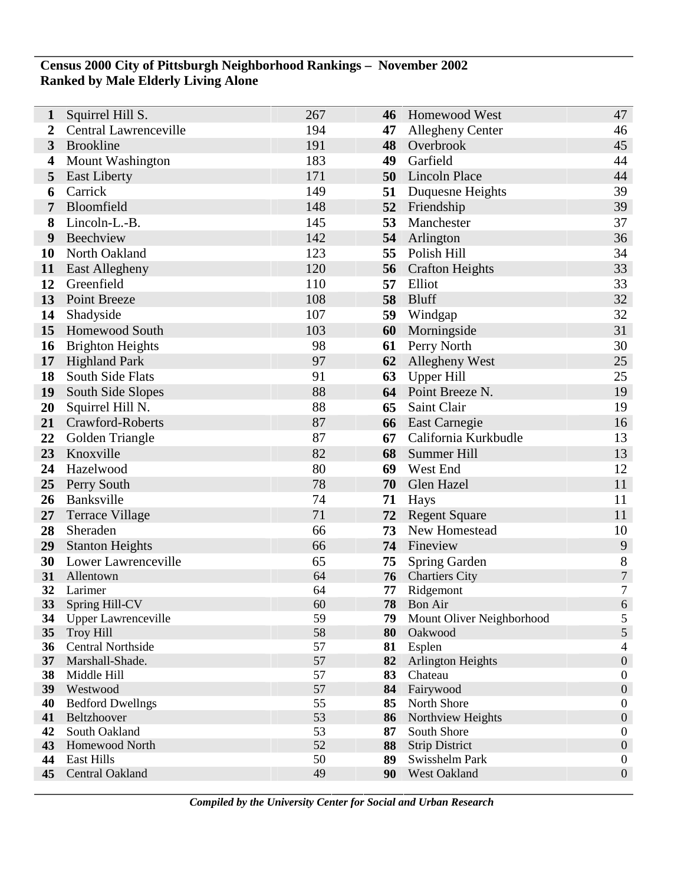## **Census 2000 City of Pittsburgh Neighborhood Rankings – November 2002 Ranked by Male Elderly Living Alone**

| 1        | Squirrel Hill S.                             | 267      | 46       | <b>Homewood West</b>               | 47                    |
|----------|----------------------------------------------|----------|----------|------------------------------------|-----------------------|
| 2        | <b>Central Lawrenceville</b>                 | 194      | 47       | Allegheny Center                   | 46                    |
| 3        | <b>Brookline</b>                             | 191      | 48       | Overbrook                          | 45                    |
| 4        | <b>Mount Washington</b>                      | 183      | 49       | Garfield                           | 44                    |
| 5        | <b>East Liberty</b>                          | 171      | 50       | <b>Lincoln Place</b>               | 44                    |
| 6        | Carrick                                      | 149      | 51       | Duquesne Heights                   | 39                    |
| 7        | Bloomfield                                   | 148      | 52       | Friendship                         | 39                    |
| 8        | Lincoln-L.-B.                                | 145      | 53       | Manchester                         | 37                    |
| 9        | Beechview                                    | 142      | 54       | Arlington                          | 36                    |
| 10       | North Oakland                                | 123      | 55       | Polish Hill                        | 34                    |
| 11       | <b>East Allegheny</b>                        | 120      | 56       | <b>Crafton Heights</b>             | 33                    |
| 12       | Greenfield                                   | 110      | 57       | Elliot                             | 33                    |
| 13       | <b>Point Breeze</b>                          | 108      | 58       | Bluff                              | 32                    |
| 14       | Shadyside                                    | 107      | 59       | Windgap                            | 32                    |
| 15       | Homewood South                               | 103      | 60       | Morningside                        | 31                    |
| 16       | <b>Brighton Heights</b>                      | 98       | 61       | Perry North                        | 30                    |
| 17       | <b>Highland Park</b>                         | 97       | 62       | Allegheny West                     | 25                    |
| 18       | South Side Flats                             | 91       | 63       | <b>Upper Hill</b>                  | 25                    |
| 19       | South Side Slopes                            | 88       | 64       | Point Breeze N.                    | 19                    |
| 20       | Squirrel Hill N.                             | 88       | 65       | Saint Clair                        | 19                    |
| 21       | Crawford-Roberts                             | 87       | 66       | <b>East Carnegie</b>               | 16                    |
| 22       | Golden Triangle                              | 87       | 67       | California Kurkbudle               | 13                    |
| 23       | Knoxville                                    | 82       | 68       | Summer Hill                        | 13                    |
| 24       | Hazelwood                                    | 80       | 69       | West End                           | 12                    |
| 25       | Perry South                                  | 78       | 70       | Glen Hazel                         | 11                    |
| 26       | Banksville                                   | 74       | 71       | Hays                               | 11                    |
| 27       | <b>Terrace Village</b>                       | 71       | 72       | <b>Regent Square</b>               | 11                    |
| 28       | Sheraden                                     | 66       | 73       | New Homestead                      | 10                    |
| 29       | <b>Stanton Heights</b>                       | 66       |          | 74 Fineview                        | 9                     |
| 30       | Lower Lawrenceville                          | 65       | 75       | Spring Garden                      | 8                     |
| 31       | Allentown                                    | 64       | 76       | <b>Chartiers City</b>              | $\sqrt{ }$            |
| 32       | Larimer                                      | 64       | 77       | Ridgemont                          | $\tau$                |
| 33       | Spring Hill-CV                               | 60       | 78       | <b>Bon Air</b>                     | $\sqrt{6}$            |
| 34       | <b>Upper Lawrenceville</b>                   | 59       | 79       | Mount Oliver Neighborhood          | 5                     |
| 35       | <b>Troy Hill</b><br><b>Central Northside</b> | 58<br>57 | 80       | Oakwood                            | 5                     |
| 36<br>37 | Marshall-Shade.                              | 57       | 81<br>82 | Esplen<br><b>Arlington Heights</b> | 4<br>$\boldsymbol{0}$ |
| 38       | Middle Hill                                  | 57       | 83       | Chateau                            | $\boldsymbol{0}$      |
| 39       | Westwood                                     | 57       | 84       | Fairywood                          | $\boldsymbol{0}$      |
| 40       | <b>Bedford Dwellngs</b>                      | 55       | 85       | North Shore                        | $\boldsymbol{0}$      |
| 41       | Beltzhoover                                  | 53       | 86       | Northview Heights                  | $\boldsymbol{0}$      |
| 42       | South Oakland                                | 53       | 87       | South Shore                        | $\boldsymbol{0}$      |
| 43       | Homewood North                               | 52       | 88       | <b>Strip District</b>              | $\boldsymbol{0}$      |
| 44       | <b>East Hills</b>                            | 50       | 89       | Swisshelm Park                     | $\boldsymbol{0}$      |
| 45       | Central Oakland                              | 49       | 90       | West Oakland                       | $\boldsymbol{0}$      |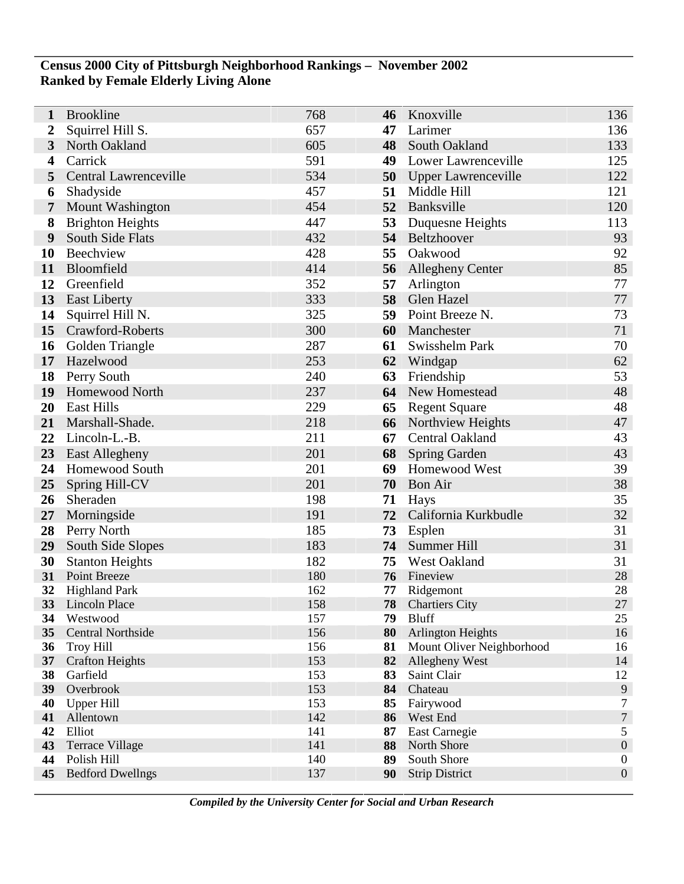## **Census 2000 City of Pittsburgh Neighborhood Rankings – November 2002 Ranked by Female Elderly Living Alone**

| 1                       | <b>Brookline</b>                     | 768        | 46       | Knoxville                    | 136                   |
|-------------------------|--------------------------------------|------------|----------|------------------------------|-----------------------|
| $\boldsymbol{2}$        | Squirrel Hill S.                     | 657        | 47       | Larimer                      | 136                   |
| 3                       | North Oakland                        | 605        | 48       | South Oakland                | 133                   |
| $\overline{\mathbf{4}}$ | Carrick                              | 591        | 49       | Lower Lawrenceville          | 125                   |
| 5                       | Central Lawrenceville                | 534        | 50       | Upper Lawrenceville          | 122                   |
| 6                       | Shadyside                            | 457        | 51       | Middle Hill                  | 121                   |
| $\overline{7}$          | <b>Mount Washington</b>              | 454        | 52       | Banksville                   | 120                   |
| 8                       | <b>Brighton Heights</b>              | 447        | 53       | Duquesne Heights             | 113                   |
| 9                       | South Side Flats                     | 432        |          | 54 Beltzhoover               | 93                    |
| 10                      | Beechview                            | 428        | 55       | Oakwood                      | 92                    |
| 11                      | Bloomfield                           | 414        | 56       | <b>Allegheny Center</b>      | 85                    |
| 12                      | Greenfield                           | 352        | 57       | Arlington                    | 77                    |
| 13                      | <b>East Liberty</b>                  | 333        | 58       | Glen Hazel                   | 77                    |
| 14                      | Squirrel Hill N.                     | 325        | 59       | Point Breeze N.              | 73                    |
| 15                      | Crawford-Roberts                     | 300        | 60       | Manchester                   | 71                    |
| 16                      | Golden Triangle                      | 287        | 61       | Swisshelm Park               | 70                    |
| 17                      | Hazelwood                            | 253        | 62       | Windgap                      | 62                    |
| 18                      | Perry South                          | 240        | 63       | Friendship                   | 53                    |
| 19                      | <b>Homewood North</b>                | 237        | 64       | New Homestead                | 48                    |
| 20                      | <b>East Hills</b>                    | 229        | 65       | <b>Regent Square</b>         | 48                    |
| 21                      | Marshall-Shade.                      | 218        | 66       | Northview Heights            | 47                    |
| 22                      | Lincoln-L.-B.                        | 211        | 67       | Central Oakland              | 43                    |
| 23                      | <b>East Allegheny</b>                | 201        | 68       | <b>Spring Garden</b>         | 43                    |
| 24                      | Homewood South                       | 201        | 69       | Homewood West                | 39                    |
| 25                      | Spring Hill-CV                       | 201        | 70       | <b>Bon Air</b>               | 38                    |
| 26                      | Sheraden                             | 198        | 71       | Hays                         | 35                    |
| 27                      | Morningside                          | 191        | 72       | California Kurkbudle         | 32                    |
| 28                      | Perry North                          | 185        | 73       | Esplen                       | 31                    |
| 29                      | South Side Slopes                    | 183        |          | 74 Summer Hill               | 31                    |
| 30                      | <b>Stanton Heights</b>               | 182<br>180 | 75       | West Oakland                 | 31                    |
| 31<br>32                | Point Breeze<br><b>Highland Park</b> | 162        | 76<br>77 | Fineview<br>Ridgemont        | 28<br>28              |
|                         | 33 Lincoln Place                     | 158        | 78       | <b>Chartiers City</b>        | $27\,$                |
| 34                      | Westwood                             | 157        | 79       | <b>Bluff</b>                 | 25                    |
| 35                      | <b>Central Northside</b>             | 156        | 80       | <b>Arlington Heights</b>     | 16                    |
| 36                      | <b>Troy Hill</b>                     | 156        | 81       | Mount Oliver Neighborhood    | 16                    |
| 37                      | <b>Crafton Heights</b>               | 153        | 82       | Allegheny West               | 14                    |
| 38                      | Garfield                             | 153        | 83       | Saint Clair                  | 12                    |
| 39                      | Overbrook                            | 153        | 84       | Chateau                      | 9                     |
| 40                      | <b>Upper Hill</b>                    | 153        | 85       | Fairywood                    | 7                     |
| 41<br>42                | Allentown<br>Elliot                  | 142<br>141 | 86       | West End                     | $\boldsymbol{7}$<br>5 |
| 43                      | <b>Terrace Village</b>               | 141        | 87<br>88 | East Carnegie<br>North Shore | $\boldsymbol{0}$      |
| 44                      | Polish Hill                          | 140        | 89       | South Shore                  | $\boldsymbol{0}$      |
| 45                      | <b>Bedford Dwellngs</b>              | 137        | 90       | <b>Strip District</b>        | $\boldsymbol{0}$      |
|                         |                                      |            |          |                              |                       |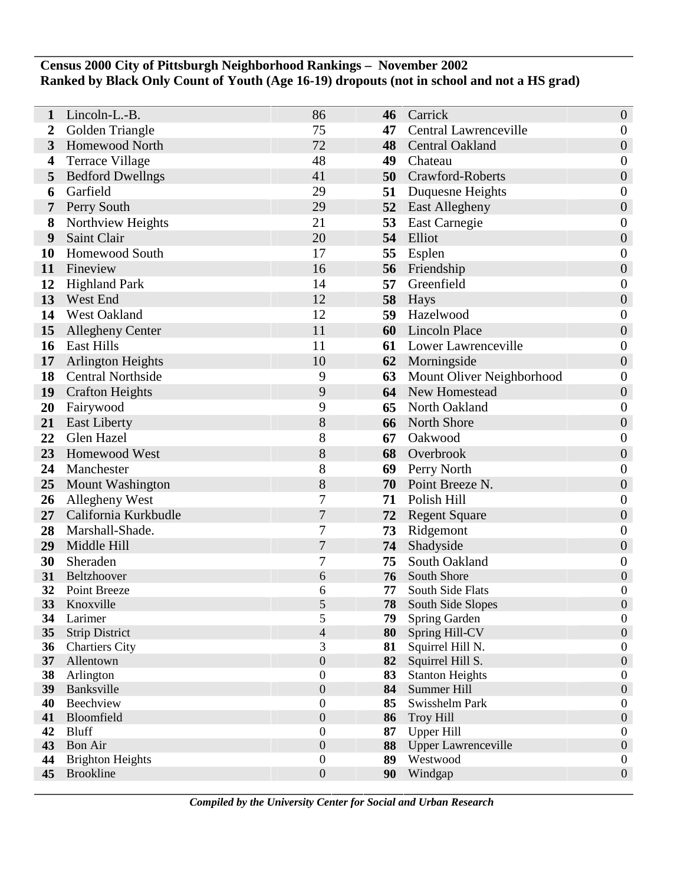## **Census 2000 City of Pittsburgh Neighborhood Rankings – November 2002 Ranked by Black Only Count of Youth (Age 16-19) dropouts (not in school and not a HS grad)**

| 1                     | Lincoln-L.-B.                                  | 86                  | 46       | Carrick                            | $\boldsymbol{0}$                     |
|-----------------------|------------------------------------------------|---------------------|----------|------------------------------------|--------------------------------------|
| $\overline{2}$        | Golden Triangle                                | 75                  | 47       | <b>Central Lawrenceville</b>       | $\boldsymbol{0}$                     |
| 3                     | <b>Homewood North</b>                          | 72                  | 48       | <b>Central Oakland</b>             | $\boldsymbol{0}$                     |
| 4                     | <b>Terrace Village</b>                         | 48                  | 49       | Chateau                            | $\boldsymbol{0}$                     |
| 5                     | <b>Bedford Dwellngs</b>                        | 41                  | 50       | <b>Crawford-Roberts</b>            | $\boldsymbol{0}$                     |
| 6                     | Garfield                                       | 29                  | 51       | Duquesne Heights                   | $\boldsymbol{0}$                     |
| 7                     | Perry South                                    | 29                  | 52       | <b>East Allegheny</b>              | $\boldsymbol{0}$                     |
| 8                     | Northview Heights                              | 21                  | 53       | <b>East Carnegie</b>               | $\boldsymbol{0}$                     |
| 9                     | Saint Clair                                    | 20                  | 54       | Elliot                             | $\boldsymbol{0}$                     |
| <b>10</b>             | Homewood South                                 | 17                  | 55       | Esplen                             | $\boldsymbol{0}$                     |
| 11                    | Fineview                                       | 16                  | 56       | Friendship                         | $\boldsymbol{0}$                     |
| 12                    | <b>Highland Park</b>                           | 14                  | 57       | Greenfield                         | $\boldsymbol{0}$                     |
| 13                    | West End                                       | 12                  | 58       | Hays                               | $\boldsymbol{0}$                     |
| 14                    | West Oakland                                   | 12                  | 59       | Hazelwood                          | $\boldsymbol{0}$                     |
| 15                    | <b>Allegheny Center</b>                        | 11                  | 60       | Lincoln Place                      | $\boldsymbol{0}$                     |
| 16                    | East Hills                                     | 11                  | 61       | <b>Lower Lawrenceville</b>         | $\boldsymbol{0}$                     |
| 17                    | <b>Arlington Heights</b>                       | 10                  | 62       | Morningside                        | $\boldsymbol{0}$                     |
| 18                    | <b>Central Northside</b>                       | 9                   | 63       | Mount Oliver Neighborhood          | $\boldsymbol{0}$                     |
| 19                    | <b>Crafton Heights</b>                         | 9                   | 64       | New Homestead                      | $\boldsymbol{0}$                     |
| 20                    | Fairywood                                      | 9                   | 65       | North Oakland                      | $\boldsymbol{0}$                     |
| 21                    | <b>East Liberty</b>                            | 8                   | 66       | North Shore                        | $\boldsymbol{0}$                     |
| 22                    | Glen Hazel                                     | 8                   | 67       | Oakwood                            | $\boldsymbol{0}$                     |
| 23                    | Homewood West                                  | $8\,$               | 68       | Overbrook                          | $\boldsymbol{0}$                     |
| 24                    | Manchester                                     | 8                   | 69       | Perry North                        | $\boldsymbol{0}$                     |
| 25                    | <b>Mount Washington</b>                        | 8                   | 70       | Point Breeze N.                    | $\boldsymbol{0}$                     |
| 26                    | Allegheny West                                 | 7                   | 71       | Polish Hill                        | $\boldsymbol{0}$                     |
| 27                    | California Kurkbudle                           | 7                   | 72       | <b>Regent Square</b>               | $\boldsymbol{0}$                     |
| 28                    | Marshall-Shade.                                | 7                   | 73       | Ridgemont                          | $\boldsymbol{0}$                     |
| 29                    | Middle Hill                                    | $\boldsymbol{7}$    | 74       | Shadyside                          | $\boldsymbol{0}$                     |
| 30                    | Sheraden                                       | 7                   | 75       | South Oakland                      | $\boldsymbol{0}$                     |
| 31                    | Beltzhoover                                    | 6                   | 76       | South Shore                        | $\boldsymbol{0}$                     |
| 32                    | Point Breeze                                   | 6                   | 77       | South Side Flats                   | $\boldsymbol{0}$                     |
| 33                    | Knoxville                                      | 5                   | 78       | South Side Slopes                  | $\boldsymbol{0}$                     |
| 34                    | Larimer                                        | 5                   | 79       | Spring Garden                      | $\boldsymbol{0}$                     |
| 35<br>36 <sup>2</sup> | <b>Strip District</b><br><b>Chartiers City</b> | $\overline{4}$<br>3 | 80<br>81 | Spring Hill-CV<br>Squirrel Hill N. | $\boldsymbol{0}$<br>$\boldsymbol{0}$ |
| 37                    | Allentown                                      | $\boldsymbol{0}$    | 82       | Squirrel Hill S.                   | $\boldsymbol{0}$                     |
| 38                    | Arlington                                      | $\boldsymbol{0}$    | 83       | <b>Stanton Heights</b>             | $\boldsymbol{0}$                     |
| 39                    | Banksville                                     | $\boldsymbol{0}$    | 84       | Summer Hill                        | $\boldsymbol{0}$                     |
| 40                    | Beechview                                      | $\boldsymbol{0}$    | 85       | Swisshelm Park                     | $\boldsymbol{0}$                     |
| 41                    | Bloomfield                                     | $\boldsymbol{0}$    | 86       | <b>Troy Hill</b>                   | $\boldsymbol{0}$                     |
| 42                    | <b>Bluff</b>                                   | $\boldsymbol{0}$    | 87       | <b>Upper Hill</b>                  | $\boldsymbol{0}$                     |
| 43                    | <b>Bon Air</b>                                 | $\boldsymbol{0}$    | 88       | <b>Upper Lawrenceville</b>         | $\boldsymbol{0}$                     |
| 44                    | <b>Brighton Heights</b>                        | $\boldsymbol{0}$    | 89       | Westwood                           | $\boldsymbol{0}$                     |
| 45                    | <b>Brookline</b>                               | $\boldsymbol{0}$    | 90       | Windgap                            | $\boldsymbol{0}$                     |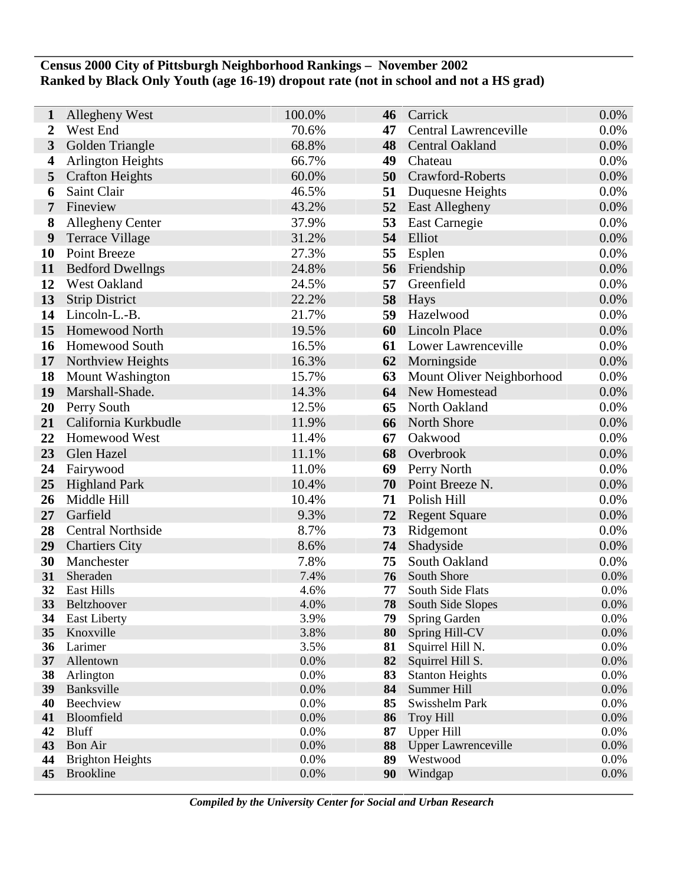## **Census 2000 City of Pittsburgh Neighborhood Rankings – November 2002 Ranked by Black Only Youth (age 16-19) dropout rate (not in school and not a HS grad)**

| $\mathbf{1}$            | Allegheny West                              | 100.0%       | 46       | Carrick                                | 0.0%            |
|-------------------------|---------------------------------------------|--------------|----------|----------------------------------------|-----------------|
| $\boldsymbol{2}$        | West End                                    | 70.6%        | 47       | Central Lawrenceville                  | 0.0%            |
| 3                       | Golden Triangle                             | 68.8%        | 48       | Central Oakland                        | 0.0%            |
| $\overline{\mathbf{4}}$ | <b>Arlington Heights</b>                    | 66.7%        | 49       | Chateau                                | 0.0%            |
| 5                       | <b>Crafton Heights</b>                      | 60.0%        | 50       | Crawford-Roberts                       | 0.0%            |
| 6                       | Saint Clair                                 | 46.5%        | 51       | Duquesne Heights                       | 0.0%            |
| 7                       | Fineview                                    | 43.2%        | 52       | East Allegheny                         | 0.0%            |
| 8                       | <b>Allegheny Center</b>                     | 37.9%        | 53       | East Carnegie                          | 0.0%            |
| 9                       | <b>Terrace Village</b>                      | 31.2%        | 54       | Elliot                                 | 0.0%            |
| 10                      | <b>Point Breeze</b>                         | 27.3%        | 55       | Esplen                                 | 0.0%            |
| 11                      | <b>Bedford Dwellngs</b>                     | 24.8%        | 56       | Friendship                             | 0.0%            |
| 12                      | West Oakland                                | 24.5%        | 57       | Greenfield                             | 0.0%            |
| 13                      | <b>Strip District</b>                       | 22.2%        | 58       | <b>Hays</b>                            | 0.0%            |
| 14                      | Lincoln-L.-B.                               | 21.7%        | 59       | Hazelwood                              | 0.0%            |
| 15                      | Homewood North                              | 19.5%        | 60       | <b>Lincoln Place</b>                   | 0.0%            |
| 16                      | <b>Homewood South</b>                       | 16.5%        | 61       | Lower Lawrenceville                    | 0.0%            |
| 17                      | Northview Heights                           | 16.3%        | 62       | Morningside                            | 0.0%            |
| 18                      | <b>Mount Washington</b>                     | 15.7%        | 63       | Mount Oliver Neighborhood              | 0.0%            |
| 19                      | Marshall-Shade.                             | 14.3%        | 64       | New Homestead                          | 0.0%            |
| 20                      | Perry South                                 | 12.5%        | 65       | North Oakland                          | 0.0%            |
| 21                      | California Kurkbudle                        | 11.9%        | 66       | North Shore                            | 0.0%            |
| 22                      | Homewood West                               | 11.4%        | 67       | Oakwood                                | 0.0%            |
| 23                      | Glen Hazel                                  | 11.1%        | 68       | Overbrook                              | 0.0%            |
| 24                      | Fairywood                                   | 11.0%        | 69       | Perry North                            | 0.0%            |
| 25                      | <b>Highland Park</b>                        | 10.4%        | 70       | Point Breeze N.                        | 0.0%            |
| 26                      | Middle Hill                                 | 10.4%        | 71       | Polish Hill                            | 0.0%            |
| 27                      | Garfield                                    | 9.3%         | 72       | <b>Regent Square</b>                   | 0.0%            |
| 28                      | <b>Central Northside</b>                    | 8.7%         | 73       | Ridgemont                              | 0.0%            |
| 29                      | <b>Chartiers City</b>                       | 8.6%         | 74       | Shadyside                              | 0.0%            |
| 30                      | Manchester                                  | 7.8%         | 75       | South Oakland                          | 0.0%            |
| 31                      | Sheraden                                    | 7.4%         | 76       | South Shore                            | 0.0%            |
| 32<br>33                | <b>East Hills</b><br>Beltzhoover            | 4.6%<br>4.0% | 77<br>78 | South Side Flats<br>South Side Slopes  | 0.0%<br>$0.0\%$ |
| 34                      | <b>East Liberty</b>                         | 3.9%         | 79       | Spring Garden                          | 0.0%            |
| 35                      | Knoxville                                   | 3.8%         | 80       | Spring Hill-CV                         | 0.0%            |
| 36                      | Larimer                                     | 3.5%         | 81       | Squirrel Hill N.                       | 0.0%            |
| 37                      | Allentown                                   | 0.0%         | 82       | Squirrel Hill S.                       | 0.0%            |
| 38                      | Arlington                                   | 0.0%         | 83       | <b>Stanton Heights</b>                 | 0.0%            |
| 39                      | Banksville                                  | 0.0%         | 84       | Summer Hill                            | 0.0%            |
| 40                      | Beechview                                   | 0.0%         | 85       | Swisshelm Park                         | 0.0%            |
| 41                      | Bloomfield                                  | 0.0%         | 86       | <b>Troy Hill</b>                       | 0.0%            |
| 42                      | <b>Bluff</b>                                | 0.0%         | 87       | <b>Upper Hill</b>                      | 0.0%            |
| 43<br>44                | Bon Air                                     | 0.0%<br>0.0% | 88<br>89 | <b>Upper Lawrenceville</b><br>Westwood | 0.0%<br>0.0%    |
| 45                      | <b>Brighton Heights</b><br><b>Brookline</b> | 0.0%         | 90       | Windgap                                | 0.0%            |
|                         |                                             |              |          |                                        |                 |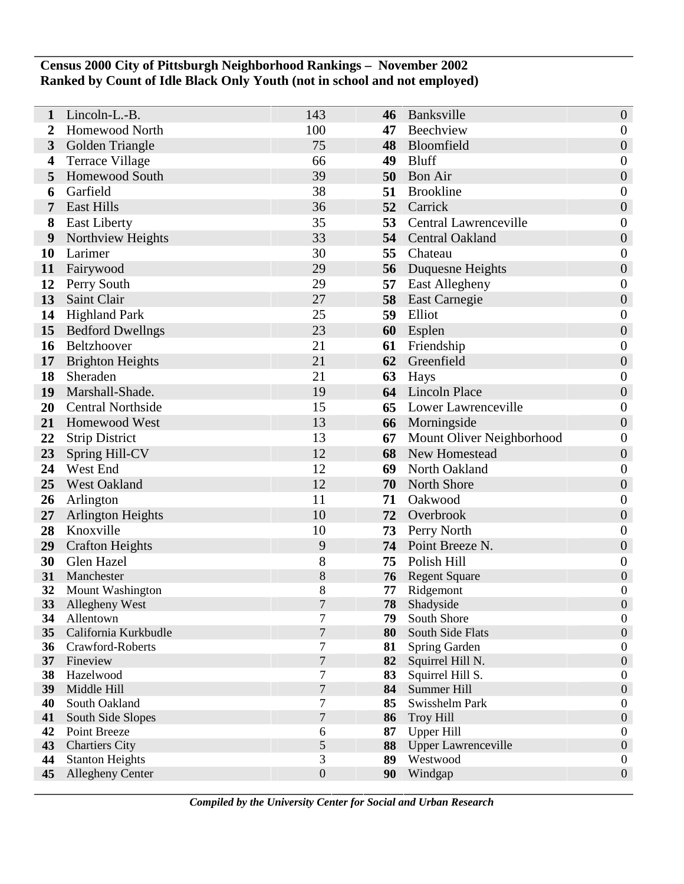## **Census 2000 City of Pittsburgh Neighborhood Rankings – November 2002 Ranked by Count of Idle Black Only Youth (not in school and not employed)**

| 1        | Lincoln-L.-B.                         | 143                | 46       | Banksville                             | $\boldsymbol{0}$                     |
|----------|---------------------------------------|--------------------|----------|----------------------------------------|--------------------------------------|
| 2        | Homewood North                        | 100                | 47       | Beechview                              | $\boldsymbol{0}$                     |
| 3        | Golden Triangle                       | 75                 | 48       | Bloomfield                             | $\boldsymbol{0}$                     |
| 4        | <b>Terrace Village</b>                | 66                 | 49       | <b>Bluff</b>                           | $\boldsymbol{0}$                     |
| 5        | Homewood South                        | 39                 | 50       | <b>Bon Air</b>                         | $\boldsymbol{0}$                     |
| 6        | Garfield                              | 38                 | 51       | <b>Brookline</b>                       | $\boldsymbol{0}$                     |
| 7        | <b>East Hills</b>                     | 36                 | 52       | Carrick                                | $\boldsymbol{0}$                     |
| 8        | <b>East Liberty</b>                   | 35                 | 53       | <b>Central Lawrenceville</b>           | $\boldsymbol{0}$                     |
| 9        | Northview Heights                     | 33                 |          | 54 Central Oakland                     | $\boldsymbol{0}$                     |
| 10       | Larimer                               | 30                 | 55       | Chateau                                | $\boldsymbol{0}$                     |
| 11       | Fairywood                             | 29                 | 56       | Duquesne Heights                       | $\boldsymbol{0}$                     |
| 12       | Perry South                           | 29                 | 57       | East Allegheny                         | $\boldsymbol{0}$                     |
| 13       | Saint Clair                           | 27                 | 58       | <b>East Carnegie</b>                   | $\boldsymbol{0}$                     |
| 14       | <b>Highland Park</b>                  | 25                 | 59       | Elliot                                 | $\boldsymbol{0}$                     |
| 15       | <b>Bedford Dwellngs</b>               | 23                 | 60       | Esplen                                 | $\boldsymbol{0}$                     |
| 16       | Beltzhoover                           | 21                 | 61       | Friendship                             | $\boldsymbol{0}$                     |
| 17       | <b>Brighton Heights</b>               | 21                 | 62       | Greenfield                             | $\boldsymbol{0}$                     |
| 18       | Sheraden                              | 21                 | 63       | Hays                                   | $\boldsymbol{0}$                     |
| 19       | Marshall-Shade.                       | 19                 | 64       | <b>Lincoln Place</b>                   | $\boldsymbol{0}$                     |
| 20       | <b>Central Northside</b>              | 15                 | 65       | Lower Lawrenceville                    | $\boldsymbol{0}$                     |
| 21       | Homewood West                         | 13                 | 66       | Morningside                            | $\boldsymbol{0}$                     |
| 22       | <b>Strip District</b>                 | 13                 | 67       | Mount Oliver Neighborhood              | $\boldsymbol{0}$                     |
| 23       | Spring Hill-CV                        | 12                 | 68       | New Homestead                          | $\boldsymbol{0}$                     |
| 24       | West End                              | 12                 | 69       | North Oakland                          | $\boldsymbol{0}$                     |
| 25       | West Oakland                          | 12                 | 70       | North Shore                            | $\boldsymbol{0}$                     |
| 26       | Arlington                             | 11                 | 71       | Oakwood                                | $\boldsymbol{0}$                     |
| 27       | <b>Arlington Heights</b>              | 10                 | 72       | Overbrook                              | $\boldsymbol{0}$                     |
| 28       | Knoxville                             | 10                 | 73       | Perry North                            | $\boldsymbol{0}$                     |
| 29       | <b>Crafton Heights</b>                | 9                  | 74       | Point Breeze N.                        | $\boldsymbol{0}$                     |
| 30       | Glen Hazel                            | 8                  | 75       | Polish Hill                            | $\boldsymbol{0}$                     |
| 31<br>32 | Manchester                            | $8\,$<br>$8\,$     | 76<br>77 | <b>Regent Square</b>                   | $\boldsymbol{0}$<br>$\boldsymbol{0}$ |
| 33       | Mount Washington<br>Allegheny West    | 7                  | 78       | Ridgemont<br>Shadyside                 | $\Omega$                             |
| 34       | Allentown                             | 7                  | 79       | South Shore                            | $\boldsymbol{0}$                     |
| 35       | California Kurkbudle                  | $\tau$             | 80       | South Side Flats                       | $\boldsymbol{0}$                     |
| 36       | Crawford-Roberts                      | 7                  | 81       | Spring Garden                          | $\boldsymbol{0}$                     |
|          | 37 Fineview                           | $\boldsymbol{7}$   | 82       | Squirrel Hill N.                       | $\boldsymbol{0}$                     |
| 38       | Hazelwood                             | 7                  | 83       | Squirrel Hill S.                       | $\boldsymbol{0}$                     |
| 39       | Middle Hill                           | $\boldsymbol{7}$   | 84       | Summer Hill                            | $\boldsymbol{0}$                     |
| 40       | South Oakland                         | 7                  | 85       | Swisshelm Park                         | $\boldsymbol{0}$                     |
| 41       | South Side Slopes                     | $\overline{7}$     | 86       | <b>Troy Hill</b>                       | $\boldsymbol{0}$                     |
| 42<br>43 | Point Breeze<br><b>Chartiers City</b> | 6                  | 87<br>88 | <b>Upper Hill</b>                      | $\boldsymbol{0}$<br>$\boldsymbol{0}$ |
| 44       | <b>Stanton Heights</b>                | $\mathfrak s$<br>3 | 89       | <b>Upper Lawrenceville</b><br>Westwood | $\boldsymbol{0}$                     |
| 45       | <b>Allegheny Center</b>               | $\boldsymbol{0}$   | 90       | Windgap                                | $\boldsymbol{0}$                     |
|          |                                       |                    |          |                                        |                                      |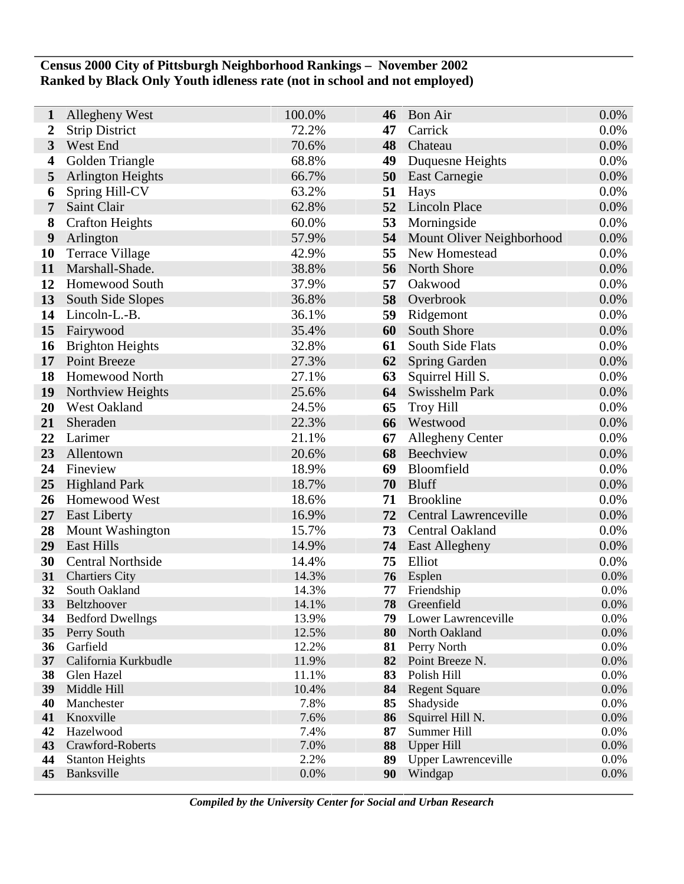## **Census 2000 City of Pittsburgh Neighborhood Rankings – November 2002 Ranked by Black Only Youth idleness rate (not in school and not employed)**

| 1                | Allegheny West                   | 100.0%         | 46       | <b>Bon Air</b>                 | 0.0%         |
|------------------|----------------------------------|----------------|----------|--------------------------------|--------------|
| $\boldsymbol{2}$ | <b>Strip District</b>            | 72.2%          | 47       | Carrick                        | 0.0%         |
| $\mathbf{3}$     | West End                         | 70.6%          | 48       | Chateau                        | 0.0%         |
| 4                | Golden Triangle                  | 68.8%          | 49       | Duquesne Heights               | 0.0%         |
| 5                | <b>Arlington Heights</b>         | 66.7%          | 50       | East Carnegie                  | 0.0%         |
| 6                | Spring Hill-CV                   | 63.2%          | 51       | Hays                           | 0.0%         |
| 7                | Saint Clair                      | 62.8%          | 52       | Lincoln Place                  | 0.0%         |
| 8                | <b>Crafton Heights</b>           | 60.0%          | 53       | Morningside                    | 0.0%         |
| 9                | Arlington                        | 57.9%          | 54       | Mount Oliver Neighborhood      | 0.0%         |
| 10               | <b>Terrace Village</b>           | 42.9%          | 55       | New Homestead                  | 0.0%         |
| 11               | Marshall-Shade.                  | 38.8%          | 56       | North Shore                    | 0.0%         |
| 12               | <b>Homewood South</b>            | 37.9%          | 57       | Oakwood                        | 0.0%         |
| 13               | South Side Slopes                | 36.8%          | 58       | Overbrook                      | 0.0%         |
| 14               | Lincoln-L.-B.                    | 36.1%          | 59       | Ridgemont                      | 0.0%         |
| 15               | Fairywood                        | 35.4%          | 60       | South Shore                    | 0.0%         |
| 16               | <b>Brighton Heights</b>          | 32.8%          | 61       | South Side Flats               | 0.0%         |
| 17               | Point Breeze                     | 27.3%          | 62       | <b>Spring Garden</b>           | 0.0%         |
| 18               | <b>Homewood North</b>            | 27.1%          | 63       | Squirrel Hill S.               | 0.0%         |
| 19               | Northview Heights                | 25.6%          | 64       | Swisshelm Park                 | 0.0%         |
| 20               | West Oakland                     | 24.5%          | 65       | <b>Troy Hill</b>               | 0.0%         |
| 21               | Sheraden                         | 22.3%          | 66       | Westwood                       | 0.0%         |
| 22               | Larimer                          | 21.1%          | 67       | <b>Allegheny Center</b>        | 0.0%         |
| 23               | Allentown                        | 20.6%          | 68       | Beechview                      | 0.0%         |
| 24               | Fineview                         | 18.9%          | 69       | Bloomfield                     | 0.0%         |
| 25               | <b>Highland Park</b>             | 18.7%          | 70       | <b>Bluff</b>                   | 0.0%         |
| 26               | Homewood West                    | 18.6%          | 71       | <b>Brookline</b>               | 0.0%         |
| 27               | <b>East Liberty</b>              | 16.9%          | 72       | Central Lawrenceville          | 0.0%         |
| 28               | <b>Mount Washington</b>          | 15.7%          | 73       | Central Oakland                | 0.0%         |
| 29               | <b>East Hills</b>                | 14.9%          | 74       | <b>East Allegheny</b>          | 0.0%         |
| 30               | <b>Central Northside</b>         | 14.4%          | 75       | Elliot                         | 0.0%         |
| 31               | <b>Chartiers City</b>            | 14.3%          | 76       | Esplen                         | 0.0%         |
| 32               | South Oakland                    | 14.3%          | 77       | Friendship                     | 0.0%         |
| 33               | <b>Beltzhoover</b>               | 14.1%          | 78       | Greenfield                     | 0.0%         |
| 34               | <b>Bedford Dwellngs</b>          | 13.9%          | 79       | Lower Lawrenceville            | 0.0%         |
| 35               | Perry South                      | 12.5%          | 80       | North Oakland                  | $0.0\%$      |
| 36<br>37         | Garfield<br>California Kurkbudle | 12.2%<br>11.9% | 81<br>82 | Perry North<br>Point Breeze N. | 0.0%<br>0.0% |
| 38               | Glen Hazel                       | 11.1%          | 83       | Polish Hill                    | 0.0%         |
| 39               | Middle Hill                      | 10.4%          | 84       | <b>Regent Square</b>           | 0.0%         |
| 40               | Manchester                       | 7.8%           | 85       | Shadyside                      | 0.0%         |
| 41               | Knoxville                        | 7.6%           | 86       | Squirrel Hill N.               | 0.0%         |
| 42               | Hazelwood                        | 7.4%           | 87       | Summer Hill                    | 0.0%         |
| 43               | Crawford-Roberts                 | 7.0%           | 88       | <b>Upper Hill</b>              | 0.0%         |
| 44               | <b>Stanton Heights</b>           | 2.2%           | 89       | <b>Upper Lawrenceville</b>     | 0.0%         |
| 45               | Banksville                       | 0.0%           | 90       | Windgap                        | 0.0%         |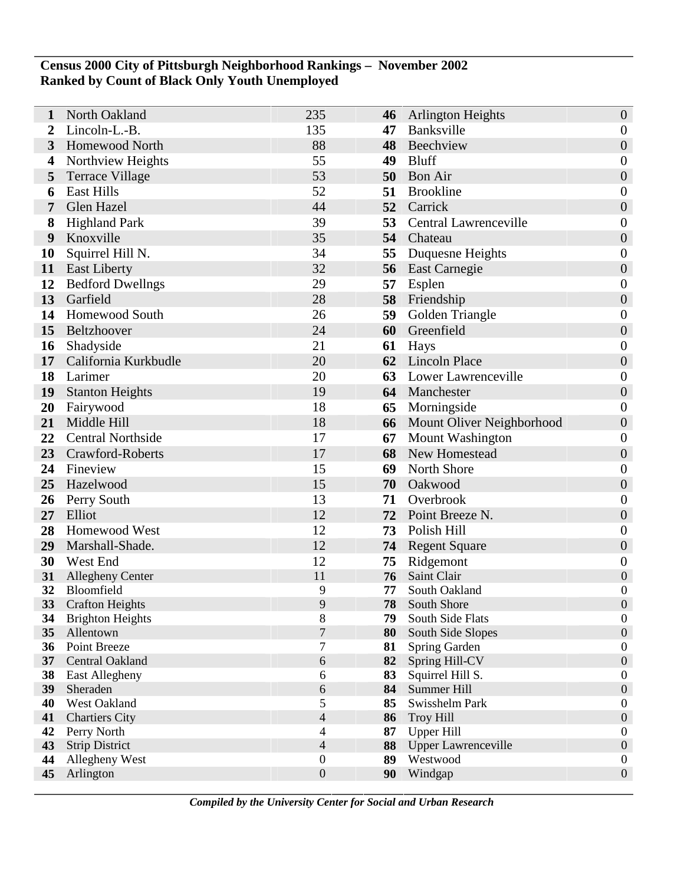## **Census 2000 City of Pittsburgh Neighborhood Rankings – November 2002 Ranked by Count of Black Only Youth Unemployed**

| 1        | North Oakland            | 235              | 46       | <b>Arlington Heights</b>             | $\boldsymbol{0}$                     |
|----------|--------------------------|------------------|----------|--------------------------------------|--------------------------------------|
|          | Lincoln-L.-B.            | 135              | 47       | Banksville                           | $\boldsymbol{0}$                     |
| 3        | Homewood North           | 88               | 48       | Beechview                            | $\boldsymbol{0}$                     |
| 4        | Northview Heights        | 55               | 49       | Bluff                                | $\boldsymbol{0}$                     |
| 5        | <b>Terrace Village</b>   | 53               | 50       | <b>Bon Air</b>                       | $\boldsymbol{0}$                     |
| 6        | <b>East Hills</b>        | 52               | 51       | <b>Brookline</b>                     | $\boldsymbol{0}$                     |
| 7        | Glen Hazel               | 44               |          | 52 Carrick                           | $\boldsymbol{0}$                     |
| 8        | <b>Highland Park</b>     | 39               | 53       | Central Lawrenceville                | $\boldsymbol{0}$                     |
| 9        | Knoxville                | 35               | 54       | Chateau                              | $\boldsymbol{0}$                     |
| 10       | Squirrel Hill N.         | 34               | 55       | Duquesne Heights                     | $\boldsymbol{0}$                     |
| 11       | <b>East Liberty</b>      | 32               | 56       | <b>East Carnegie</b>                 | $\boldsymbol{0}$                     |
| 12       | <b>Bedford Dwellngs</b>  | 29               | 57       | Esplen                               | $\boldsymbol{0}$                     |
| 13       | Garfield                 | 28               | 58       | Friendship                           | $\boldsymbol{0}$                     |
| 14       | Homewood South           | 26               | 59       | Golden Triangle                      | $\boldsymbol{0}$                     |
| 15       | Beltzhoover              | 24               | 60       | Greenfield                           | $\boldsymbol{0}$                     |
| 16       | Shadyside                | 21               | 61       | Hays                                 | $\boldsymbol{0}$                     |
| 17       | California Kurkbudle     | 20               | 62       | <b>Lincoln Place</b>                 | $\boldsymbol{0}$                     |
| 18       | Larimer                  | 20               | 63       | <b>Lower Lawrenceville</b>           | $\boldsymbol{0}$                     |
| 19       | <b>Stanton Heights</b>   | 19               |          | 64 Manchester                        | $\boldsymbol{0}$                     |
| 20       | Fairywood                | 18               | 65       | Morningside                          | $\boldsymbol{0}$                     |
| 21       | Middle Hill              | 18               | 66       | Mount Oliver Neighborhood            | $\boldsymbol{0}$                     |
| 22       | <b>Central Northside</b> | 17               | 67       | Mount Washington                     | $\boldsymbol{0}$                     |
| 23       | Crawford-Roberts         | 17               | 68       | New Homestead                        | $\boldsymbol{0}$                     |
| 24       | Fineview                 | 15               | 69       | <b>North Shore</b>                   | $\boldsymbol{0}$                     |
| 25       | Hazelwood                | 15               | 70       | Oakwood                              | $\boldsymbol{0}$                     |
| 26       | Perry South              | 13               | 71       | Overbrook                            | $\boldsymbol{0}$                     |
| 27       | Elliot                   | 12               | 72       | Point Breeze N.                      | $\boldsymbol{0}$                     |
| 28       | Homewood West            | 12               | 73       | Polish Hill                          | $\boldsymbol{0}$                     |
| 29       | Marshall-Shade.          | 12               | 74       | <b>Regent Square</b>                 | $\boldsymbol{0}$                     |
| 30       | West End                 | 12               |          | 75 Ridgemont                         | $\boldsymbol{0}$                     |
| 31       | <b>Allegheny Center</b>  | 11               | 76       | Saint Clair                          | $\boldsymbol{0}$                     |
| 32       | Bloomfield               | 9                | 77       | South Oakland                        | $\boldsymbol{0}$                     |
| 33       | <b>Crafton Heights</b>   | 9                | 78       | South Shore                          | $\overline{0}$                       |
| 34       | <b>Brighton Heights</b>  | 8                | 79       | South Side Flats                     | $\boldsymbol{0}$                     |
| 35       | Allentown                | $\overline{7}$   | 80       | South Side Slopes                    | $\boldsymbol{0}$                     |
| 36       | Point Breeze             | $\tau$           | 81       | Spring Garden                        | $\boldsymbol{0}$                     |
| 37       | Central Oakland          | 6                | 82       | Spring Hill-CV                       | $\boldsymbol{0}$                     |
| 38       | East Allegheny           | 6                | 83       | Squirrel Hill S.                     | $\boldsymbol{0}$                     |
| 39<br>40 | Sheraden<br>West Oakland | $\sqrt{6}$<br>5  | 84<br>85 | <b>Summer Hill</b><br>Swisshelm Park | $\boldsymbol{0}$<br>$\boldsymbol{0}$ |
| 41       | <b>Chartiers City</b>    | $\overline{4}$   | 86       | <b>Troy Hill</b>                     | $\boldsymbol{0}$                     |
| 42       | Perry North              | $\overline{4}$   | 87       | <b>Upper Hill</b>                    | $\boldsymbol{0}$                     |
| 43       | <b>Strip District</b>    | $\overline{4}$   | 88       | <b>Upper Lawrenceville</b>           | $\boldsymbol{0}$                     |
| 44       | Allegheny West           | $\boldsymbol{0}$ | 89       | Westwood                             | $\boldsymbol{0}$                     |
| 45       | Arlington                | $\boldsymbol{0}$ | 90       | Windgap                              | $\boldsymbol{0}$                     |
|          |                          |                  |          |                                      |                                      |